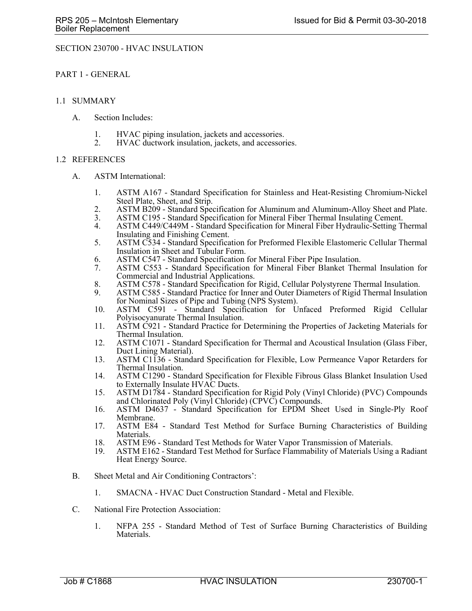## SECTION 230700 - HVAC INSULATION

PART 1 - GENERAL

### 1.1 SUMMARY

- A. Section Includes:
	- 1. HVAC piping insulation, jackets and accessories.
	- 2. HVAC ductwork insulation, jackets, and accessories.

## 1.2 REFERENCES

- A. ASTM International:
	- 1. ASTM A167 Standard Specification for Stainless and Heat-Resisting Chromium-Nickel Steel Plate, Sheet, and Strip.
	- 2. ASTM B209 Standard Specification for Aluminum and Aluminum-Alloy Sheet and Plate.
	- 3. ASTM C195 Standard Specification for Mineral Fiber Thermal Insulating Cement.
	- 4. ASTM C449/C449M Standard Specification for Mineral Fiber Hydraulic-Setting Thermal Insulating and Finishing Cement.
	- 5. ASTM C534 Standard Specification for Preformed Flexible Elastomeric Cellular Thermal Insulation in Sheet and Tubular Form.
	- 6. ASTM C547 Standard Specification for Mineral Fiber Pipe Insulation.
	- 7. ASTM C553 Standard Specification for Mineral Fiber Blanket Thermal Insulation for Commercial and Industrial Applications.
	- 8. ASTM C578 Standard Specification for Rigid, Cellular Polystyrene Thermal Insulation.
	- 9. ASTM C585 Standard Practice for Inner and Outer Diameters of Rigid Thermal Insulation for Nominal Sizes of Pipe and Tubing (NPS System).
	- 10. ASTM C591 Standard Specification for Unfaced Preformed Rigid Cellular Polyisocyanurate Thermal Insulation.
	- 11. ASTM C921 Standard Practice for Determining the Properties of Jacketing Materials for Thermal Insulation.
	- 12. ASTM C1071 Standard Specification for Thermal and Acoustical Insulation (Glass Fiber, Duct Lining Material).
	- 13. ASTM C1136 Standard Specification for Flexible, Low Permeance Vapor Retarders for Thermal Insulation.
	- 14. ASTM C1290 Standard Specification for Flexible Fibrous Glass Blanket Insulation Used to Externally Insulate HVAC Ducts.
	- 15. ASTM D1784 Standard Specification for Rigid Poly (Vinyl Chloride) (PVC) Compounds and Chlorinated Poly (Vinyl Chloride) (CPVC) Compounds.
	- 16. ASTM D4637 Standard Specification for EPDM Sheet Used in Single-Ply Roof Membrane.
	- 17. ASTM E84 Standard Test Method for Surface Burning Characteristics of Building Materials.
	- 18. ASTM E96 Standard Test Methods for Water Vapor Transmission of Materials.<br>19. ASTM E162 Standard Test Method for Surface Flammability of Materials Using
	- ASTM E162 Standard Test Method for Surface Flammability of Materials Using a Radiant Heat Energy Source.
- B. Sheet Metal and Air Conditioning Contractors':
	- 1. SMACNA HVAC Duct Construction Standard Metal and Flexible.
- C. National Fire Protection Association:
	- 1. NFPA 255 Standard Method of Test of Surface Burning Characteristics of Building Materials.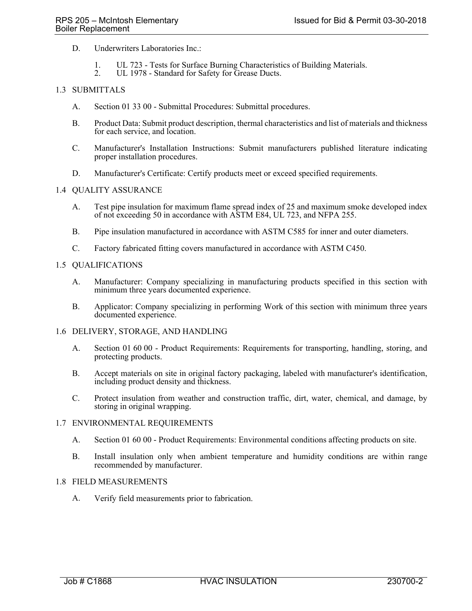- D. Underwriters Laboratories Inc.:
	- 1. UL 723 Tests for Surface Burning Characteristics of Building Materials.
	- 2. UL 1978 Standard for Safety for Grease Ducts.

## 1.3 SUBMITTALS

- A. Section 01 33 00 Submittal Procedures: Submittal procedures.
- B. Product Data: Submit product description, thermal characteristics and list of materials and thickness for each service, and location.
- C. Manufacturer's Installation Instructions: Submit manufacturers published literature indicating proper installation procedures.
- D. Manufacturer's Certificate: Certify products meet or exceed specified requirements.

## 1.4 QUALITY ASSURANCE

- A. Test pipe insulation for maximum flame spread index of 25 and maximum smoke developed index of not exceeding 50 in accordance with ASTM E84, UL 723, and NFPA 255.
- B. Pipe insulation manufactured in accordance with ASTM C585 for inner and outer diameters.
- C. Factory fabricated fitting covers manufactured in accordance with ASTM C450.

## 1.5 QUALIFICATIONS

- A. Manufacturer: Company specializing in manufacturing products specified in this section with minimum three years documented experience.
- B. Applicator: Company specializing in performing Work of this section with minimum three years documented experience.
- 1.6 DELIVERY, STORAGE, AND HANDLING
	- A. Section 01 60 00 Product Requirements: Requirements for transporting, handling, storing, and protecting products.
	- B. Accept materials on site in original factory packaging, labeled with manufacturer's identification, including product density and thickness.
	- C. Protect insulation from weather and construction traffic, dirt, water, chemical, and damage, by storing in original wrapping.

#### 1.7 ENVIRONMENTAL REQUIREMENTS

- A. Section 01 60 00 Product Requirements: Environmental conditions affecting products on site.
- B. Install insulation only when ambient temperature and humidity conditions are within range recommended by manufacturer.

#### 1.8 FIELD MEASUREMENTS

A. Verify field measurements prior to fabrication.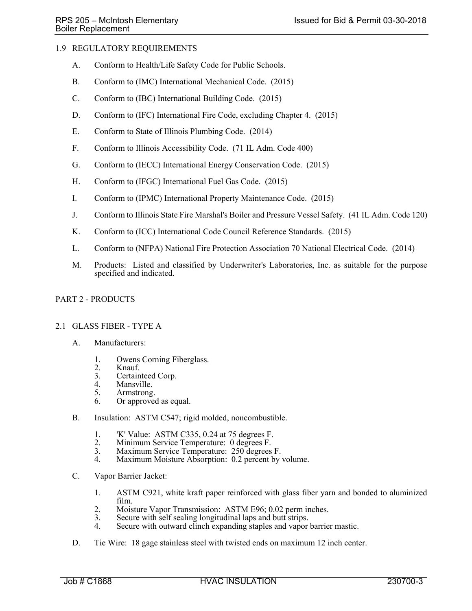## 1.9 REGULATORY REQUIREMENTS

- A. Conform to Health/Life Safety Code for Public Schools.
- B. Conform to (IMC) International Mechanical Code. (2015)
- C. Conform to (IBC) International Building Code. (2015)
- D. Conform to (IFC) International Fire Code, excluding Chapter 4. (2015)
- E. Conform to State of Illinois Plumbing Code. (2014)
- F. Conform to Illinois Accessibility Code. (71 IL Adm. Code 400)
- G. Conform to (IECC) International Energy Conservation Code. (2015)
- H. Conform to (IFGC) International Fuel Gas Code. (2015)
- I. Conform to (IPMC) International Property Maintenance Code. (2015)
- J. Conform to Illinois State Fire Marshal's Boiler and Pressure Vessel Safety. (41 IL Adm. Code 120)
- K. Conform to (ICC) International Code Council Reference Standards. (2015)
- L. Conform to (NFPA) National Fire Protection Association 70 National Electrical Code. (2014)
- M. Products: Listed and classified by Underwriter's Laboratories, Inc. as suitable for the purpose specified and indicated.

## PART 2 - PRODUCTS

#### 2.1 GLASS FIBER - TYPE A

- A. Manufacturers:
	- 1. Owens Corning Fiberglass.
	- 2. Knauf.<br>3. Certain
	- 3. Certainteed Corp.<br>4. Mansville.
	- Mansville. 5. Armstrong.
	- 6. Or approved as equal.
- B. Insulation: ASTM C547; rigid molded, noncombustible.
	-
	- 1. K' Value: ASTM C335, 0.24 at 75 degrees F.<br>2. Minimum Service Temperature: 0 degrees F. 2. Minimum Service Temperature: 0 degrees F.<br>3. Maximum Service Temperature: 250 degrees
	- 3. Maximum Service Temperature: 250 degrees F.
	- Maximum Moisture Absorption: 0.2 percent by volume.
- C. Vapor Barrier Jacket:
	- 1. ASTM C921, white kraft paper reinforced with glass fiber yarn and bonded to aluminized film.
	- 2. Moisture Vapor Transmission: ASTM E96; 0.02 perm inches.
	- 3. Secure with self sealing longitudinal laps and butt strips.
	- Secure with outward clinch expanding staples and vapor barrier mastic.
- D. Tie Wire: 18 gage stainless steel with twisted ends on maximum 12 inch center.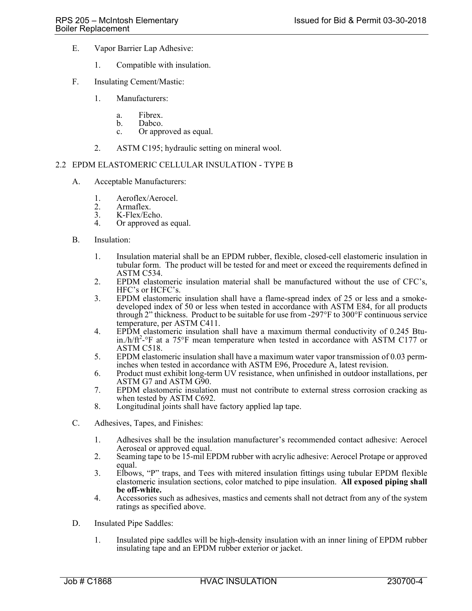- E. Vapor Barrier Lap Adhesive:
	- 1. Compatible with insulation.
- F. Insulating Cement/Mastic:
	- 1. Manufacturers:
		- a. Fibrex.<br>b. Dabco.
		- Dabco.
		- c. Or approved as equal.
	- 2. ASTM C195; hydraulic setting on mineral wool.

## 2.2 EPDM ELASTOMERIC CELLULAR INSULATION - TYPE B

- A. Acceptable Manufacturers:
	- 1. Aeroflex/Aerocel.<br>2. Armaflex.
	- 2. Armaflex.<br>3. K-Flex/Ecl
	- 3. K-Flex/Echo.<br>4. Or approved a
	- Or approved as equal.

## B. Insulation:

- 1. Insulation material shall be an EPDM rubber, flexible, closed-cell elastomeric insulation in tubular form. The product will be tested for and meet or exceed the requirements defined in ASTM C534.
- 2. EPDM elastomeric insulation material shall be manufactured without the use of CFC's, HFC's or HCFC's.
- 3. EPDM elastomeric insulation shall have a flame-spread index of 25 or less and a smokedeveloped index of 50 or less when tested in accordance with ASTM E84, for all products through 2" thickness. Product to be suitable for use from -297°F to 300°F continuous service temperature, per ASTM C411.
- 4. EPDM elastomeric insulation shall have a maximum thermal conductivity of 0.245 Btuin./h/ $ft^2$ - $°F$  at a 75 $°F$  mean temperature when tested in accordance with ASTM C177 or ASTM C518.
- 5. EPDM elastomeric insulation shall have a maximum water vapor transmission of 0.03 perminches when tested in accordance with ASTM E96, Procedure A, latest revision.
- 6. Product must exhibit long-term UV resistance, when unfinished in outdoor installations, per ASTM G7 and ASTM G90.
- 7. EPDM elastomeric insulation must not contribute to external stress corrosion cracking as when tested by ASTM C692.
- 8. Longitudinal joints shall have factory applied lap tape.
- C. Adhesives, Tapes, and Finishes:
	- 1. Adhesives shall be the insulation manufacturer's recommended contact adhesive: Aerocel Aeroseal or approved equal.
	- 2. Seaming tape to be 15-mil EPDM rubber with acrylic adhesive: Aerocel Protape or approved equal.
	- 3. Elbows, "P" traps, and Tees with mitered insulation fittings using tubular EPDM flexible elastomeric insulation sections, color matched to pipe insulation. **All exposed piping shall be off-white.**
	- 4. Accessories such as adhesives, mastics and cements shall not detract from any of the system ratings as specified above.
- D. Insulated Pipe Saddles:
	- 1. Insulated pipe saddles will be high-density insulation with an inner lining of EPDM rubber insulating tape and an EPDM rubber exterior or jacket.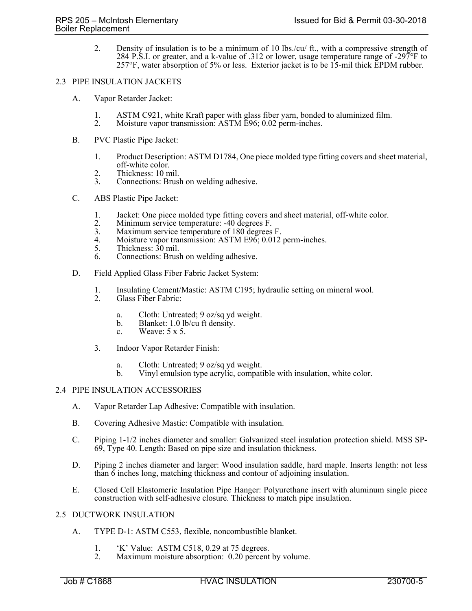2. Density of insulation is to be a minimum of 10 lbs./cu/ ft., with a compressive strength of 284 P.S.I. or greater, and a k-value of .312 or lower, usage temperature range of -297 $\degree$ F to 257°F, water absorption of 5% or less. Exterior jacket is to be 15-mil thick EPDM rubber.

#### 2.3 PIPE INSULATION JACKETS

- A. Vapor Retarder Jacket:
	- 1. ASTM C921, white Kraft paper with glass fiber yarn, bonded to aluminized film.<br>2. Moisture vapor transmission: ASTM E96; 0.02 perm-inches.
	- Moisture vapor transmission: ASTM E96; 0.02 perm-inches.
- B. PVC Plastic Pipe Jacket:
	- 1. Product Description: ASTM D1784, One piece molded type fitting covers and sheet material, off-white color.
	- 2. Thickness: 10 mil.<br>3. Connections: Brusl
	- Connections: Brush on welding adhesive.
- C. ABS Plastic Pipe Jacket:
	- 1. Jacket: One piece molded type fitting covers and sheet material, off-white color.<br>2. Minimum service temperature: -40 degrees F.
	- 2. Minimum service temperature: -40 degrees F.<br>3. Maximum service temperature of 180 degrees
	- Maximum service temperature of 180 degrees F.
	- 4. Moisture vapor transmission: ASTM E96; 0.012 perm-inches.<br>5. Thickness: 30 mil.
	- Thickness:  $30$  mil.
	- 6. Connections: Brush on welding adhesive.
- D. Field Applied Glass Fiber Fabric Jacket System:
	- 1. Insulating Cement/Mastic: ASTM C195; hydraulic setting on mineral wool.<br>2. Glass Fiber Fabric:
	- Glass Fiber Fabric:
		- a. Cloth: Untreated; 9 oz/sq yd weight.
		- b. Blanket: 1.0 lb/cu ft density.
		- c. Weave: 5 x 5.
	- 3. Indoor Vapor Retarder Finish:
		- a. Cloth: Untreated; 9 oz/sq yd weight.
		- b. Vinyl emulsion type acrylic, compatible with insulation, white color.

## 2.4 PIPE INSULATION ACCESSORIES

- A. Vapor Retarder Lap Adhesive: Compatible with insulation.
- B. Covering Adhesive Mastic: Compatible with insulation.
- C. Piping 1-1/2 inches diameter and smaller: Galvanized steel insulation protection shield. MSS SP-69, Type 40. Length: Based on pipe size and insulation thickness.
- D. Piping 2 inches diameter and larger: Wood insulation saddle, hard maple. Inserts length: not less than 6 inches long, matching thickness and contour of adjoining insulation.
- E. Closed Cell Elastomeric Insulation Pipe Hanger: Polyurethane insert with aluminum single piece construction with self-adhesive closure. Thickness to match pipe insulation.
- 2.5 DUCTWORK INSULATION
	- A. TYPE D-1: ASTM C553, flexible, noncombustible blanket.
		- 1. 'K' Value: ASTM C518, 0.29 at 75 degrees.<br>2. Maximum moisture absorption: 0.20 percent
		- Maximum moisture absorption: 0.20 percent by volume.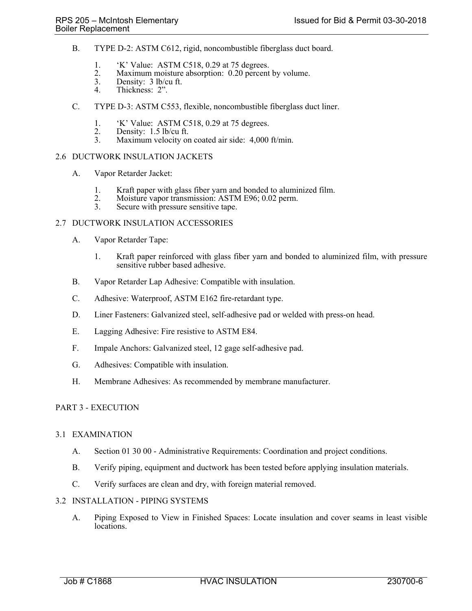- B. TYPE D-2: ASTM C612, rigid, noncombustible fiberglass duct board.
	- 1. 'K' Value: ASTM C518, 0.29 at 75 degrees.
	- 2. Maximum moisture absorption: 0.20 percent by volume.<br>3. Density: 3 lb/cu ft.
	- 3. Density:  $3 \text{ lb/cu ft.}$ <br>4. Thickness:  $2$ ".
	- Thickness: 2".
- C. TYPE D-3: ASTM C553, flexible, noncombustible fiberglass duct liner.
	- 1. 'K' Value: ASTM C518, 0.29 at 75 degrees.<br>2. Density: 1.5 lb/cu ft.
	- 2. Density: 1.5 lb/cu ft.<br>3. Maximum velocity or
	- Maximum velocity on coated air side: 4,000 ft/min.

## 2.6 DUCTWORK INSULATION JACKETS

- A. Vapor Retarder Jacket:
	- 1. Kraft paper with glass fiber yarn and bonded to aluminized film.<br>2. Moisture vapor transmission: ASTM E96; 0.02 perm.<br>3. Secure with pressure sensitive tape.
	-
	- Secure with pressure sensitive tape.

## 2.7 DUCTWORK INSULATION ACCESSORIES

- A. Vapor Retarder Tape:
	- 1. Kraft paper reinforced with glass fiber yarn and bonded to aluminized film, with pressure sensitive rubber based adhesive.
- B. Vapor Retarder Lap Adhesive: Compatible with insulation.
- C. Adhesive: Waterproof, ASTM E162 fire-retardant type.
- D. Liner Fasteners: Galvanized steel, self-adhesive pad or welded with press-on head.
- E. Lagging Adhesive: Fire resistive to ASTM E84.
- F. Impale Anchors: Galvanized steel, 12 gage self-adhesive pad.
- G. Adhesives: Compatible with insulation.
- H. Membrane Adhesives: As recommended by membrane manufacturer.

## PART 3 - EXECUTION

## 3.1 EXAMINATION

- A. Section 01 30 00 Administrative Requirements: Coordination and project conditions.
- B. Verify piping, equipment and ductwork has been tested before applying insulation materials.
- C. Verify surfaces are clean and dry, with foreign material removed.

# 3.2 INSTALLATION - PIPING SYSTEMS

A. Piping Exposed to View in Finished Spaces: Locate insulation and cover seams in least visible locations.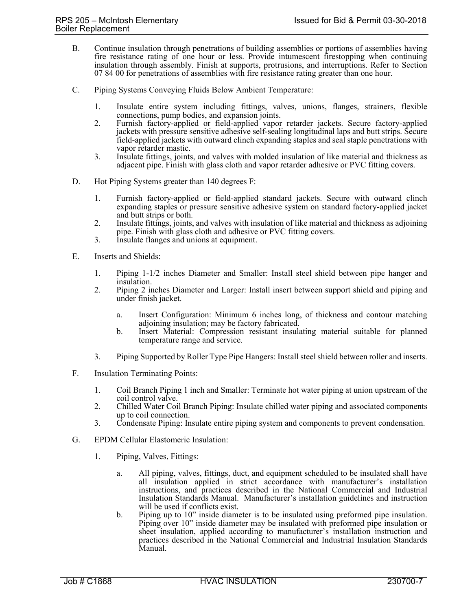- B. Continue insulation through penetrations of building assemblies or portions of assemblies having fire resistance rating of one hour or less. Provide intumescent firestopping when continuing insulation through assembly. Finish at supports, protrusions, and interruptions. Refer to Section 07 84 00 for penetrations of assemblies with fire resistance rating greater than one hour.
- C. Piping Systems Conveying Fluids Below Ambient Temperature:
	- 1. Insulate entire system including fittings, valves, unions, flanges, strainers, flexible connections, pump bodies, and expansion joints.
	- 2. Furnish factory-applied or field-applied vapor retarder jackets. Secure factory-applied jackets with pressure sensitive adhesive self-sealing longitudinal laps and butt strips. Secure field-applied jackets with outward clinch expanding staples and seal staple penetrations with vapor retarder mastic.
	- 3. Insulate fittings, joints, and valves with molded insulation of like material and thickness as adjacent pipe. Finish with glass cloth and vapor retarder adhesive or PVC fitting covers.
- D. Hot Piping Systems greater than 140 degrees F:
	- 1. Furnish factory-applied or field-applied standard jackets. Secure with outward clinch expanding staples or pressure sensitive adhesive system on standard factory-applied jacket and butt strips or both.
	- 2. Insulate fittings, joints, and valves with insulation of like material and thickness as adjoining pipe. Finish with glass cloth and adhesive or PVC fitting covers.
	- 3. Insulate flanges and unions at equipment.
- E. Inserts and Shields:
	- 1. Piping 1-1/2 inches Diameter and Smaller: Install steel shield between pipe hanger and insulation.
	- 2. Piping 2 inches Diameter and Larger: Install insert between support shield and piping and under finish jacket.
		- a. Insert Configuration: Minimum 6 inches long, of thickness and contour matching adjoining insulation; may be factory fabricated.
		- b. Insert Material: Compression resistant insulating material suitable for planned temperature range and service.
	- 3. Piping Supported by Roller Type Pipe Hangers: Install steel shield between roller and inserts.
- F. Insulation Terminating Points:
	- 1. Coil Branch Piping 1 inch and Smaller: Terminate hot water piping at union upstream of the coil control valve.
	- 2. Chilled Water Coil Branch Piping: Insulate chilled water piping and associated components up to coil connection.
	- 3. Condensate Piping: Insulate entire piping system and components to prevent condensation.
- G. EPDM Cellular Elastomeric Insulation:
	- 1. Piping, Valves, Fittings:
		- a. All piping, valves, fittings, duct, and equipment scheduled to be insulated shall have all insulation applied in strict accordance with manufacturer's installation instructions, and practices described in the National Commercial and Industrial Insulation Standards Manual. Manufacturer's installation guidelines and instruction will be used if conflicts exist.
		- b. Piping up to 10" inside diameter is to be insulated using preformed pipe insulation. Piping over 10" inside diameter may be insulated with preformed pipe insulation or sheet insulation, applied according to manufacturer's installation instruction and practices described in the National Commercial and Industrial Insulation Standards Manual.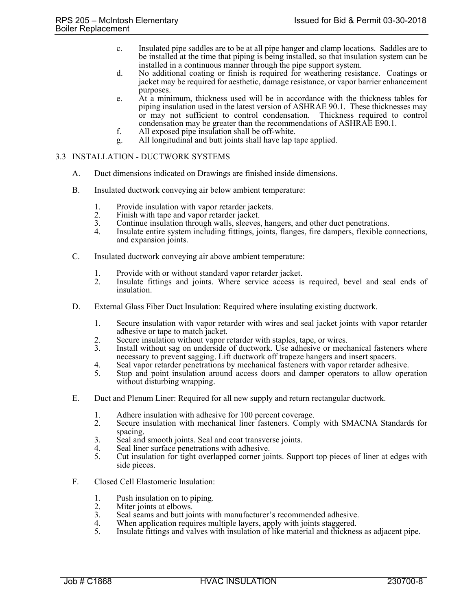- c. Insulated pipe saddles are to be at all pipe hanger and clamp locations. Saddles are to be installed at the time that piping is being installed, so that insulation system can be installed in a continuous manner through the pipe support system.
- d. No additional coating or finish is required for weathering resistance. Coatings or jacket may be required for aesthetic, damage resistance, or vapor barrier enhancement purposes.
- e. At a minimum, thickness used will be in accordance with the thickness tables for piping insulation used in the latest version of ASHRAE 90.1. These thicknesses may or may not sufficient to control condensation. Thickness required to control condensation may be greater than the recommendations of ASHRAE E90.1.
- f. All exposed pipe insulation shall be off-white.
- g. All longitudinal and butt joints shall have lap tape applied.

## 3.3 INSTALLATION - DUCTWORK SYSTEMS

- A. Duct dimensions indicated on Drawings are finished inside dimensions.
- B. Insulated ductwork conveying air below ambient temperature:
	- 1. Provide insulation with vapor retarder jackets.<br>2. Finish with tape and vapor retarder jacket.
	- 2. Finish with tape and vapor retarder jacket.<br>3. Continue insulation through walls, sleeves.
	- 3. Continue insulation through walls, sleeves, hangers, and other duct penetrations.
	- Insulate entire system including fittings, joints, flanges, fire dampers, flexible connections, and expansion joints.
- C. Insulated ductwork conveying air above ambient temperature:
	- 1. Provide with or without standard vapor retarder jacket.
	- 2. Insulate fittings and joints. Where service access is required, bevel and seal ends of insulation.
- D. External Glass Fiber Duct Insulation: Required where insulating existing ductwork.
	- 1. Secure insulation with vapor retarder with wires and seal jacket joints with vapor retarder adhesive or tape to match jacket.
	- 2. Secure insulation without vapor retarder with staples, tape, or wires.<br>3. Install without sag on underside of ductwork. Use adhesive or mech
	- Install without sag on underside of ductwork. Use adhesive or mechanical fasteners where necessary to prevent sagging. Lift ductwork off trapeze hangers and insert spacers.
	- 4. Seal vapor retarder penetrations by mechanical fasteners with vapor retarder adhesive.<br>5. Stop and point insulation around access doors and damper operators to allow operators
	- Stop and point insulation around access doors and damper operators to allow operation without disturbing wrapping.
- E. Duct and Plenum Liner: Required for all new supply and return rectangular ductwork.
	- 1. Adhere insulation with adhesive for 100 percent coverage.
	- 2. Secure insulation with mechanical liner fasteners. Comply with SMACNA Standards for spacing.
	- 3. Seal and smooth joints. Seal and coat transverse joints.
	- 4. Seal liner surface penetrations with adhesive.
	- 5. Cut insulation for tight overlapped corner joints. Support top pieces of liner at edges with side pieces.
- F. Closed Cell Elastomeric Insulation:
	- 1. Push insulation on to piping.
	- 2. Miter joints at elbows.<br>3. Seal seams and butt joint
	- 3. Seal seams and butt joints with manufacturer's recommended adhesive.<br>4. When application requires multiple layers, apply with joints staggered.
	- When application requires multiple layers, apply with joints staggered.
	- 5. Insulate fittings and valves with insulation of like material and thickness as adjacent pipe.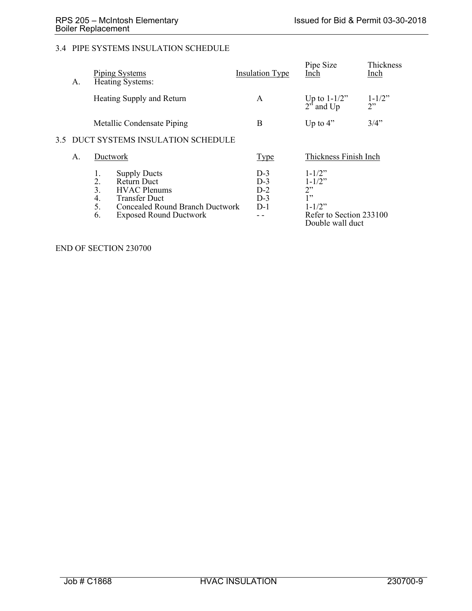## 3.4 PIPE SYSTEMS INSULATION SCHEDULE

| А.                                   |                                  | <b>Piping Systems</b><br>Heating Systems:                                                                                                                           | <b>Insulation Type</b>                    | Pipe Size<br>Inch                                                                                    | Thickness<br>Inch |  |
|--------------------------------------|----------------------------------|---------------------------------------------------------------------------------------------------------------------------------------------------------------------|-------------------------------------------|------------------------------------------------------------------------------------------------------|-------------------|--|
|                                      |                                  | Heating Supply and Return                                                                                                                                           | A                                         | Up to $1-1/2$ "<br>$2^{5}$ and Up                                                                    | $1 - 1/2$ "<br>2  |  |
|                                      |                                  | Metallic Condensate Piping                                                                                                                                          | B                                         | Up to $4$ "                                                                                          | 3/4"              |  |
| 3.5 DUCT SYSTEMS INSULATION SCHEDULE |                                  |                                                                                                                                                                     |                                           |                                                                                                      |                   |  |
| Α.                                   | Ductwork                         |                                                                                                                                                                     | <b>Type</b>                               | Thickness Finish Inch                                                                                |                   |  |
|                                      | 1.<br>2.<br>3.<br>4.<br>5.<br>6. | <b>Supply Ducts</b><br><b>Return Duct</b><br><b>HVAC</b> Plenums<br><b>Transfer Duct</b><br><b>Concealed Round Branch Ductwork</b><br><b>Exposed Round Ductwork</b> | $D-3$<br>$D-3$<br>$D-2$<br>$D-3$<br>$D-1$ | $1 - 1/2$ "<br>$1 - 1/2$ "<br>2"<br>1"<br>$1 - 1/2$ "<br>Refer to Section 233100<br>Double wall duct |                   |  |

END OF SECTION 230700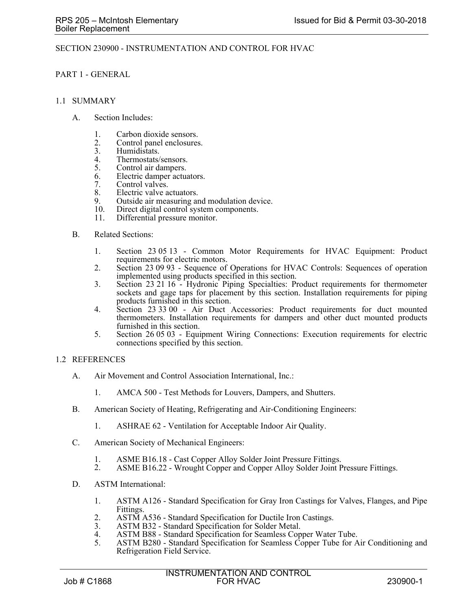### SECTION 230900 - INSTRUMENTATION AND CONTROL FOR HVAC

### PART 1 - GENERAL

#### 1.1 SUMMARY

- A. Section Includes:
	- 1. Carbon dioxide sensors.
	- 2. Control panel enclosures.<br>3. Humidistats.
	- 3. Humidistats.<br>4. Thermostats/
	- 4. Thermostats/sensors.<br>5. Control air dampers.
	- Control air dampers.
	- 6. Electric damper actuators.
	- 7. Control valves.
	- 8. Electric valve actuators.<br>9 Outside air measuring are
	- 9. Outside air measuring and modulation device.<br>10. Direct digital control system components.
	- Direct digital control system components.
	- 11. Differential pressure monitor.
- B. Related Sections:
	- 1. Section 23 05 13 Common Motor Requirements for HVAC Equipment: Product requirements for electric motors.
	- 2. Section 23 09 93 Sequence of Operations for HVAC Controls: Sequences of operation implemented using products specified in this section.
	- 3. Section 23 21 16 Hydronic Piping Specialties: Product requirements for thermometer sockets and gage taps for placement by this section. Installation requirements for piping products furnished in this section.
	- 4. Section 23 33 00 Air Duct Accessories: Product requirements for duct mounted thermometers. Installation requirements for dampers and other duct mounted products furnished in this section.
	- 5. Section 26 05 03 Equipment Wiring Connections: Execution requirements for electric connections specified by this section.

#### 1.2 REFERENCES

- A. Air Movement and Control Association International, Inc.:
	- 1. AMCA 500 Test Methods for Louvers, Dampers, and Shutters.
- B. American Society of Heating, Refrigerating and Air-Conditioning Engineers:
	- 1. ASHRAE 62 Ventilation for Acceptable Indoor Air Quality.
- C. American Society of Mechanical Engineers:
	-
	- 1. ASME B16.18 Cast Copper Alloy Solder Joint Pressure Fittings.<br>2. ASME B16.22 Wrought Copper and Copper Alloy Solder Joint F ASME B16.22 - Wrought Copper and Copper Alloy Solder Joint Pressure Fittings.
- D. ASTM International:
	- 1. ASTM A126 Standard Specification for Gray Iron Castings for Valves, Flanges, and Pipe Fittings.
	- 2. ASTM A536 Standard Specification for Ductile Iron Castings.<br>3. ASTM B32 Standard Specification for Solder Metal.
	- 3. ASTM B32 Standard Specification for Solder Metal.
	- 4. ASTM B88 Standard Specification for Seamless Copper Water Tube.<br>5. ASTM B280 Standard Specification for Seamless Copper Tube for A
	- ASTM B280 Standard Specification for Seamless Copper Tube for Air Conditioning and Refrigeration Field Service.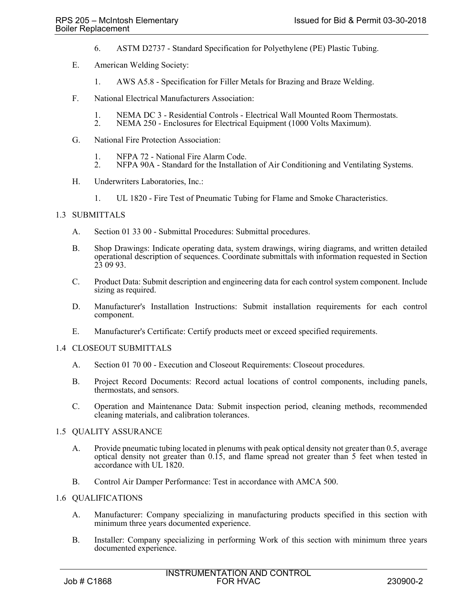- 6. ASTM D2737 Standard Specification for Polyethylene (PE) Plastic Tubing.
- E. American Welding Society:
	- 1. AWS A5.8 Specification for Filler Metals for Brazing and Braze Welding.
- F. National Electrical Manufacturers Association:
	- 1. NEMA DC 3 Residential Controls Electrical Wall Mounted Room Thermostats.<br>2. NEMA 250 Enclosures for Electrical Equipment (1000 Volts Maximum).
	- 2. NEMA 250 Enclosures for Electrical Equipment (1000 Volts Maximum).
- G. National Fire Protection Association:
	- 1. NFPA 72 National Fire Alarm Code.<br>2. NFPA 90A Standard for the Installati
	- 2. NFPA 90A Standard for the Installation of Air Conditioning and Ventilating Systems.
- H. Underwriters Laboratories, Inc.:
	- 1. UL 1820 Fire Test of Pneumatic Tubing for Flame and Smoke Characteristics.

## 1.3 SUBMITTALS

- A. Section 01 33 00 Submittal Procedures: Submittal procedures.
- B. Shop Drawings: Indicate operating data, system drawings, wiring diagrams, and written detailed operational description of sequences. Coordinate submittals with information requested in Section 23 09 93.
- C. Product Data: Submit description and engineering data for each control system component. Include sizing as required.
- D. Manufacturer's Installation Instructions: Submit installation requirements for each control component.
- E. Manufacturer's Certificate: Certify products meet or exceed specified requirements.

#### 1.4 CLOSEOUT SUBMITTALS

- A. Section 01 70 00 Execution and Closeout Requirements: Closeout procedures.
- B. Project Record Documents: Record actual locations of control components, including panels, thermostats, and sensors.
- C. Operation and Maintenance Data: Submit inspection period, cleaning methods, recommended cleaning materials, and calibration tolerances.

#### 1.5 QUALITY ASSURANCE

- A. Provide pneumatic tubing located in plenums with peak optical density not greater than 0.5, average optical density not greater than 0.15, and flame spread not greater than 5 feet when tested in accordance with UL 1820.
- B. Control Air Damper Performance: Test in accordance with AMCA 500.

#### 1.6 QUALIFICATIONS

- A. Manufacturer: Company specializing in manufacturing products specified in this section with minimum three years documented experience.
- B. Installer: Company specializing in performing Work of this section with minimum three years documented experience.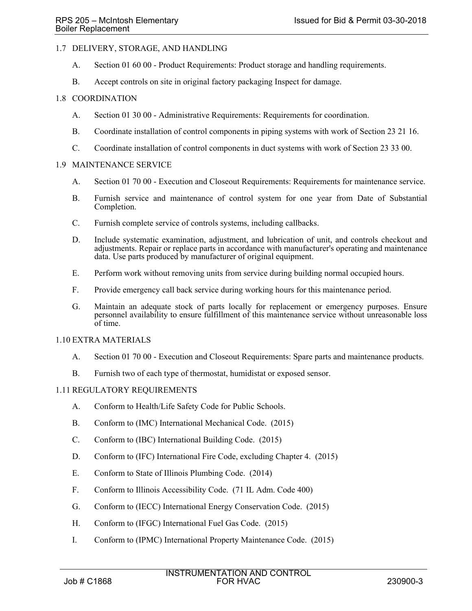## 1.7 DELIVERY, STORAGE, AND HANDLING

- A. Section 01 60 00 Product Requirements: Product storage and handling requirements.
- B. Accept controls on site in original factory packaging Inspect for damage.

# 1.8 COORDINATION

- A. Section 01 30 00 Administrative Requirements: Requirements for coordination.
- B. Coordinate installation of control components in piping systems with work of Section 23 21 16.
- C. Coordinate installation of control components in duct systems with work of Section 23 33 00.

### 1.9 MAINTENANCE SERVICE

- A. Section 01 70 00 Execution and Closeout Requirements: Requirements for maintenance service.
- B. Furnish service and maintenance of control system for one year from Date of Substantial Completion.
- C. Furnish complete service of controls systems, including callbacks.
- D. Include systematic examination, adjustment, and lubrication of unit, and controls checkout and adjustments. Repair or replace parts in accordance with manufacturer's operating and maintenance data. Use parts produced by manufacturer of original equipment.
- E. Perform work without removing units from service during building normal occupied hours.
- F. Provide emergency call back service during working hours for this maintenance period.
- G. Maintain an adequate stock of parts locally for replacement or emergency purposes. Ensure personnel availability to ensure fulfillment of this maintenance service without unreasonable loss of time.

## 1.10 EXTRA MATERIALS

- A. Section 01 70 00 Execution and Closeout Requirements: Spare parts and maintenance products.
- B. Furnish two of each type of thermostat, humidistat or exposed sensor.

## 1.11 REGULATORY REQUIREMENTS

- A. Conform to Health/Life Safety Code for Public Schools.
- B. Conform to (IMC) International Mechanical Code. (2015)
- C. Conform to (IBC) International Building Code. (2015)
- D. Conform to (IFC) International Fire Code, excluding Chapter 4. (2015)
- E. Conform to State of Illinois Plumbing Code. (2014)
- F. Conform to Illinois Accessibility Code. (71 IL Adm. Code 400)
- G. Conform to (IECC) International Energy Conservation Code. (2015)
- H. Conform to (IFGC) International Fuel Gas Code. (2015)
- I. Conform to (IPMC) International Property Maintenance Code. (2015)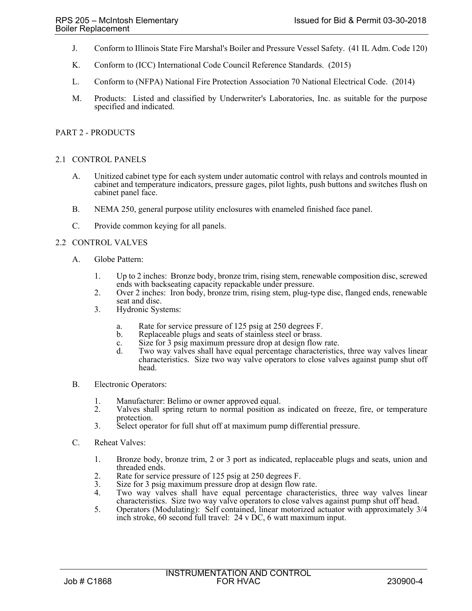- J. Conform to Illinois State Fire Marshal's Boiler and Pressure Vessel Safety. (41 IL Adm. Code 120)
- K. Conform to (ICC) International Code Council Reference Standards. (2015)
- L. Conform to (NFPA) National Fire Protection Association 70 National Electrical Code. (2014)
- M. Products: Listed and classified by Underwriter's Laboratories, Inc. as suitable for the purpose specified and indicated.

## PART 2 - PRODUCTS

## 2.1 CONTROL PANELS

- A. Unitized cabinet type for each system under automatic control with relays and controls mounted in cabinet and temperature indicators, pressure gages, pilot lights, push buttons and switches flush on cabinet panel face.
- B. NEMA 250, general purpose utility enclosures with enameled finished face panel.
- C. Provide common keying for all panels.

## 2.2 CONTROL VALVES

- A. Globe Pattern:
	- 1. Up to 2 inches: Bronze body, bronze trim, rising stem, renewable composition disc, screwed ends with backseating capacity repackable under pressure.
	- 2. Over 2 inches: Iron body, bronze trim, rising stem, plug-type disc, flanged ends, renewable seat and disc.
	- 3. Hydronic Systems:
		- a. Rate for service pressure of 125 psig at 250 degrees F.
		- Replaceable plugs and seats of stainless steel or brass.
		- c. Size for 3 psig maximum pressure drop at design flow rate.
		- d. Two way valves shall have equal percentage characteristics, three way valves linear characteristics. Size two way valve operators to close valves against pump shut off head.
- B. Electronic Operators:
	- 1. Manufacturer: Belimo or owner approved equal.
	- 2. Valves shall spring return to normal position as indicated on freeze, fire, or temperature protection.
	- 3. Select operator for full shut off at maximum pump differential pressure.
- C. Reheat Valves:
	- 1. Bronze body, bronze trim, 2 or 3 port as indicated, replaceable plugs and seats, union and threaded ends.
	- 2. Rate for service pressure of 125 psig at 250 degrees F.
	- 3. Size for 3 psig maximum pressure drop at design flow rate.
	- 4. Two way valves shall have equal percentage characteristics, three way valves linear characteristics. Size two way valve operators to close valves against pump shut off head.
	- 5. Operators (Modulating): Self contained, linear motorized actuator with approximately 3/4 inch stroke, 60 second full travel: 24 v DC, 6 watt maximum input.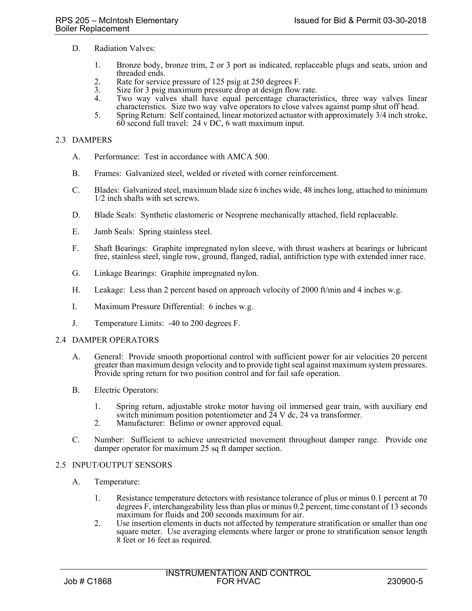- D. Radiation Valves:
	- 1. Bronze body, bronze trim, 2 or 3 port as indicated, replaceable plugs and seats, union and threaded ends.
	- 2. Rate for service pressure of 125 psig at 250 degrees F.<br>3. Size for 3 psig maximum pressure drop at design flow
	- 3. Size for 3 psig maximum pressure drop at design flow rate.
	- Two way valves shall have equal percentage characteristics, three way valves linear characteristics. Size two way valve operators to close valves against pump shut off head.
	- 5. Spring Return: Self contained, linear motorized actuator with approximately 3/4 inch stroke,  $60$  second full travel: 24 v DC, 6 watt maximum input.

### 2.3 DAMPERS

- A. Performance: Test in accordance with AMCA 500.
- B. Frames: Galvanized steel, welded or riveted with corner reinforcement.
- C. Blades: Galvanized steel, maximum blade size 6 inches wide, 48 inches long, attached to minimum 1/2 inch shafts with set screws.
- D. Blade Seals: Synthetic elastomeric or Neoprene mechanically attached, field replaceable.
- E. Jamb Seals: Spring stainless steel.
- F. Shaft Bearings: Graphite impregnated nylon sleeve, with thrust washers at bearings or lubricant free, stainless steel, single row, ground, flanged, radial, antifriction type with extended inner race.
- G. Linkage Bearings: Graphite impregnated nylon.
- H. Leakage: Less than 2 percent based on approach velocity of 2000 ft/min and 4 inches w.g.
- I. Maximum Pressure Differential: 6 inches w.g.
- J. Temperature Limits: -40 to 200 degrees F.

#### 2.4 DAMPER OPERATORS

- A. General: Provide smooth proportional control with sufficient power for air velocities 20 percent greater than maximum design velocity and to provide tight seal against maximum system pressures. Provide spring return for two position control and for fail safe operation.
- B. Electric Operators:
	- 1. Spring return, adjustable stroke motor having oil immersed gear train, with auxiliary end switch minimum position potentiometer and  $\tilde{24}$  V dc, 24 va transformer.
	- 2. Manufacturer: Belimo or owner approved equal.
- C. Number: Sufficient to achieve unrestricted movement throughout damper range. Provide one damper operator for maximum 25 sq ft damper section.

#### 2.5 INPUT/OUTPUT SENSORS

- A. Temperature:
	- 1. Resistance temperature detectors with resistance tolerance of plus or minus 0.1 percent at 70 degrees F, interchangeability less than plus or minus 0.2 percent, time constant of 13 seconds maximum for fluids and 200 seconds maximum for air.
	- 2. Use insertion elements in ducts not affected by temperature stratification or smaller than one square meter. Use averaging elements where larger or prone to stratification sensor length 8 feet or 16 feet as required.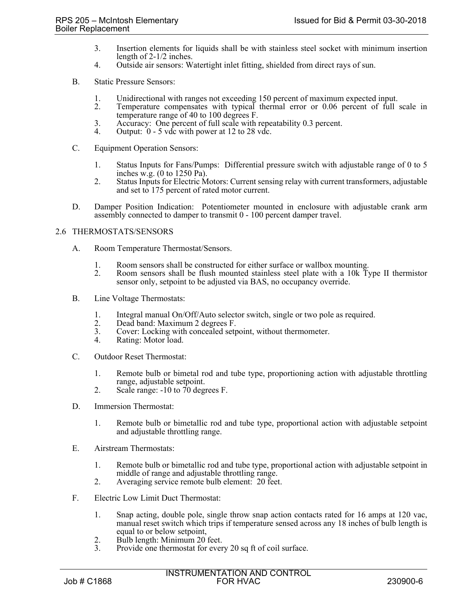- 3. Insertion elements for liquids shall be with stainless steel socket with minimum insertion length of 2-1/2 inches.
- 4. Outside air sensors: Watertight inlet fitting, shielded from direct rays of sun.
- B. Static Pressure Sensors:
	- 1. Unidirectional with ranges not exceeding 150 percent of maximum expected input.<br>2. Temperature compensates with typical thermal error or 0.06 percent of full
	- Temperature compensates with typical thermal error or 0.06 percent of full scale in temperature range of 40 to 100 degrees F.
	- 3. Accuracy: One percent of full scale with repeatability 0.3 percent.
	- Output:  $0 5$  vdc with power at 12 to 28 vdc.
- C. Equipment Operation Sensors:
	- 1. Status Inputs for Fans/Pumps: Differential pressure switch with adjustable range of 0 to 5 inches w.g. (0 to 1250 Pa).
	- 2. Status Inputs for Electric Motors: Current sensing relay with current transformers, adjustable and set to 175 percent of rated motor current.
- D. Damper Position Indication: Potentiometer mounted in enclosure with adjustable crank arm assembly connected to damper to transmit 0 - 100 percent damper travel.

## 2.6 THERMOSTATS/SENSORS

- A. Room Temperature Thermostat/Sensors.
	- 1. Room sensors shall be constructed for either surface or wallbox mounting.<br>2. Room sensors shall be flush mounted stainless steel plate with a 10k Ty
	- 2. Room sensors shall be flush mounted stainless steel plate with a 10k Type II thermistor sensor only, setpoint to be adjusted via BAS, no occupancy override.
- B. Line Voltage Thermostats:
	- 1. Integral manual On/Off/Auto selector switch, single or two pole as required.
	- 2. Dead band: Maximum 2 degrees F.<br>3. Cover: Locking with concealed setp
	- 3. Cover: Locking with concealed setpoint, without thermometer.
	- 4. Rating: Motor load.
- C. Outdoor Reset Thermostat:
	- 1. Remote bulb or bimetal rod and tube type, proportioning action with adjustable throttling range, adjustable setpoint.
	- 2. Scale range: -10 to 70 degrees F.
- D. Immersion Thermostat:
	- 1. Remote bulb or bimetallic rod and tube type, proportional action with adjustable setpoint and adjustable throttling range.
- E. Airstream Thermostats:
	- 1. Remote bulb or bimetallic rod and tube type, proportional action with adjustable setpoint in middle of range and adjustable throttling range.
	- 2. Averaging service remote bulb element: 20 feet.
- F. Electric Low Limit Duct Thermostat:
	- 1. Snap acting, double pole, single throw snap action contacts rated for 16 amps at 120 vac, manual reset switch which trips if temperature sensed across any 18 inches of bulb length is equal to or below setpoint,
	- 2. Bulb length: Minimum 20 feet.<br>3. Provide one thermostat for ever
	- Provide one thermostat for every 20 sq ft of coil surface.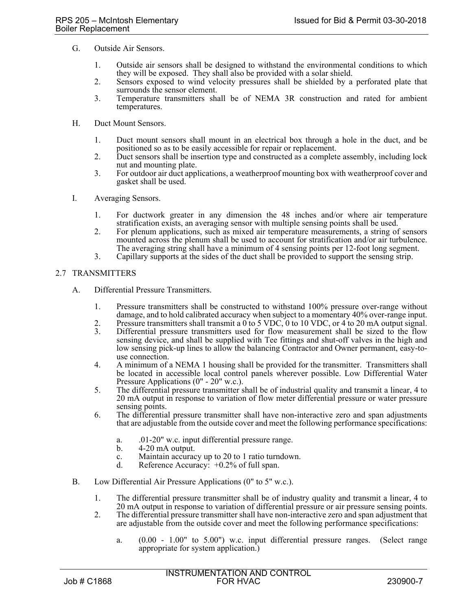- G. Outside Air Sensors.
	- 1. Outside air sensors shall be designed to withstand the environmental conditions to which they will be exposed. They shall also be provided with a solar shield.
	- 2. Sensors exposed to wind velocity pressures shall be shielded by a perforated plate that surrounds the sensor element.
	- 3. Temperature transmitters shall be of NEMA 3R construction and rated for ambient temperatures.
- H. Duct Mount Sensors.
	- 1. Duct mount sensors shall mount in an electrical box through a hole in the duct, and be positioned so as to be easily accessible for repair or replacement.
	- 2. Duct sensors shall be insertion type and constructed as a complete assembly, including lock nut and mounting plate.
	- 3. For outdoor air duct applications, a weatherproof mounting box with weatherproof cover and gasket shall be used.
- I. Averaging Sensors.
	- 1. For ductwork greater in any dimension the 48 inches and/or where air temperature stratification exists, an averaging sensor with multiple sensing points shall be used.
	- 2. For plenum applications, such as mixed air temperature measurements, a string of sensors mounted across the plenum shall be used to account for stratification and/or air turbulence. The averaging string shall have a minimum of 4 sensing points per 12-foot long segment.
	- 3. Capillary supports at the sides of the duct shall be provided to support the sensing strip.

#### 2.7 TRANSMITTERS

- A. Differential Pressure Transmitters.
	- 1. Pressure transmitters shall be constructed to withstand 100% pressure over-range without damage, and to hold calibrated accuracy when subject to a momentary 40% over-range input.
	- 2. Pressure transmitters shall transmit a  $0$  to 5 VDC,  $0$  to 10 VDC, or 4 to 20 mA output signal.
	- 3. Differential pressure transmitters used for flow measurement shall be sized to the flow sensing device, and shall be supplied with Tee fittings and shut-off valves in the high and low sensing pick-up lines to allow the balancing Contractor and Owner permanent, easy-touse connection.
	- 4. A minimum of a NEMA 1 housing shall be provided for the transmitter. Transmitters shall be located in accessible local control panels wherever possible. Low Differential Water Pressure Applications (0" - 20" w.c.).
	- 5. The differential pressure transmitter shall be of industrial quality and transmit a linear, 4 to 20 mA output in response to variation of flow meter differential pressure or water pressure sensing points.
	- 6. The differential pressure transmitter shall have non-interactive zero and span adjustments that are adjustable from the outside cover and meet the following performance specifications:
		- a. .01-20" w.c. input differential pressure range.
		- b. 4-20 mA output.
		- c. Maintain accuracy up to 20 to 1 ratio turndown.
		- d. Reference Accuracy:  $+0.2\%$  of full span.
- B. Low Differential Air Pressure Applications (0" to 5" w.c.).
	- 1. The differential pressure transmitter shall be of industry quality and transmit a linear, 4 to 20 mA output in response to variation of differential pressure or air pressure sensing points.
	- 2. The differential pressure transmitter shall have non-interactive zero and span adjustment that are adjustable from the outside cover and meet the following performance specifications:
		- a. (0.00 1.00" to 5.00") w.c. input differential pressure ranges. (Select range appropriate for system application.)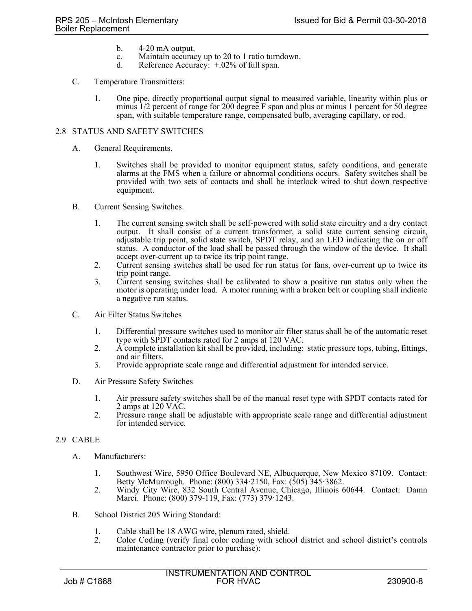- b. 4-20 mA output.
- c. Maintain accuracy up to 20 to 1 ratio turndown.
- d. Reference Accuracy:  $+0.02\%$  of full span.

#### C. Temperature Transmitters:

1. One pipe, directly proportional output signal to measured variable, linearity within plus or minus 1/2 percent of range for 200 degree F span and plus or minus 1 percent for 50 degree span, with suitable temperature range, compensated bulb, averaging capillary, or rod.

### 2.8 STATUS AND SAFETY SWITCHES

- A. General Requirements.
	- 1. Switches shall be provided to monitor equipment status, safety conditions, and generate alarms at the FMS when a failure or abnormal conditions occurs. Safety switches shall be provided with two sets of contacts and shall be interlock wired to shut down respective equipment.
- B. Current Sensing Switches.
	- 1. The current sensing switch shall be self-powered with solid state circuitry and a dry contact output. It shall consist of a current transformer, a solid state current sensing circuit, adjustable trip point, solid state switch, SPDT relay, and an LED indicating the on or off status. A conductor of the load shall be passed through the window of the device. It shall accept over-current up to twice its trip point range.
	- 2. Current sensing switches shall be used for run status for fans, over-current up to twice its trip point range.
	- 3. Current sensing switches shall be calibrated to show a positive run status only when the motor is operating under load. A motor running with a broken belt or coupling shall indicate a negative run status.
- C. Air Filter Status Switches
	- 1. Differential pressure switches used to monitor air filter status shall be of the automatic reset type with SPDT contacts rated for 2 amps at 120 VAC.
	- 2. A complete installation kit shall be provided, including: static pressure tops, tubing, fittings, and air filters.
	- 3. Provide appropriate scale range and differential adjustment for intended service.
- D. Air Pressure Safety Switches
	- 1. Air pressure safety switches shall be of the manual reset type with SPDT contacts rated for 2 amps at 120 VAC.
	- 2. Pressure range shall be adjustable with appropriate scale range and differential adjustment for intended service.

#### 2.9 CABLE

- A. Manufacturers:
	- 1. Southwest Wire, 5950 Office Boulevard NE, Albuquerque, New Mexico 87109. Contact: Betty McMurrough. Phone: (800) 334 $\cdot$ 2150, Fax: (505) 345 $\cdot$ 3862.
	- 2. Windy City Wire, 832 South Central Avenue, Chicago, Illinois 60644. Contact: Damn Marci. Phone: (800) 379-119, Fax: (773) 379 $\cdot$ 1243.
- B. School District 205 Wiring Standard:
	- 1. Cable shall be 18 AWG wire, plenum rated, shield.<br>2. Color Coding (verify final color coding with scho
	- 2. Color Coding (verify final color coding with school district and school district's controls maintenance contractor prior to purchase):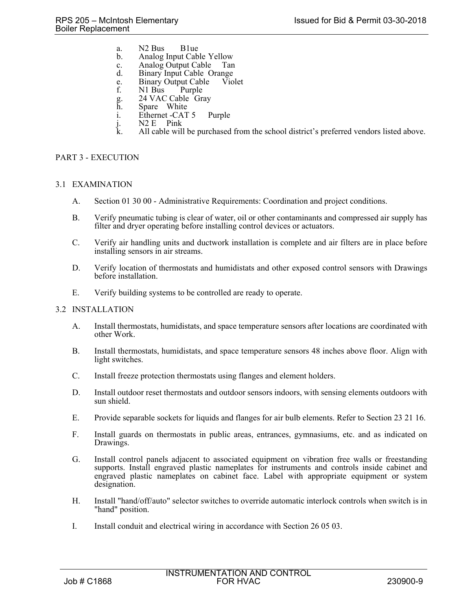- a. N2 Bus B1ue
- b. Analog Input Cable Yellow
- c. Analog Output Cable Tan
- d. Binary Input Cable Orange
- e. Binary Output Cable Violet<br>f. N1 Bus Purple
- $N1$  Bus
- g. 24 VAC Cable Gray<br>h. Spare White
- Spare White
- i. Ethernet -CAT 5 Purple
- j. N2 E Pink<br>k. All cable wil
- All cable will be purchased from the school district's preferred vendors listed above.

## PART 3 - EXECUTION

## 3.1 EXAMINATION

- A. Section 01 30 00 Administrative Requirements: Coordination and project conditions.
- B. Verify pneumatic tubing is clear of water, oil or other contaminants and compressed air supply has filter and dryer operating before installing control devices or actuators.
- C. Verify air handling units and ductwork installation is complete and air filters are in place before installing sensors in air streams.
- D. Verify location of thermostats and humidistats and other exposed control sensors with Drawings before installation.
- E. Verify building systems to be controlled are ready to operate.

### 3.2 INSTALLATION

- A. Install thermostats, humidistats, and space temperature sensors after locations are coordinated with other Work.
- B. Install thermostats, humidistats, and space temperature sensors 48 inches above floor. Align with light switches.
- C. Install freeze protection thermostats using flanges and element holders.
- D. Install outdoor reset thermostats and outdoor sensors indoors, with sensing elements outdoors with sun shield.
- E. Provide separable sockets for liquids and flanges for air bulb elements. Refer to Section 23 21 16.
- F. Install guards on thermostats in public areas, entrances, gymnasiums, etc. and as indicated on Drawings.
- G. Install control panels adjacent to associated equipment on vibration free walls or freestanding supports. Install engraved plastic nameplates for instruments and controls inside cabinet and engraved plastic nameplates on cabinet face. Label with appropriate equipment or system designation.
- H. Install "hand/off/auto" selector switches to override automatic interlock controls when switch is in "hand" position.
- I. Install conduit and electrical wiring in accordance with Section 26 05 03.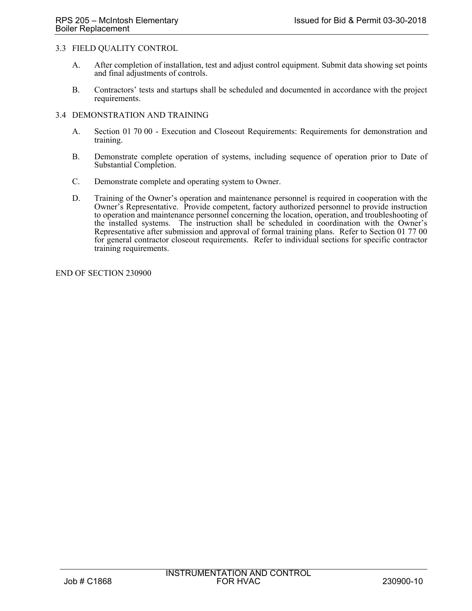## 3.3 FIELD QUALITY CONTROL

- A. After completion of installation, test and adjust control equipment. Submit data showing set points and final adjustments of controls.
- B. Contractors' tests and startups shall be scheduled and documented in accordance with the project requirements.

## 3.4 DEMONSTRATION AND TRAINING

- A. Section 01 70 00 Execution and Closeout Requirements: Requirements for demonstration and training.
- B. Demonstrate complete operation of systems, including sequence of operation prior to Date of Substantial Completion.
- C. Demonstrate complete and operating system to Owner.
- D. Training of the Owner's operation and maintenance personnel is required in cooperation with the Owner's Representative. Provide competent, factory authorized personnel to provide instruction to operation and maintenance personnel concerning the location, operation, and troubleshooting of the installed systems. The instruction shall be scheduled in coordination with the Owner's Representative after submission and approval of formal training plans. Refer to Section 01 77 00 for general contractor closeout requirements. Refer to individual sections for specific contractor training requirements.

END OF SECTION 230900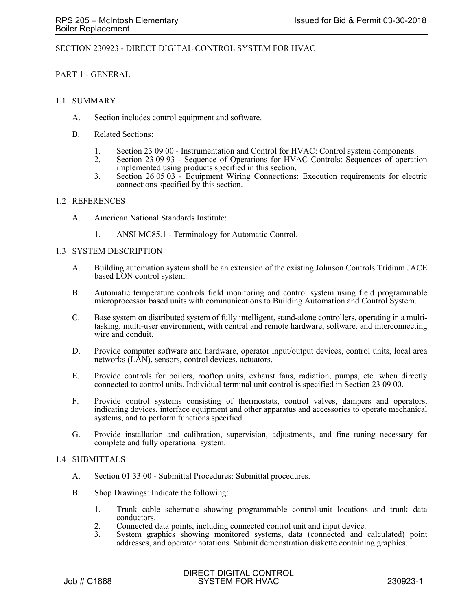### SECTION 230923 - DIRECT DIGITAL CONTROL SYSTEM FOR HVAC

### PART 1 - GENERAL

### 1.1 SUMMARY

- A. Section includes control equipment and software.
- B. Related Sections:
	- 1. Section 23 09 00 Instrumentation and Control for HVAC: Control system components.<br>2. Section 23 09 93 Sequence of Operations for HVAC Controls: Sequences of operation
	- 2. Section 23 09 93 Sequence of Operations for HVAC Controls: Sequences of operation implemented using products specified in this section.
	- 3. Section 26 05 03 Equipment Wiring Connections: Execution requirements for electric connections specified by this section.

#### 1.2 REFERENCES

- A. American National Standards Institute:
	- 1. ANSI MC85.1 Terminology for Automatic Control.

### 1.3 SYSTEM DESCRIPTION

- A. Building automation system shall be an extension of the existing Johnson Controls Tridium JACE based LON control system.
- B. Automatic temperature controls field monitoring and control system using field programmable microprocessor based units with communications to Building Automation and Control System.
- C. Base system on distributed system of fully intelligent, stand-alone controllers, operating in a multitasking, multi-user environment, with central and remote hardware, software, and interconnecting wire and conduit.
- D. Provide computer software and hardware, operator input/output devices, control units, local area networks (LAN), sensors, control devices, actuators.
- E. Provide controls for boilers, rooftop units, exhaust fans, radiation, pumps, etc. when directly connected to control units. Individual terminal unit control is specified in Section 23 09 00.
- F. Provide control systems consisting of thermostats, control valves, dampers and operators, indicating devices, interface equipment and other apparatus and accessories to operate mechanical systems, and to perform functions specified.
- G. Provide installation and calibration, supervision, adjustments, and fine tuning necessary for complete and fully operational system.

### 1.4 SUBMITTALS

- A. Section 01 33 00 Submittal Procedures: Submittal procedures.
- B. Shop Drawings: Indicate the following:
	- 1. Trunk cable schematic showing programmable control-unit locations and trunk data conductors.
	- 2. Connected data points, including connected control unit and input device.<br>3. System graphics showing monitored systems, data (connected and d
	- System graphics showing monitored systems, data (connected and calculated) point addresses, and operator notations. Submit demonstration diskette containing graphics.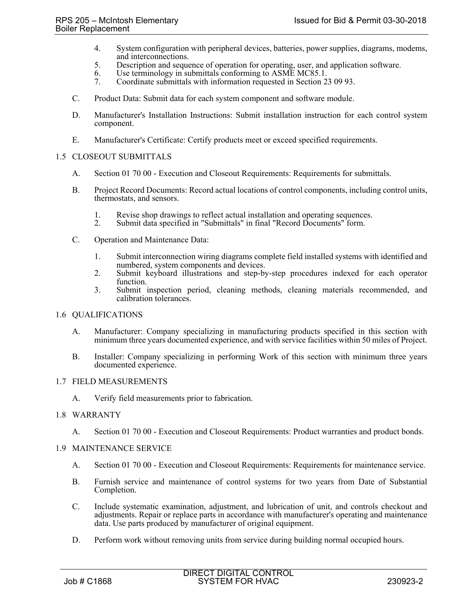- 4. System configuration with peripheral devices, batteries, power supplies, diagrams, modems, and interconnections.
- 5. Description and sequence of operation for operating, user, and application software.
- 6. Use terminology in submittals conforming to ASME MC85.1.
- 7. Coordinate submittals with information requested in Section 23 09 93.
- C. Product Data: Submit data for each system component and software module.
- D. Manufacturer's Installation Instructions: Submit installation instruction for each control system component.
- E. Manufacturer's Certificate: Certify products meet or exceed specified requirements.

## 1.5 CLOSEOUT SUBMITTALS

- A. Section 01 70 00 Execution and Closeout Requirements: Requirements for submittals.
- B. Project Record Documents: Record actual locations of control components, including control units, thermostats, and sensors.
	- 1. Revise shop drawings to reflect actual installation and operating sequences.<br>2. Submit data specified in "Submittals" in final "Record Documents" form.
	- Submit data specified in "Submittals" in final "Record Documents" form.
- C. Operation and Maintenance Data:
	- 1. Submit interconnection wiring diagrams complete field installed systems with identified and numbered, system components and devices.
	- 2. Submit keyboard illustrations and step-by-step procedures indexed for each operator function.
	- 3. Submit inspection period, cleaning methods, cleaning materials recommended, and calibration tolerances.

## 1.6 QUALIFICATIONS

- A. Manufacturer: Company specializing in manufacturing products specified in this section with minimum three years documented experience, and with service facilities within 50 miles of Project.
- B. Installer: Company specializing in performing Work of this section with minimum three years documented experience.

## 1.7 FIELD MEASUREMENTS

A. Verify field measurements prior to fabrication.

#### 1.8 WARRANTY

A. Section 01 70 00 - Execution and Closeout Requirements: Product warranties and product bonds.

#### 1.9 MAINTENANCE SERVICE

- A. Section 01 70 00 Execution and Closeout Requirements: Requirements for maintenance service.
- B. Furnish service and maintenance of control systems for two years from Date of Substantial Completion.
- C. Include systematic examination, adjustment, and lubrication of unit, and controls checkout and adjustments. Repair or replace parts in accordance with manufacturer's operating and maintenance data. Use parts produced by manufacturer of original equipment.
- D. Perform work without removing units from service during building normal occupied hours.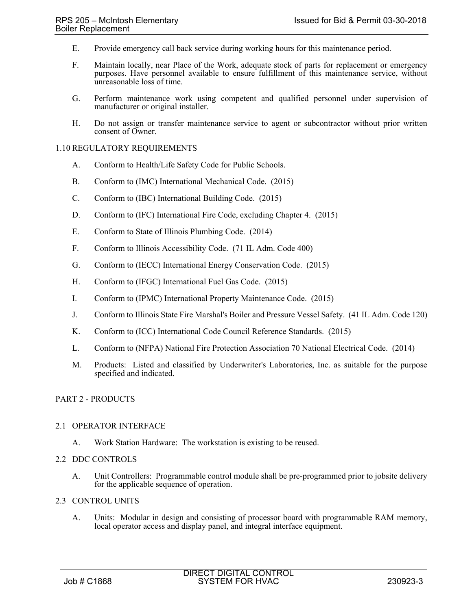- E. Provide emergency call back service during working hours for this maintenance period.
- F. Maintain locally, near Place of the Work, adequate stock of parts for replacement or emergency purposes. Have personnel available to ensure fulfillment of this maintenance service, without unreasonable loss of time.
- G. Perform maintenance work using competent and qualified personnel under supervision of manufacturer or original installer.
- H. Do not assign or transfer maintenance service to agent or subcontractor without prior written consent of Owner.

## 1.10 REGULATORY REQUIREMENTS

- A. Conform to Health/Life Safety Code for Public Schools.
- B. Conform to (IMC) International Mechanical Code. (2015)
- C. Conform to (IBC) International Building Code. (2015)
- D. Conform to (IFC) International Fire Code, excluding Chapter 4. (2015)
- E. Conform to State of Illinois Plumbing Code. (2014)
- F. Conform to Illinois Accessibility Code. (71 IL Adm. Code 400)
- G. Conform to (IECC) International Energy Conservation Code. (2015)
- H. Conform to (IFGC) International Fuel Gas Code. (2015)
- I. Conform to (IPMC) International Property Maintenance Code. (2015)
- J. Conform to Illinois State Fire Marshal's Boiler and Pressure Vessel Safety. (41 IL Adm. Code 120)
- K. Conform to (ICC) International Code Council Reference Standards. (2015)
- L. Conform to (NFPA) National Fire Protection Association 70 National Electrical Code. (2014)
- M. Products: Listed and classified by Underwriter's Laboratories, Inc. as suitable for the purpose specified and indicated.

## PART 2 - PRODUCTS

#### 2.1 OPERATOR INTERFACE

A. Work Station Hardware: The workstation is existing to be reused.

## 2.2 DDC CONTROLS

A. Unit Controllers: Programmable control module shall be pre-programmed prior to jobsite delivery for the applicable sequence of operation.

## 2.3 CONTROL UNITS

A. Units: Modular in design and consisting of processor board with programmable RAM memory, local operator access and display panel, and integral interface equipment.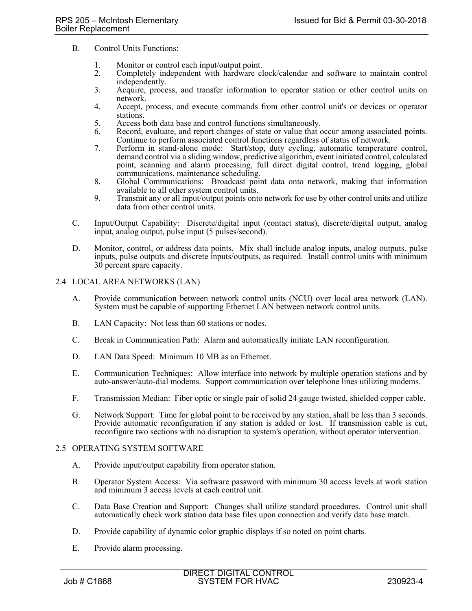- B. Control Units Functions:
	- 1. Monitor or control each input/output point.
	- 2. Completely independent with hardware clock/calendar and software to maintain control independently.
	- 3. Acquire, process, and transfer information to operator station or other control units on network.
	- 4. Accept, process, and execute commands from other control unit's or devices or operator stations.
	- 5. Access both data base and control functions simultaneously.
	- 6. Record, evaluate, and report changes of state or value that occur among associated points. Continue to perform associated control functions regardless of status of network.
	- 7. Perform in stand-alone mode: Start/stop, duty cycling, automatic temperature control, demand control via a sliding window, predictive algorithm, event initiated control, calculated point, scanning and alarm processing, full direct digital control, trend logging, global communications, maintenance scheduling.
	- 8. Global Communications: Broadcast point data onto network, making that information available to all other system control units.
	- 9. Transmit any or all input/output points onto network for use by other control units and utilize data from other control units.
- C. Input/Output Capability: Discrete/digital input (contact status), discrete/digital output, analog input, analog output, pulse input (5 pulses/second).
- D. Monitor, control, or address data points. Mix shall include analog inputs, analog outputs, pulse inputs, pulse outputs and discrete inputs/outputs, as required. Install control units with minimum 30 percent spare capacity.

## 2.4 LOCAL AREA NETWORKS (LAN)

- A. Provide communication between network control units (NCU) over local area network (LAN). System must be capable of supporting Ethernet LAN between network control units.
- B. LAN Capacity: Not less than 60 stations or nodes.
- C. Break in Communication Path: Alarm and automatically initiate LAN reconfiguration.
- D. LAN Data Speed: Minimum 10 MB as an Ethernet.
- E. Communication Techniques: Allow interface into network by multiple operation stations and by auto-answer/auto-dial modems. Support communication over telephone lines utilizing modems.
- F. Transmission Median: Fiber optic or single pair of solid 24 gauge twisted, shielded copper cable.
- G. Network Support: Time for global point to be received by any station, shall be less than 3 seconds. Provide automatic reconfiguration if any station is added or lost. If transmission cable is cut, reconfigure two sections with no disruption to system's operation, without operator intervention.

#### 2.5 OPERATING SYSTEM SOFTWARE

- A. Provide input/output capability from operator station.
- B. Operator System Access: Via software password with minimum 30 access levels at work station and minimum 3 access levels at each control unit.
- C. Data Base Creation and Support: Changes shall utilize standard procedures. Control unit shall automatically check work station data base files upon connection and verify data base match.
- D. Provide capability of dynamic color graphic displays if so noted on point charts.
- E. Provide alarm processing.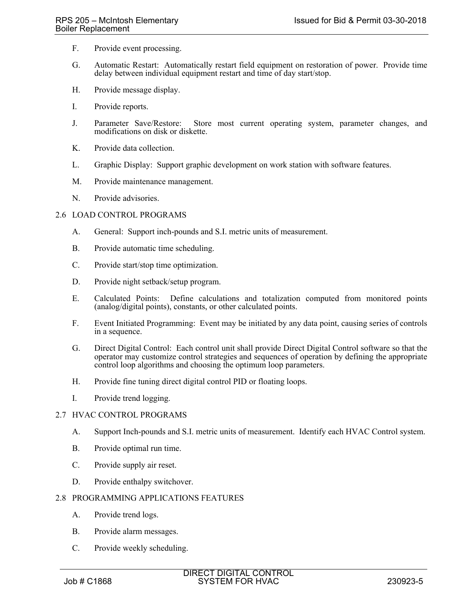- F. Provide event processing.
- G. Automatic Restart: Automatically restart field equipment on restoration of power. Provide time delay between individual equipment restart and time of day start/stop.
- H. Provide message display.
- I. Provide reports.
- J. Parameter Save/Restore: Store most current operating system, parameter changes, and modifications on disk or diskette.
- K. Provide data collection.
- L. Graphic Display: Support graphic development on work station with software features.
- M. Provide maintenance management.
- N. Provide advisories.

## 2.6 LOAD CONTROL PROGRAMS

- A. General: Support inch-pounds and S.I. metric units of measurement.
- B. Provide automatic time scheduling.
- C. Provide start/stop time optimization.
- D. Provide night setback/setup program.
- E. Calculated Points: Define calculations and totalization computed from monitored points (analog/digital points), constants, or other calculated points.
- F. Event Initiated Programming: Event may be initiated by any data point, causing series of controls in a sequence.
- G. Direct Digital Control: Each control unit shall provide Direct Digital Control software so that the operator may customize control strategies and sequences of operation by defining the appropriate control loop algorithms and choosing the optimum loop parameters.
- H. Provide fine tuning direct digital control PID or floating loops.
- I. Provide trend logging.

### 2.7 HVAC CONTROL PROGRAMS

- A. Support Inch-pounds and S.I. metric units of measurement. Identify each HVAC Control system.
- B. Provide optimal run time.
- C. Provide supply air reset.
- D. Provide enthalpy switchover.

## 2.8 PROGRAMMING APPLICATIONS FEATURES

- A. Provide trend logs.
- B. Provide alarm messages.
- C. Provide weekly scheduling.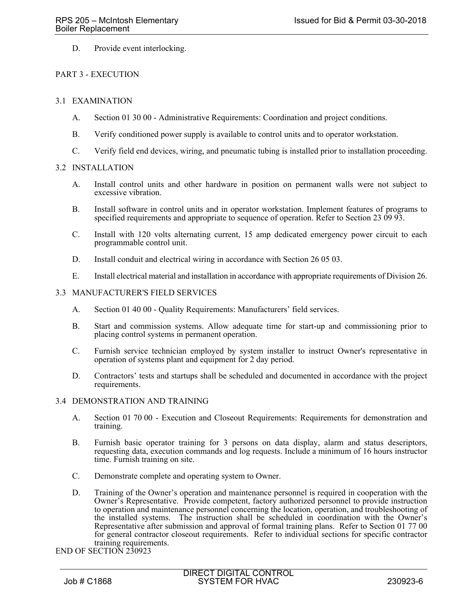D. Provide event interlocking.

## PART 3 - EXECUTION

## 3.1 EXAMINATION

- A. Section 01 30 00 Administrative Requirements: Coordination and project conditions.
- B. Verify conditioned power supply is available to control units and to operator workstation.
- C. Verify field end devices, wiring, and pneumatic tubing is installed prior to installation proceeding.

## 3.2 INSTALLATION

- A. Install control units and other hardware in position on permanent walls were not subject to excessive vibration.
- B. Install software in control units and in operator workstation. Implement features of programs to specified requirements and appropriate to sequence of operation. Refer to Section 23 09 93.
- C. Install with 120 volts alternating current, 15 amp dedicated emergency power circuit to each programmable control unit.
- D. Install conduit and electrical wiring in accordance with Section 26 05 03.
- E. Install electrical material and installation in accordance with appropriate requirements of Division 26.

#### 3.3 MANUFACTURER'S FIELD SERVICES

- A. Section 01 40 00 Quality Requirements: Manufacturers' field services.
- B. Start and commission systems. Allow adequate time for start-up and commissioning prior to placing control systems in permanent operation.
- C. Furnish service technician employed by system installer to instruct Owner's representative in operation of systems plant and equipment for 2 day period.
- D. Contractors' tests and startups shall be scheduled and documented in accordance with the project requirements.

#### 3.4 DEMONSTRATION AND TRAINING

- A. Section 01 70 00 Execution and Closeout Requirements: Requirements for demonstration and training.
- B. Furnish basic operator training for 3 persons on data display, alarm and status descriptors, requesting data, execution commands and log requests. Include a minimum of 16 hours instructor time. Furnish training on site.
- C. Demonstrate complete and operating system to Owner.
- D. Training of the Owner's operation and maintenance personnel is required in cooperation with the Owner's Representative. Provide competent, factory authorized personnel to provide instruction to operation and maintenance personnel concerning the location, operation, and troubleshooting of the installed systems. The instruction shall be scheduled in coordination with the Owner's Representative after submission and approval of formal training plans. Refer to Section 01 77 00 for general contractor closeout requirements. Refer to individual sections for specific contractor training requirements.

END OF SECTION 230923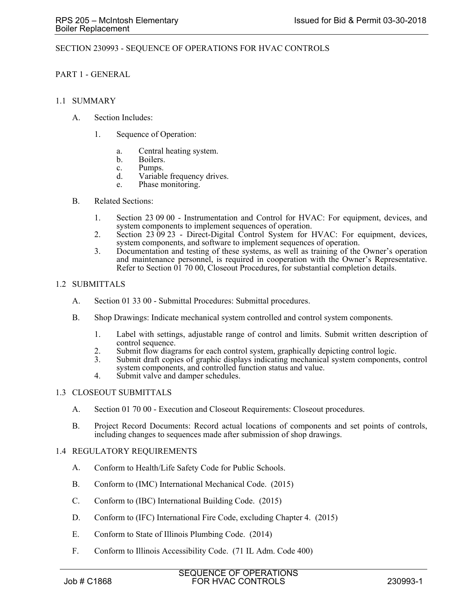## SECTION 230993 - SEQUENCE OF OPERATIONS FOR HVAC CONTROLS

### PART 1 - GENERAL

### 1.1 SUMMARY

- A. Section Includes:
	- 1. Sequence of Operation:
		- a. Central heating system.
		- b. Boilers.
		- c. Pumps.
		- d. Variable frequency drives.
		- e. Phase monitoring.

#### B. Related Sections:

- 1. Section 23 09 00 Instrumentation and Control for HVAC: For equipment, devices, and system components to implement sequences of operation.
- 2. Section 23 09 23 Direct-Digital Control System for HVAC: For equipment, devices, system components, and software to implement sequences of operation.
- 3. Documentation and testing of these systems, as well as training of the Owner's operation and maintenance personnel, is required in cooperation with the Owner's Representative. Refer to Section 01 70 00, Closeout Procedures, for substantial completion details.

## 1.2 SUBMITTALS

- A. Section 01 33 00 Submittal Procedures: Submittal procedures.
- B. Shop Drawings: Indicate mechanical system controlled and control system components.
	- 1. Label with settings, adjustable range of control and limits. Submit written description of control sequence.
	- 2. Submit flow diagrams for each control system, graphically depicting control logic.
	- 3. Submit draft copies of graphic displays indicating mechanical system components, control system components, and controlled function status and value.
	- 4. Submit valve and damper schedules.

#### 1.3 CLOSEOUT SUBMITTALS

- A. Section 01 70 00 Execution and Closeout Requirements: Closeout procedures.
- B. Project Record Documents: Record actual locations of components and set points of controls, including changes to sequences made after submission of shop drawings.

#### 1.4 REGULATORY REQUIREMENTS

- A. Conform to Health/Life Safety Code for Public Schools.
- B. Conform to (IMC) International Mechanical Code. (2015)
- C. Conform to (IBC) International Building Code. (2015)
- D. Conform to (IFC) International Fire Code, excluding Chapter 4. (2015)
- E. Conform to State of Illinois Plumbing Code. (2014)
- F. Conform to Illinois Accessibility Code. (71 IL Adm. Code 400)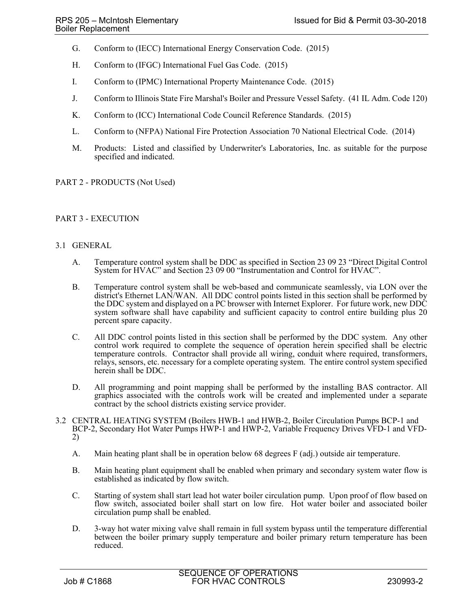- G. Conform to (IECC) International Energy Conservation Code. (2015)
- H. Conform to (IFGC) International Fuel Gas Code. (2015)
- I. Conform to (IPMC) International Property Maintenance Code. (2015)
- J. Conform to Illinois State Fire Marshal's Boiler and Pressure Vessel Safety. (41 IL Adm. Code 120)
- K. Conform to (ICC) International Code Council Reference Standards. (2015)
- L. Conform to (NFPA) National Fire Protection Association 70 National Electrical Code. (2014)
- M. Products: Listed and classified by Underwriter's Laboratories, Inc. as suitable for the purpose specified and indicated.

## PART 2 - PRODUCTS (Not Used)

# PART 3 - EXECUTION

## 3.1 GENERAL

- A. Temperature control system shall be DDC as specified in Section 23 09 23 "Direct Digital Control System for HVAC" and Section 23 09 00 "Instrumentation and Control for HVAC".
- B. Temperature control system shall be web-based and communicate seamlessly, via LON over the district's Ethernet LAN/WAN. All DDC control points listed in this section shall be performed by the DDC system and displayed on a PC browser with Internet Explorer. For future work, new DDC system software shall have capability and sufficient capacity to control entire building plus 20 percent spare capacity.
- C. All DDC control points listed in this section shall be performed by the DDC system. Any other control work required to complete the sequence of operation herein specified shall be electric temperature controls. Contractor shall provide all wiring, conduit where required, transformers, relays, sensors, etc. necessary for a complete operating system. The entire control system specified herein shall be DDC.
- D. All programming and point mapping shall be performed by the installing BAS contractor. All graphics associated with the controls work will be created and implemented under a separate contract by the school districts existing service provider.
- 3.2 CENTRAL HEATING SYSTEM (Boilers HWB-1 and HWB-2, Boiler Circulation Pumps BCP-1 and BCP-2, Secondary Hot Water Pumps HWP-1 and HWP-2, Variable Frequency Drives VFD-1 and VFD-2)
	- A. Main heating plant shall be in operation below 68 degrees F (adj.) outside air temperature.
	- B. Main heating plant equipment shall be enabled when primary and secondary system water flow is established as indicated by flow switch.
	- C. Starting of system shall start lead hot water boiler circulation pump. Upon proof of flow based on flow switch, associated boiler shall start on low fire. Hot water boiler and associated boiler circulation pump shall be enabled.
	- D. 3-way hot water mixing valve shall remain in full system bypass until the temperature differential between the boiler primary supply temperature and boiler primary return temperature has been reduced.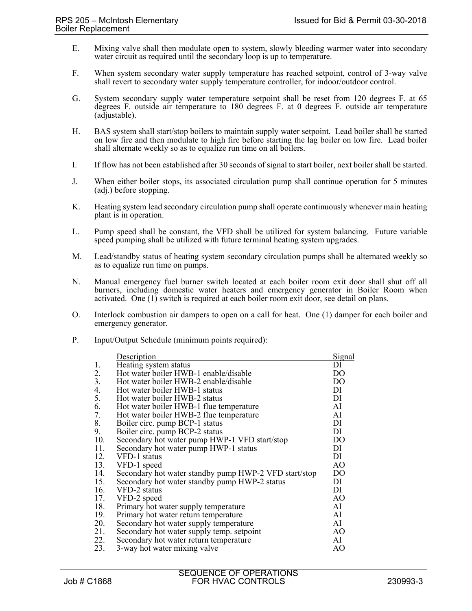- E. Mixing valve shall then modulate open to system, slowly bleeding warmer water into secondary water circuit as required until the secondary loop is up to temperature.
- F. When system secondary water supply temperature has reached setpoint, control of 3-way valve shall revert to secondary water supply temperature controller, for indoor/outdoor control.
- G. System secondary supply water temperature setpoint shall be reset from 120 degrees F. at 65 degrees F. outside air temperature to 180 degrees F. at 0 degrees F. outside air temperature (adjustable).
- H. BAS system shall start/stop boilers to maintain supply water setpoint. Lead boiler shall be started on low fire and then modulate to high fire before starting the lag boiler on low fire. Lead boiler shall alternate weekly so as to equalize run time on all boilers.
- I. If flow has not been established after 30 seconds of signal to start boiler, next boiler shall be started.
- J. When either boiler stops, its associated circulation pump shall continue operation for 5 minutes (adj.) before stopping.
- K. Heating system lead secondary circulation pump shall operate continuously whenever main heating plant is in operation.
- L. Pump speed shall be constant, the VFD shall be utilized for system balancing. Future variable speed pumping shall be utilized with future terminal heating system upgrades.
- M. Lead/standby status of heating system secondary circulation pumps shall be alternated weekly so as to equalize run time on pumps.
- N. Manual emergency fuel burner switch located at each boiler room exit door shall shut off all burners, including domestic water heaters and emergency generator in Boiler Room when activated. One (1) switch is required at each boiler room exit door, see detail on plans.
- O. Interlock combustion air dampers to open on a call for heat. One (1) damper for each boiler and emergency generator.
- P. Input/Output Schedule (minimum points required):

|     | Description                                           | Signal         |
|-----|-------------------------------------------------------|----------------|
| 1.  | Heating system status                                 | DI             |
| 2.  | Hot water boiler HWB-1 enable/disable                 | DO             |
| 3.  | Hot water boiler HWB-2 enable/disable                 | DO             |
| 4.  | Hot water boiler HWB-1 status                         | DI             |
| 5.  | Hot water boiler HWB-2 status                         | DI             |
| 6.  | Hot water boiler HWB-1 flue temperature               | AI             |
| 7.  | Hot water boiler HWB-2 flue temperature               | AI             |
| 8.  | Boiler circ. pump BCP-1 status                        | DI             |
| 9.  | Boiler circ. pump BCP-2 status                        | DI             |
| 10. | Secondary hot water pump HWP-1 VFD start/stop         | D <sub>O</sub> |
| 11. | Secondary hot water pump HWP-1 status                 | DI             |
| 12. | VFD-1 status                                          | DI             |
| 13. | VFD-1 speed                                           | AO             |
| 14. | Secondary hot water standby pump HWP-2 VFD start/stop | D <sub>O</sub> |
| 15. | Secondary hot water standby pump HWP-2 status         | DI             |
| 16. | VFD-2 status                                          | DI             |
| 17. | VFD-2 speed                                           | AO             |
| 18. | Primary hot water supply temperature                  | AI             |
| 19. | Primary hot water return temperature                  | AI             |
| 20. | Secondary hot water supply temperature                | AI             |
| 21. | Secondary hot water supply temp. setpoint             | AO             |
| 22. | Secondary hot water return temperature                | AI             |
| 23. | 3-way hot water mixing valve                          | AO             |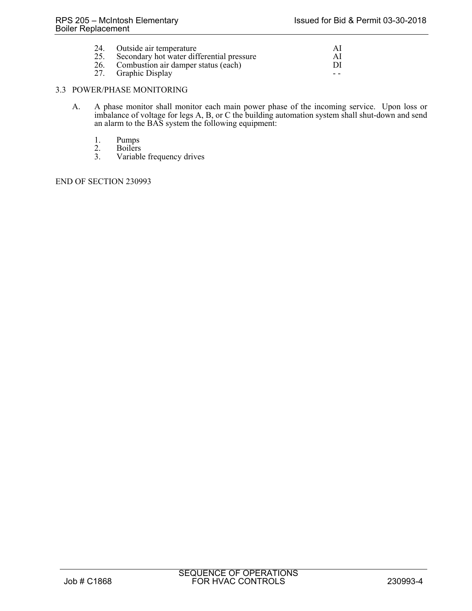|     | 24. Outside air temperature               |    |
|-----|-------------------------------------------|----|
| 25. | Secondary hot water differential pressure | AL |
|     | 26. Combustion air damper status (each)   | DL |
|     | 27. Graphic Display                       |    |

## 3.3 POWER/PHASE MONITORING

- A. A phase monitor shall monitor each main power phase of the incoming service. Upon loss or imbalance of voltage for legs A, B, or C the building automation system shall shut-down and send an alarm to the BAS system the following equipment:
	- 1. Pumps<br>2. Boilers
	- 2. Boilers<br>3. Variabl
	- Variable frequency drives

END OF SECTION 230993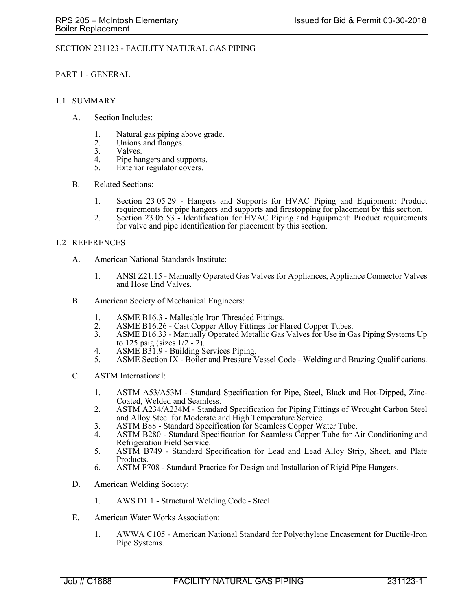## SECTION 231123 - FACILITY NATURAL GAS PIPING

### PART 1 - GENERAL

#### 1.1 SUMMARY

- A. Section Includes:
	- 1. Natural gas piping above grade.
	- 2. Unions and flanges.<br>3. Valves.
	- Valves.
	- 4. Pipe hangers and supports.<br>5. Exterior regulator covers.
	- Exterior regulator covers.
- B. Related Sections:
	- 1. Section 23 05 29 Hangers and Supports for HVAC Piping and Equipment: Product requirements for pipe hangers and supports and firestopping for placement by this section.
	- 2. Section 23 05 53 Identification for HVAC Piping and Equipment: Product requirements for valve and pipe identification for placement by this section.

## 1.2 REFERENCES

- A. American National Standards Institute:
	- 1. ANSI Z21.15 Manually Operated Gas Valves for Appliances, Appliance Connector Valves and Hose End Valves.
- B. American Society of Mechanical Engineers:
	- 1. ASME B16.3 Malleable Iron Threaded Fittings.
	- 2. ASME B16.26 Cast Copper Alloy Fittings for Flared Copper Tubes.<br>3. ASME B16.33 Manually Operated Metallic Gas Valves for Use in Gas
	- ASME B16.33 Manually Operated Metallic Gas Valves for Use in Gas Piping Systems Up to 125 psig (sizes 1/2 - 2).
	- 4. ASME B31.9 Building Services Piping.
	- 5. ASME Section IX Boiler and Pressure Vessel Code Welding and Brazing Qualifications.
- C. ASTM International:
	- 1. ASTM A53/A53M Standard Specification for Pipe, Steel, Black and Hot-Dipped, Zinc-Coated, Welded and Seamless.
	- 2. ASTM A234/A234M Standard Specification for Piping Fittings of Wrought Carbon Steel and Alloy Steel for Moderate and High Temperature Service.
	- 3. ASTM B88 Standard Specification for Seamless Copper Water Tube.
	- 4. ASTM B280 Standard Specification for Seamless Copper Tube for Air Conditioning and Refrigeration Field Service.
	- 5. ASTM B749 Standard Specification for Lead and Lead Alloy Strip, Sheet, and Plate Products.
	- 6. ASTM F708 Standard Practice for Design and Installation of Rigid Pipe Hangers.
- D. American Welding Society:
	- 1. AWS D1.1 Structural Welding Code Steel.
- E. American Water Works Association:
	- 1. AWWA C105 American National Standard for Polyethylene Encasement for Ductile-Iron Pipe Systems.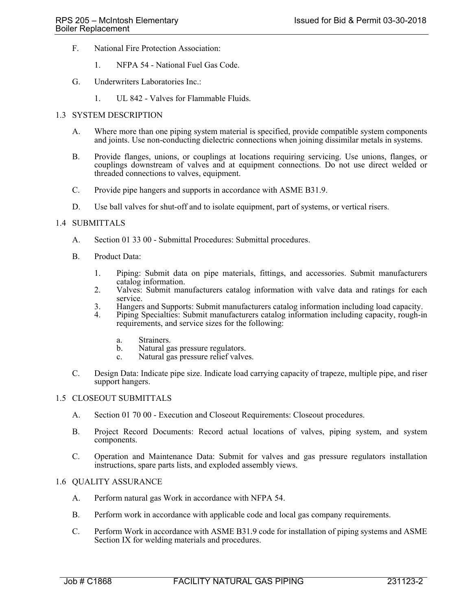- F. National Fire Protection Association:
	- 1. NFPA 54 National Fuel Gas Code.
- G. Underwriters Laboratories Inc.:
	- 1. UL 842 Valves for Flammable Fluids.

## 1.3 SYSTEM DESCRIPTION

- A. Where more than one piping system material is specified, provide compatible system components and joints. Use non-conducting dielectric connections when joining dissimilar metals in systems.
- B. Provide flanges, unions, or couplings at locations requiring servicing. Use unions, flanges, or couplings downstream of valves and at equipment connections. Do not use direct welded or threaded connections to valves, equipment.
- C. Provide pipe hangers and supports in accordance with ASME B31.9.
- D. Use ball valves for shut-off and to isolate equipment, part of systems, or vertical risers.

## 1.4 SUBMITTALS

- A. Section 01 33 00 Submittal Procedures: Submittal procedures.
- B. Product Data:
	- 1. Piping: Submit data on pipe materials, fittings, and accessories. Submit manufacturers catalog information.
	- 2. Valves: Submit manufacturers catalog information with valve data and ratings for each service.
	- 3. Hangers and Supports: Submit manufacturers catalog information including load capacity.
	- 4. Piping Specialties: Submit manufacturers catalog information including capacity, rough-in requirements, and service sizes for the following:
		- a. Strainers.
		- b. Natural gas pressure regulators.
		- c. Natural gas pressure relief valves.
- C. Design Data: Indicate pipe size. Indicate load carrying capacity of trapeze, multiple pipe, and riser support hangers.

#### 1.5 CLOSEOUT SUBMITTALS

- A. Section 01 70 00 Execution and Closeout Requirements: Closeout procedures.
- B. Project Record Documents: Record actual locations of valves, piping system, and system components.
- C. Operation and Maintenance Data: Submit for valves and gas pressure regulators installation instructions, spare parts lists, and exploded assembly views.

## 1.6 QUALITY ASSURANCE

- A. Perform natural gas Work in accordance with NFPA 54.
- B. Perform work in accordance with applicable code and local gas company requirements.
- C. Perform Work in accordance with ASME B31.9 code for installation of piping systems and ASME Section IX for welding materials and procedures.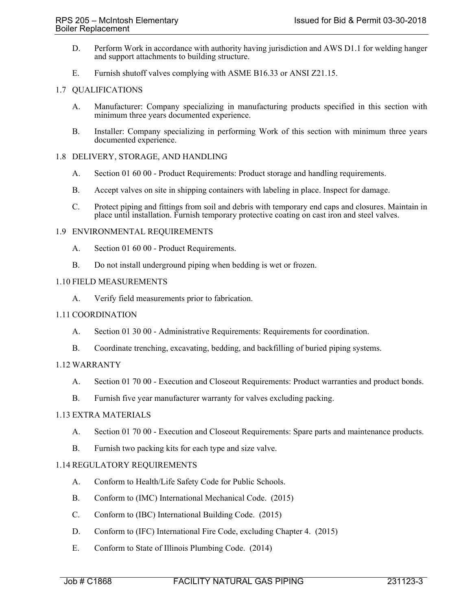- D. Perform Work in accordance with authority having jurisdiction and AWS D1.1 for welding hanger and support attachments to building structure.
- E. Furnish shutoff valves complying with ASME B16.33 or ANSI Z21.15.

## 1.7 QUALIFICATIONS

- A. Manufacturer: Company specializing in manufacturing products specified in this section with minimum three years documented experience.
- B. Installer: Company specializing in performing Work of this section with minimum three years documented experience.

### 1.8 DELIVERY, STORAGE, AND HANDLING

- A. Section 01 60 00 Product Requirements: Product storage and handling requirements.
- B. Accept valves on site in shipping containers with labeling in place. Inspect for damage.
- C. Protect piping and fittings from soil and debris with temporary end caps and closures. Maintain in place until installation. Furnish temporary protective coating on cast iron and steel valves.

## 1.9 ENVIRONMENTAL REQUIREMENTS

- A. Section 01 60 00 Product Requirements.
- B. Do not install underground piping when bedding is wet or frozen.

## 1.10 FIELD MEASUREMENTS

A. Verify field measurements prior to fabrication.

## 1.11 COORDINATION

- A. Section 01 30 00 Administrative Requirements: Requirements for coordination.
- B. Coordinate trenching, excavating, bedding, and backfilling of buried piping systems.

## 1.12 WARRANTY

- A. Section 01 70 00 Execution and Closeout Requirements: Product warranties and product bonds.
- B. Furnish five year manufacturer warranty for valves excluding packing.

## 1.13 EXTRA MATERIALS

- A. Section 01 70 00 Execution and Closeout Requirements: Spare parts and maintenance products.
- B. Furnish two packing kits for each type and size valve.

## 1.14 REGULATORY REQUIREMENTS

- A. Conform to Health/Life Safety Code for Public Schools.
- B. Conform to (IMC) International Mechanical Code. (2015)
- C. Conform to (IBC) International Building Code. (2015)
- D. Conform to (IFC) International Fire Code, excluding Chapter 4. (2015)
- E. Conform to State of Illinois Plumbing Code. (2014)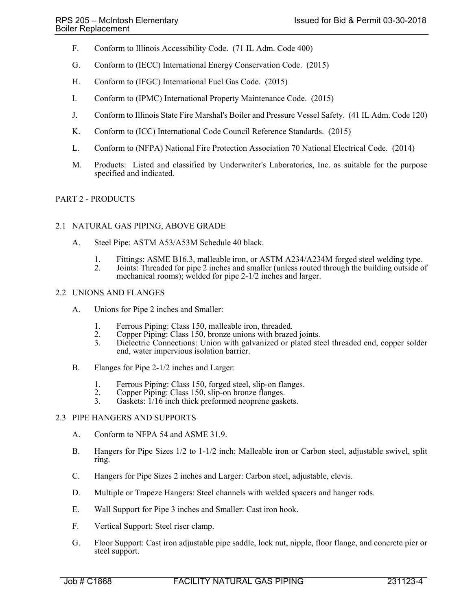- F. Conform to Illinois Accessibility Code. (71 IL Adm. Code 400)
- G. Conform to (IECC) International Energy Conservation Code. (2015)
- H. Conform to (IFGC) International Fuel Gas Code. (2015)
- I. Conform to (IPMC) International Property Maintenance Code. (2015)
- J. Conform to Illinois State Fire Marshal's Boiler and Pressure Vessel Safety. (41 IL Adm. Code 120)
- K. Conform to (ICC) International Code Council Reference Standards. (2015)
- L. Conform to (NFPA) National Fire Protection Association 70 National Electrical Code. (2014)
- M. Products: Listed and classified by Underwriter's Laboratories, Inc. as suitable for the purpose specified and indicated.

# PART 2 - PRODUCTS

## 2.1 NATURAL GAS PIPING, ABOVE GRADE

- A. Steel Pipe: ASTM A53/A53M Schedule 40 black.
	- 1. Fittings: ASME B16.3, malleable iron, or ASTM A234/A234M forged steel welding type.
	- 2. Joints: Threaded for pipe 2 inches and smaller (unless routed through the building outside of mechanical rooms); welded for pipe 2-1/2 inches and larger.

## 2.2 UNIONS AND FLANGES

- A. Unions for Pipe 2 inches and Smaller:
	-
	- 1. Ferrous Piping: Class 150, malleable iron, threaded.<br>2. Copper Piping: Class 150, bronze unions with brazed 2. Copper Piping: Class 150, bronze unions with brazed joints.<br>3. Dielectric Connections: Union with galvanized or plated ste
	- Dielectric Connections: Union with galvanized or plated steel threaded end, copper solder end, water impervious isolation barrier.
- B. Flanges for Pipe 2-1/2 inches and Larger:
	- 1. Ferrous Piping: Class 150, forged steel, slip-on flanges.
	- 2. Copper Piping: Class 150, slip-on bronze flanges.<br>3. Gaskets: 1/16 inch thick preformed neoprene gask
	- Gaskets:  $1/16$  inch thick preformed neoprene gaskets.

## 2.3 PIPE HANGERS AND SUPPORTS

- A. Conform to NFPA 54 and ASME 31.9.
- B. Hangers for Pipe Sizes 1/2 to 1-1/2 inch: Malleable iron or Carbon steel, adjustable swivel, split ring.
- C. Hangers for Pipe Sizes 2 inches and Larger: Carbon steel, adjustable, clevis.
- D. Multiple or Trapeze Hangers: Steel channels with welded spacers and hanger rods.
- E. Wall Support for Pipe 3 inches and Smaller: Cast iron hook.
- F. Vertical Support: Steel riser clamp.
- G. Floor Support: Cast iron adjustable pipe saddle, lock nut, nipple, floor flange, and concrete pier or steel support.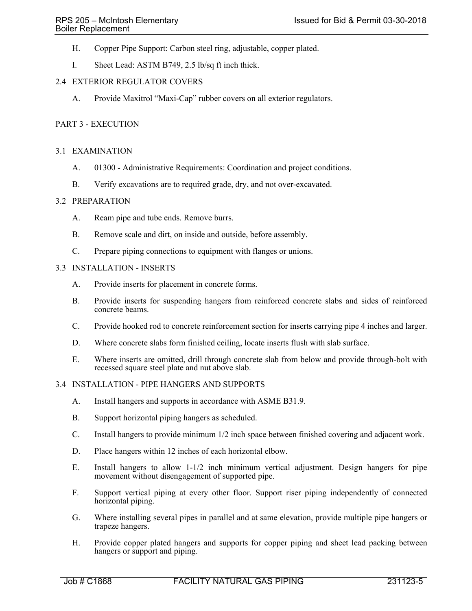- H. Copper Pipe Support: Carbon steel ring, adjustable, copper plated.
- I. Sheet Lead: ASTM B749, 2.5 lb/sq ft inch thick.

### 2.4 EXTERIOR REGULATOR COVERS

A. Provide Maxitrol "Maxi-Cap" rubber covers on all exterior regulators.

### PART 3 - EXECUTION

#### 3.1 EXAMINATION

- A. 01300 Administrative Requirements: Coordination and project conditions.
- B. Verify excavations are to required grade, dry, and not over-excavated.

#### 3.2 PREPARATION

- A. Ream pipe and tube ends. Remove burrs.
- B. Remove scale and dirt, on inside and outside, before assembly.
- C. Prepare piping connections to equipment with flanges or unions.

## 3.3 INSTALLATION - INSERTS

- A. Provide inserts for placement in concrete forms.
- B. Provide inserts for suspending hangers from reinforced concrete slabs and sides of reinforced concrete beams.
- C. Provide hooked rod to concrete reinforcement section for inserts carrying pipe 4 inches and larger.
- D. Where concrete slabs form finished ceiling, locate inserts flush with slab surface.
- E. Where inserts are omitted, drill through concrete slab from below and provide through-bolt with recessed square steel plate and nut above slab.

## 3.4 INSTALLATION - PIPE HANGERS AND SUPPORTS

- A. Install hangers and supports in accordance with ASME B31.9.
- B. Support horizontal piping hangers as scheduled.
- C. Install hangers to provide minimum 1/2 inch space between finished covering and adjacent work.
- D. Place hangers within 12 inches of each horizontal elbow.
- E. Install hangers to allow 1-1/2 inch minimum vertical adjustment. Design hangers for pipe movement without disengagement of supported pipe.
- F. Support vertical piping at every other floor. Support riser piping independently of connected horizontal piping.
- G. Where installing several pipes in parallel and at same elevation, provide multiple pipe hangers or trapeze hangers.
- H. Provide copper plated hangers and supports for copper piping and sheet lead packing between hangers or support and piping.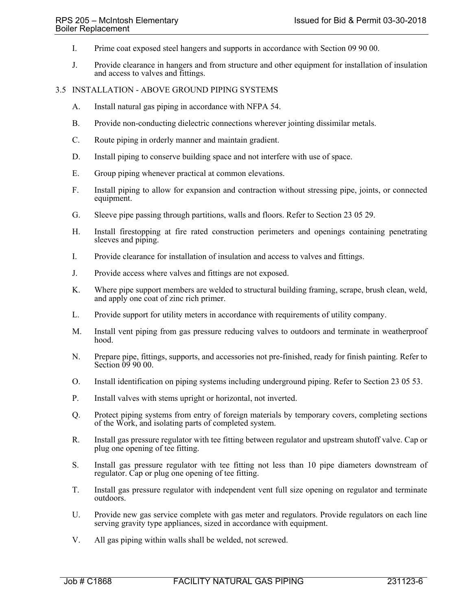- I. Prime coat exposed steel hangers and supports in accordance with Section 09 90 00.
- J. Provide clearance in hangers and from structure and other equipment for installation of insulation and access to valves and fittings.

### 3.5 INSTALLATION - ABOVE GROUND PIPING SYSTEMS

- A. Install natural gas piping in accordance with NFPA 54.
- B. Provide non-conducting dielectric connections wherever jointing dissimilar metals.
- C. Route piping in orderly manner and maintain gradient.
- D. Install piping to conserve building space and not interfere with use of space.
- E. Group piping whenever practical at common elevations.
- F. Install piping to allow for expansion and contraction without stressing pipe, joints, or connected equipment.
- G. Sleeve pipe passing through partitions, walls and floors. Refer to Section 23 05 29.
- H. Install firestopping at fire rated construction perimeters and openings containing penetrating sleeves and piping.
- I. Provide clearance for installation of insulation and access to valves and fittings.
- J. Provide access where valves and fittings are not exposed.
- K. Where pipe support members are welded to structural building framing, scrape, brush clean, weld, and apply one coat of zinc rich primer.
- L. Provide support for utility meters in accordance with requirements of utility company.
- M. Install vent piping from gas pressure reducing valves to outdoors and terminate in weatherproof hood.
- N. Prepare pipe, fittings, supports, and accessories not pre-finished, ready for finish painting. Refer to Section  $\dot{0}99000$ .
- O. Install identification on piping systems including underground piping. Refer to Section 23 05 53.
- P. Install valves with stems upright or horizontal, not inverted.
- Q. Protect piping systems from entry of foreign materials by temporary covers, completing sections of the Work, and isolating parts of completed system.
- R. Install gas pressure regulator with tee fitting between regulator and upstream shutoff valve. Cap or plug one opening of tee fitting.
- S. Install gas pressure regulator with tee fitting not less than 10 pipe diameters downstream of regulator. Cap or plug one opening of tee fitting.
- T. Install gas pressure regulator with independent vent full size opening on regulator and terminate outdoors.
- U. Provide new gas service complete with gas meter and regulators. Provide regulators on each line serving gravity type appliances, sized in accordance with equipment.
- V. All gas piping within walls shall be welded, not screwed.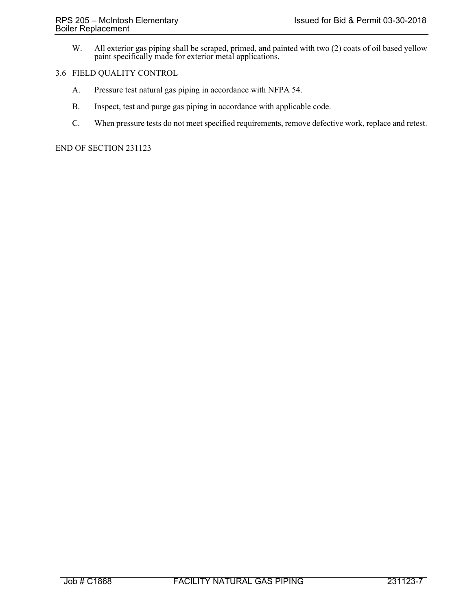W. All exterior gas piping shall be scraped, primed, and painted with two (2) coats of oil based yellow paint specifically made for exterior metal applications.

## 3.6 FIELD QUALITY CONTROL

- A. Pressure test natural gas piping in accordance with NFPA 54.
- B. Inspect, test and purge gas piping in accordance with applicable code.
- C. When pressure tests do not meet specified requirements, remove defective work, replace and retest.

END OF SECTION 231123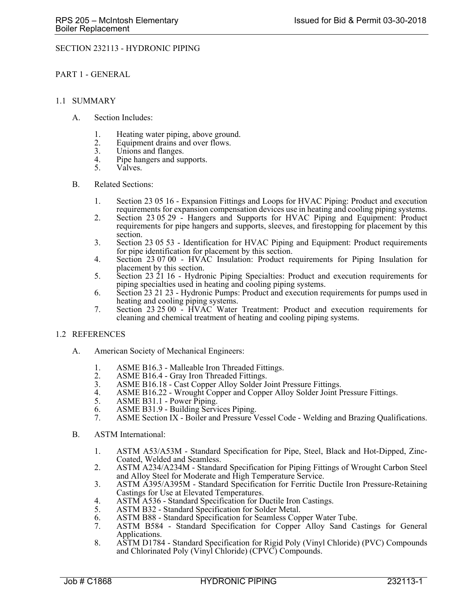### SECTION 232113 - HYDRONIC PIPING

### PART 1 - GENERAL

### 1.1 SUMMARY

- A. Section Includes:
	- 1. Heating water piping, above ground.
	- 2. Equipment drains and over flows.<br>3. Unions and flanges.
	- 3. Unions and flanges.<br>4. Pine hangers and suit
	- 4. Pipe hangers and supports.<br>5. Valves.
	- Valves.

#### B. Related Sections:

- 1. Section 23 05 16 Expansion Fittings and Loops for HVAC Piping: Product and execution requirements for expansion compensation devices use in heating and cooling piping systems.
- 2. Section 23 05 29 Hangers and Supports for HVAC Piping and Equipment: Product requirements for pipe hangers and supports, sleeves, and firestopping for placement by this section.
- 3. Section 23 05 53 Identification for HVAC Piping and Equipment: Product requirements for pipe identification for placement by this section.
- 4. Section 23 07 00 HVAC Insulation: Product requirements for Piping Insulation for placement by this section.
- 5. Section 23 21 16 Hydronic Piping Specialties: Product and execution requirements for piping specialties used in heating and cooling piping systems.
- 6. Section 23 21 23 Hydronic Pumps: Product and execution requirements for pumps used in heating and cooling piping systems.
- 7. Section 23 25 00 HVAC Water Treatment: Product and execution requirements for cleaning and chemical treatment of heating and cooling piping systems.

#### 1.2 REFERENCES

- A. American Society of Mechanical Engineers:
	- 1. ASME B16.3 Malleable Iron Threaded Fittings.
	- 2. ASME B16.4 Gray Iron Threaded Fittings.<br>3. ASME B16.18 Cast Copper Alloy Solder J
	- ASME B16.18 Cast Copper Alloy Solder Joint Pressure Fittings.
	- 4. ASME B16.22 Wrought Copper and Copper Alloy Solder Joint Pressure Fittings.
	- 5. ASME B31.1 Power Piping.
	- 6. ASME B31.9 Building Services Piping.
	- ASME Section IX Boiler and Pressure Vessel Code Welding and Brazing Qualifications.
- B. ASTM International:
	- 1. ASTM A53/A53M Standard Specification for Pipe, Steel, Black and Hot-Dipped, Zinc-Coated, Welded and Seamless.
	- 2. ASTM A234/A234M Standard Specification for Piping Fittings of Wrought Carbon Steel and Alloy Steel for Moderate and High Temperature Service.
	- 3. ASTM A395/A395M Standard Specification for Ferritic Ductile Iron Pressure-Retaining Castings for Use at Elevated Temperatures.
	- 4. ASTM A536 Standard Specification for Ductile Iron Castings.<br>5. ASTM B32 Standard Specification for Solder Metal.
	- ASTM B32 Standard Specification for Solder Metal.
	- 6. ASTM B88 Standard Specification for Seamless Copper Water Tube.
	- ASTM B584 Standard Specification for Copper Alloy Sand Castings for General Applications.
	- 8. ASTM D1784 Standard Specification for Rigid Poly (Vinyl Chloride) (PVC) Compounds and Chlorinated Poly (Vinyl Chloride) (CPVC) Compounds.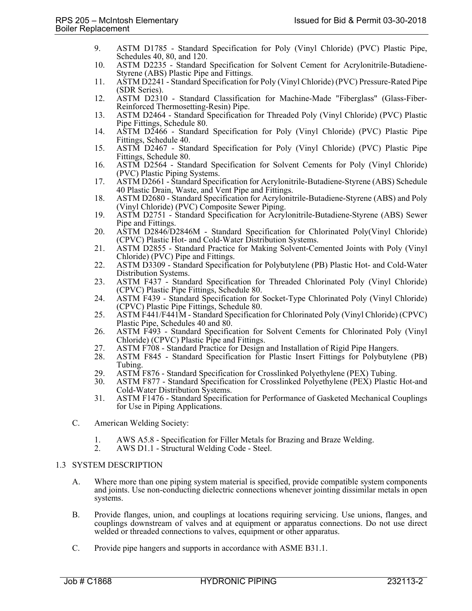- 9. ASTM D1785 Standard Specification for Poly (Vinyl Chloride) (PVC) Plastic Pipe, Schedules 40, 80, and 120.
- 10. ASTM D2235 Standard Specification for Solvent Cement for Acrylonitrile-Butadiene-Styrene (ABS) Plastic Pipe and Fittings.
- 11. ASTM D2241 Standard Specification for Poly (Vinyl Chloride) (PVC) Pressure-Rated Pipe (SDR Series).
- 12. ASTM D2310 Standard Classification for Machine-Made "Fiberglass" (Glass-Fiber-Reinforced Thermosetting-Resin) Pipe.
- 13. ASTM D2464 Standard Specification for Threaded Poly (Vinyl Chloride) (PVC) Plastic Pipe Fittings, Schedule 80.
- 14. ASTM D2466 Standard Specification for Poly (Vinyl Chloride) (PVC) Plastic Pipe Fittings, Schedule 40.
- 15. ASTM D2467 Standard Specification for Poly (Vinyl Chloride) (PVC) Plastic Pipe Fittings, Schedule 80.
- 16. ASTM D2564 Standard Specification for Solvent Cements for Poly (Vinyl Chloride) (PVC) Plastic Piping Systems.
- 17. ASTM D2661 Standard Specification for Acrylonitrile-Butadiene-Styrene (ABS) Schedule 40 Plastic Drain, Waste, and Vent Pipe and Fittings.
- 18. ASTM D2680 Standard Specification for Acrylonitrile-Butadiene-Styrene (ABS) and Poly (Vinyl Chloride) (PVC) Composite Sewer Piping.
- 19. ASTM D2751 Standard Specification for Acrylonitrile-Butadiene-Styrene (ABS) Sewer Pipe and Fittings.
- 20. ASTM D2846/D2846M Standard Specification for Chlorinated Poly(Vinyl Chloride) (CPVC) Plastic Hot- and Cold-Water Distribution Systems.
- 21. ASTM D2855 Standard Practice for Making Solvent-Cemented Joints with Poly (Vinyl Chloride) (PVC) Pipe and Fittings.
- 22. ASTM D3309 Standard Specification for Polybutylene (PB) Plastic Hot- and Cold-Water Distribution Systems.
- 23. ASTM F437 Standard Specification for Threaded Chlorinated Poly (Vinyl Chloride) (CPVC) Plastic Pipe Fittings, Schedule 80.
- 24. ASTM F439 Standard Specification for Socket-Type Chlorinated Poly (Vinyl Chloride) (CPVC) Plastic Pipe Fittings, Schedule 80.
- 25. ASTM F441/F441M Standard Specification for Chlorinated Poly (Vinyl Chloride) (CPVC) Plastic Pipe, Schedules 40 and 80.
- 26. ASTM F493 Standard Specification for Solvent Cements for Chlorinated Poly (Vinyl Chloride) (CPVC) Plastic Pipe and Fittings.
- 27. ASTM F708 Standard Practice for Design and Installation of Rigid Pipe Hangers.<br>28. ASTM F845 Standard Specification for Plastic Insert Fittings for Polybutyler
- 28. ASTM F845 Standard Specification for Plastic Insert Fittings for Polybutylene (PB) Tubing.
- 29. ASTM F876 Standard Specification for Crosslinked Polyethylene (PEX) Tubing.<br>30. ASTM F877 Standard Specification for Crosslinked Polyethylene (PEX) Plastic
- 30. ASTM F877 Standard Specification for Crosslinked Polyethylene (PEX) Plastic Hot-and Cold-Water Distribution Systems.
- 31. ASTM F1476 Standard Specification for Performance of Gasketed Mechanical Couplings for Use in Piping Applications.
- C. American Welding Society:
	- 1. AWS A5.8 Specification for Filler Metals for Brazing and Braze Welding.
	- 2. AWS D1.1 Structural Welding Code Steel.

## 1.3 SYSTEM DESCRIPTION

- A. Where more than one piping system material is specified, provide compatible system components and joints. Use non-conducting dielectric connections whenever jointing dissimilar metals in open systems.
- B. Provide flanges, union, and couplings at locations requiring servicing. Use unions, flanges, and couplings downstream of valves and at equipment or apparatus connections. Do not use direct welded or threaded connections to valves, equipment or other apparatus.
- C. Provide pipe hangers and supports in accordance with ASME B31.1.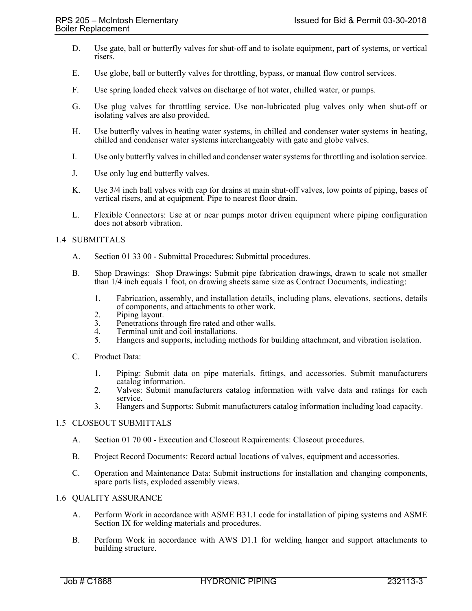- D. Use gate, ball or butterfly valves for shut-off and to isolate equipment, part of systems, or vertical risers.
- E. Use globe, ball or butterfly valves for throttling, bypass, or manual flow control services.
- F. Use spring loaded check valves on discharge of hot water, chilled water, or pumps.
- G. Use plug valves for throttling service. Use non-lubricated plug valves only when shut-off or isolating valves are also provided.
- H. Use butterfly valves in heating water systems, in chilled and condenser water systems in heating, chilled and condenser water systems interchangeably with gate and globe valves.
- I. Use only butterfly valves in chilled and condenser water systems for throttling and isolation service.
- J. Use only lug end butterfly valves.
- K. Use 3/4 inch ball valves with cap for drains at main shut-off valves, low points of piping, bases of vertical risers, and at equipment. Pipe to nearest floor drain.
- L. Flexible Connectors: Use at or near pumps motor driven equipment where piping configuration does not absorb vibration.

### 1.4 SUBMITTALS

- A. Section 01 33 00 Submittal Procedures: Submittal procedures.
- B. Shop Drawings: Shop Drawings: Submit pipe fabrication drawings, drawn to scale not smaller than 1/4 inch equals 1 foot, on drawing sheets same size as Contract Documents, indicating:
	- 1. Fabrication, assembly, and installation details, including plans, elevations, sections, details of components, and attachments to other work.
	- 2. Piping layout.
	- 3. Penetrations through fire rated and other walls.
	- 4. Terminal unit and coil installations.<br>5. Hangers and supports, including me
	- 5. Hangers and supports, including methods for building attachment, and vibration isolation.
- C. Product Data:
	- 1. Piping: Submit data on pipe materials, fittings, and accessories. Submit manufacturers catalog information.
	- 2. Valves: Submit manufacturers catalog information with valve data and ratings for each service.
	- 3. Hangers and Supports: Submit manufacturers catalog information including load capacity.

#### 1.5 CLOSEOUT SUBMITTALS

- A. Section 01 70 00 Execution and Closeout Requirements: Closeout procedures.
- B. Project Record Documents: Record actual locations of valves, equipment and accessories.
- C. Operation and Maintenance Data: Submit instructions for installation and changing components, spare parts lists, exploded assembly views.

## 1.6 QUALITY ASSURANCE

- A. Perform Work in accordance with ASME B31.1 code for installation of piping systems and ASME Section IX for welding materials and procedures.
- B. Perform Work in accordance with AWS D1.1 for welding hanger and support attachments to building structure.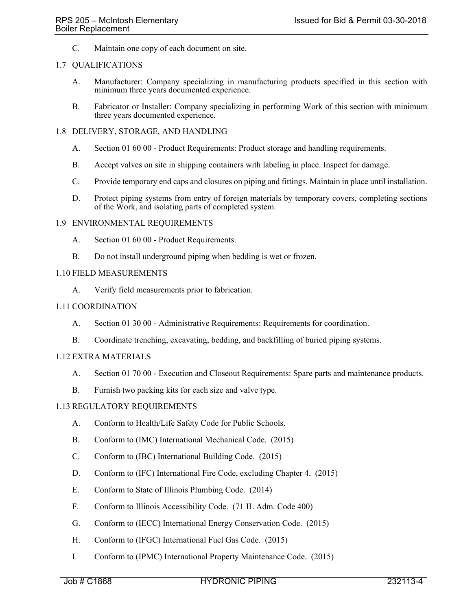C. Maintain one copy of each document on site.

### 1.7 QUALIFICATIONS

- A. Manufacturer: Company specializing in manufacturing products specified in this section with minimum three years documented experience.
- B. Fabricator or Installer: Company specializing in performing Work of this section with minimum three years documented experience.
- 1.8 DELIVERY, STORAGE, AND HANDLING
	- A. Section 01 60 00 Product Requirements: Product storage and handling requirements.
	- B. Accept valves on site in shipping containers with labeling in place. Inspect for damage.
	- C. Provide temporary end caps and closures on piping and fittings. Maintain in place until installation.
	- D. Protect piping systems from entry of foreign materials by temporary covers, completing sections of the Work, and isolating parts of completed system.

### 1.9 ENVIRONMENTAL REQUIREMENTS

- A. Section 01 60 00 Product Requirements.
- B. Do not install underground piping when bedding is wet or frozen.

### 1.10 FIELD MEASUREMENTS

A. Verify field measurements prior to fabrication.

### 1.11 COORDINATION

- A. Section 01 30 00 Administrative Requirements: Requirements for coordination.
- B. Coordinate trenching, excavating, bedding, and backfilling of buried piping systems.

## 1.12 EXTRA MATERIALS

- A. Section 01 70 00 Execution and Closeout Requirements: Spare parts and maintenance products.
- B. Furnish two packing kits for each size and valve type.

#### 1.13 REGULATORY REQUIREMENTS

- A. Conform to Health/Life Safety Code for Public Schools.
- B. Conform to (IMC) International Mechanical Code. (2015)
- C. Conform to (IBC) International Building Code. (2015)
- D. Conform to (IFC) International Fire Code, excluding Chapter 4. (2015)
- E. Conform to State of Illinois Plumbing Code. (2014)
- F. Conform to Illinois Accessibility Code. (71 IL Adm. Code 400)
- G. Conform to (IECC) International Energy Conservation Code. (2015)
- H. Conform to (IFGC) International Fuel Gas Code. (2015)
- I. Conform to (IPMC) International Property Maintenance Code. (2015)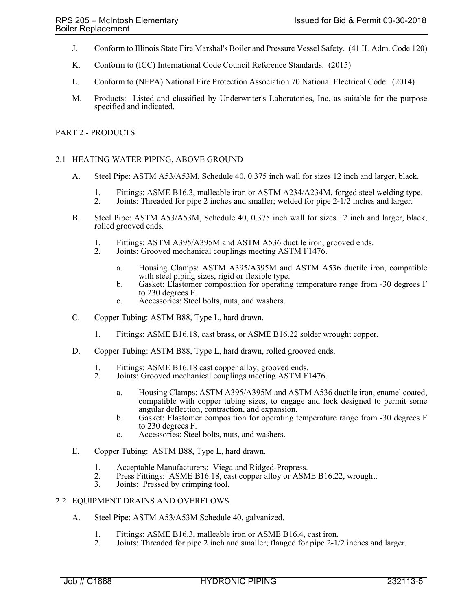- J. Conform to Illinois State Fire Marshal's Boiler and Pressure Vessel Safety. (41 IL Adm. Code 120)
- K. Conform to (ICC) International Code Council Reference Standards. (2015)
- L. Conform to (NFPA) National Fire Protection Association 70 National Electrical Code. (2014)
- M. Products: Listed and classified by Underwriter's Laboratories, Inc. as suitable for the purpose specified and indicated.

### PART 2 - PRODUCTS

### 2.1 HEATING WATER PIPING, ABOVE GROUND

- A. Steel Pipe: ASTM A53/A53M, Schedule 40, 0.375 inch wall for sizes 12 inch and larger, black.
	- 1. Fittings: ASME B16.3, malleable iron or ASTM A234/A234M, forged steel welding type.
	- 2. Joints: Threaded for pipe 2 inches and smaller; welded for pipe 2-1/2 inches and larger.
- B. Steel Pipe: ASTM A53/A53M, Schedule 40, 0.375 inch wall for sizes 12 inch and larger, black, rolled grooved ends.
	- 1. Fittings: ASTM A395/A395M and ASTM A536 ductile iron, grooved ends.<br>2. Joints: Grooved mechanical couplings meeting ASTM F1476.
	- Joints: Grooved mechanical couplings meeting ASTM F1476.
		- a. Housing Clamps: ASTM A395/A395M and ASTM A536 ductile iron, compatible with steel piping sizes, rigid or flexible type.
		- b. Gasket: Elastomer composition for operating temperature range from -30 degrees F to 230 degrees F.
		- c. Accessories: Steel bolts, nuts, and washers.
- C. Copper Tubing: ASTM B88, Type L, hard drawn.
	- 1. Fittings: ASME B16.18, cast brass, or ASME B16.22 solder wrought copper.
- D. Copper Tubing: ASTM B88, Type L, hard drawn, rolled grooved ends.
	- 1. Fittings: ASME B16.18 cast copper alloy, grooved ends.<br>2. Joints: Grooved mechanical couplings meeting ASTM F
	- Joints: Grooved mechanical couplings meeting ASTM F1476.
		- a. Housing Clamps: ASTM A395/A395M and ASTM A536 ductile iron, enamel coated, compatible with copper tubing sizes, to engage and lock designed to permit some angular deflection, contraction, and expansion.
		- b. Gasket: Elastomer composition for operating temperature range from -30 degrees F to 230 degrees F.
		- c. Accessories: Steel bolts, nuts, and washers.
- E. Copper Tubing: ASTM B88, Type L, hard drawn.
	- 1. Acceptable Manufacturers: Viega and Ridged-Propress.<br>2. Press Fittings: ASME B16.18, cast copper alloy or ASM
	- 2. Press Fittings: ASME B16.18, cast copper alloy or ASME B16.22, wrought.<br>3. Joints: Pressed by crimping tool.
	- Joints: Pressed by crimping tool.

#### 2.2 EQUIPMENT DRAINS AND OVERFLOWS

- A. Steel Pipe: ASTM A53/A53M Schedule 40, galvanized.
	- 1. Fittings: ASME B16.3, malleable iron or ASME B16.4, cast iron.<br>2. Joints: Threaded for pipe 2 inch and smaller; flanged for pipe 2-1/
	- 2. Joints: Threaded for pipe 2 inch and smaller; flanged for pipe 2-1/2 inches and larger.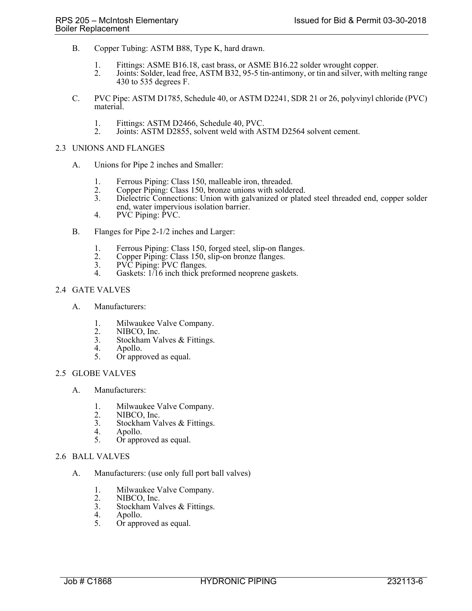- B. Copper Tubing: ASTM B88, Type K, hard drawn.
	- 1. Fittings: ASME B16.18, cast brass, or ASME B16.22 solder wrought copper.
	- 2. Joints: Solder, lead free, ASTM B32, 95-5 tin-antimony, or tin and silver, with melting range 430 to 535 degrees F.
- C. PVC Pipe: ASTM D1785, Schedule 40, or ASTM D2241, SDR 21 or 26, polyvinyl chloride (PVC) material.
	- 1. Fittings: ASTM D2466, Schedule 40, PVC.<br>2. Joints: ASTM D2855, solvent weld with AS
	- Joints: ASTM D2855, solvent weld with ASTM D2564 solvent cement.

### 2.3 UNIONS AND FLANGES

- A. Unions for Pipe 2 inches and Smaller:
	- 1. Ferrous Piping: Class 150, malleable iron, threaded.<br>2. Copper Piping: Class 150, bronze unions with solder
	- 2. Copper Piping: Class 150, bronze unions with soldered.
	- 3. Dielectric Connections: Union with galvanized or plated steel threaded end, copper solder end, water impervious isolation barrier.
	- 4. PVC Piping: PVC.
- B. Flanges for Pipe 2-1/2 inches and Larger:
	- 1. Ferrous Piping: Class 150, forged steel, slip-on flanges.<br>2. Copper Piping: Class 150, slip-on bronze flanges.
	- 2. Copper Piping: Class 150, slip-on bronze flanges.
	- 3. PVC Piping: PVC flanges.
	- 4. Gaskets: 1/16 inch thick preformed neoprene gaskets.

# 2.4 GATE VALVES

- A. Manufacturers:
	- 1. Milwaukee Valve Company.<br>2. NIBCO, Inc.
	- 2. NIBCO, Inc.<br>3. Stockham Va
	- 3. Stockham Valves & Fittings.<br>4. Apollo.
	- 4. Apollo.<br>5. Or appre
	- Or approved as equal.

# 2.5 GLOBE VALVES

- A. Manufacturers:
	- 1. Milwaukee Valve Company.<br>2. NIBCO, Inc.
	- 2. NIBCO, Inc.<br>3. Stockham Va
	- 3. Stockham Valves & Fittings.<br>4. Apollo. 4. Apollo.
- 5. Or approved as equal.

## 2.6 BALL VALVES

- A. Manufacturers: (use only full port ball valves)
	- 1. Milwaukee Valve Company.
	- 2. NIBCO, Inc.<br>3. Stockham Va
	- Stockham Valves & Fittings.
	- 4. Apollo.<br>5. Or appre
	- Or approved as equal.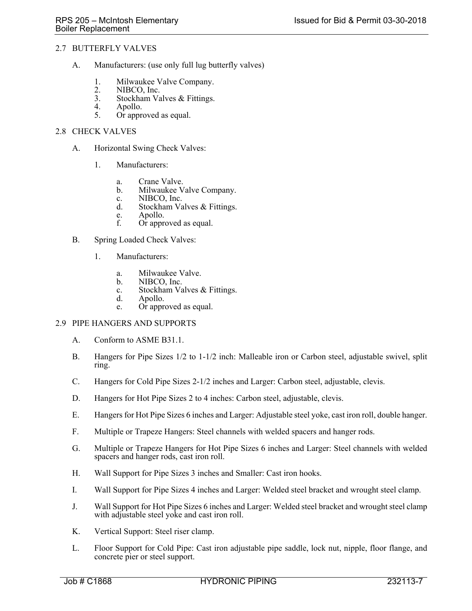## 2.7 BUTTERFLY VALVES

- A. Manufacturers: (use only full lug butterfly valves)
	- 1. Milwaukee Valve Company.<br>2. NIBCO. Inc.
	- 2. NIBCO, Inc.<br>3. Stockham Va
	- 3. Stockham Valves & Fittings.<br>4. Apollo.
	- 4. Apollo.<br>5. Or appre
	- Or approved as equal.

### 2.8 CHECK VALVES

- A. Horizontal Swing Check Valves:
	- 1. Manufacturers:
		- a. Crane Valve.<br>b. Milwaukee V
		- Milwaukee Valve Company.
		- c. NIBCO, Inc.
		- d. Stockham Valves & Fittings.
		- e. Apollo.<br>f. Or appro
		- Or approved as equal.
- B. Spring Loaded Check Valves:
	- 1. Manufacturers:
		- a. Milwaukee Valve.
		- b. NIBCO, Inc.
		- c. Stockham Valves & Fittings.<br>d. Apollo.
		- Apollo.
		- e. Or approved as equal.

## 2.9 PIPE HANGERS AND SUPPORTS

- A. Conform to ASME B31.1.
- B. Hangers for Pipe Sizes 1/2 to 1-1/2 inch: Malleable iron or Carbon steel, adjustable swivel, split ring.
- C. Hangers for Cold Pipe Sizes 2-1/2 inches and Larger: Carbon steel, adjustable, clevis.
- D. Hangers for Hot Pipe Sizes 2 to 4 inches: Carbon steel, adjustable, clevis.
- E. Hangers for Hot Pipe Sizes 6 inches and Larger: Adjustable steel yoke, cast iron roll, double hanger.
- F. Multiple or Trapeze Hangers: Steel channels with welded spacers and hanger rods.
- G. Multiple or Trapeze Hangers for Hot Pipe Sizes 6 inches and Larger: Steel channels with welded spacers and hanger rods, cast iron roll.
- H. Wall Support for Pipe Sizes 3 inches and Smaller: Cast iron hooks.
- I. Wall Support for Pipe Sizes 4 inches and Larger: Welded steel bracket and wrought steel clamp.
- J. Wall Support for Hot Pipe Sizes 6 inches and Larger: Welded steel bracket and wrought steel clamp with adjustable steel yoke and cast iron roll.
- K. Vertical Support: Steel riser clamp.
- L. Floor Support for Cold Pipe: Cast iron adjustable pipe saddle, lock nut, nipple, floor flange, and concrete pier or steel support.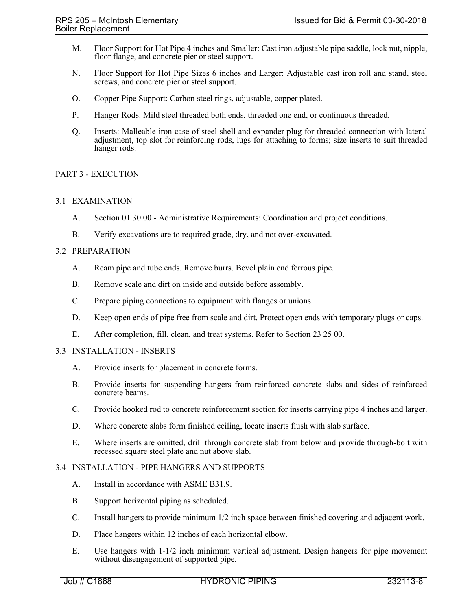- M. Floor Support for Hot Pipe 4 inches and Smaller: Cast iron adjustable pipe saddle, lock nut, nipple, floor flange, and concrete pier or steel support.
- N. Floor Support for Hot Pipe Sizes 6 inches and Larger: Adjustable cast iron roll and stand, steel screws, and concrete pier or steel support.
- O. Copper Pipe Support: Carbon steel rings, adjustable, copper plated.
- P. Hanger Rods: Mild steel threaded both ends, threaded one end, or continuous threaded.
- Q. Inserts: Malleable iron case of steel shell and expander plug for threaded connection with lateral adjustment, top slot for reinforcing rods, lugs for attaching to forms; size inserts to suit threaded hanger rods.

## PART 3 - EXECUTION

#### 3.1 EXAMINATION

- A. Section 01 30 00 Administrative Requirements: Coordination and project conditions.
- B. Verify excavations are to required grade, dry, and not over-excavated.

### 3.2 PREPARATION

- A. Ream pipe and tube ends. Remove burrs. Bevel plain end ferrous pipe.
- B. Remove scale and dirt on inside and outside before assembly.
- C. Prepare piping connections to equipment with flanges or unions.
- D. Keep open ends of pipe free from scale and dirt. Protect open ends with temporary plugs or caps.
- E. After completion, fill, clean, and treat systems. Refer to Section 23 25 00.

#### 3.3 INSTALLATION - INSERTS

- A. Provide inserts for placement in concrete forms.
- B. Provide inserts for suspending hangers from reinforced concrete slabs and sides of reinforced concrete beams.
- C. Provide hooked rod to concrete reinforcement section for inserts carrying pipe 4 inches and larger.
- D. Where concrete slabs form finished ceiling, locate inserts flush with slab surface.
- E. Where inserts are omitted, drill through concrete slab from below and provide through-bolt with recessed square steel plate and nut above slab.

## 3.4 INSTALLATION - PIPE HANGERS AND SUPPORTS

- A. Install in accordance with ASME B31.9.
- B. Support horizontal piping as scheduled.
- C. Install hangers to provide minimum 1/2 inch space between finished covering and adjacent work.
- D. Place hangers within 12 inches of each horizontal elbow.
- E. Use hangers with 1-1/2 inch minimum vertical adjustment. Design hangers for pipe movement without disengagement of supported pipe.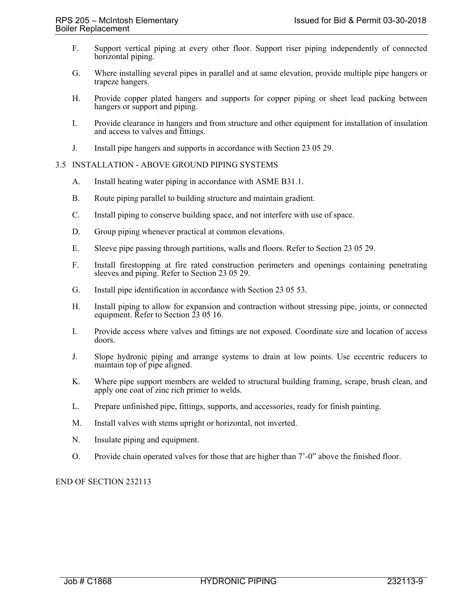- F. Support vertical piping at every other floor. Support riser piping independently of connected horizontal piping.
- G. Where installing several pipes in parallel and at same elevation, provide multiple pipe hangers or trapeze hangers.
- H. Provide copper plated hangers and supports for copper piping or sheet lead packing between hangers or support and piping.
- I. Provide clearance in hangers and from structure and other equipment for installation of insulation and access to valves and fittings.
- J. Install pipe hangers and supports in accordance with Section 23 05 29.

### 3.5 INSTALLATION - ABOVE GROUND PIPING SYSTEMS

- A. Install heating water piping in accordance with ASME B31.1.
- B. Route piping parallel to building structure and maintain gradient.
- C. Install piping to conserve building space, and not interfere with use of space.
- D. Group piping whenever practical at common elevations.
- E. Sleeve pipe passing through partitions, walls and floors. Refer to Section 23 05 29.
- F. Install firestopping at fire rated construction perimeters and openings containing penetrating sleeves and piping. Refer to Section 23 05 29.
- G. Install pipe identification in accordance with Section 23 05 53.
- H. Install piping to allow for expansion and contraction without stressing pipe, joints, or connected equipment. Refer to Section 23 05 16.
- I. Provide access where valves and fittings are not exposed. Coordinate size and location of access doors.
- J. Slope hydronic piping and arrange systems to drain at low points. Use eccentric reducers to maintain top of pipe aligned.
- K. Where pipe support members are welded to structural building framing, scrape, brush clean, and apply one coat of zinc rich primer to welds.
- L. Prepare unfinished pipe, fittings, supports, and accessories, ready for finish painting.
- M. Install valves with stems upright or horizontal, not inverted.
- N. Insulate piping and equipment.
- O. Provide chain operated valves for those that are higher than 7'-0" above the finished floor.

### END OF SECTION 232113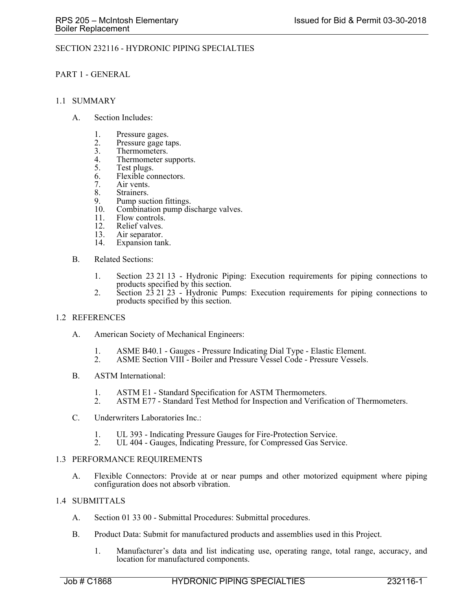## SECTION 232116 - HYDRONIC PIPING SPECIALTIES

### PART 1 - GENERAL

#### 1.1 SUMMARY

- A. Section Includes:
	- 1. Pressure gages.
	- 2. Pressure gage taps.<br>3. Thermometers.
	- 3. Thermometers.<br>4. Thermometer si
	- 4. Thermometer supports.<br>5. Test plugs.
	- Test plugs.
	- 6. Flexible connectors.
	- 7. Air vents.
	- 8. Strainers.<br>9. Pump suc
	- 9. Pump suction fittings.<br>10. Combination pump dis
	- Combination pump discharge valves.
	- 11. Flow controls.
	- 12. Relief valves.<br>13. Air separator.
	- 13. Air separator.<br>14. Expansion tan
	- Expansion tank.
- B. Related Sections:
	- 1. Section 23 21 13 Hydronic Piping: Execution requirements for piping connections to products specified by this section.
	- 2. Section 23 21 23 Hydronic Pumps: Execution requirements for piping connections to products specified by this section.

#### 1.2 REFERENCES

- A. American Society of Mechanical Engineers:
	- 1. ASME B40.1 Gauges Pressure Indicating Dial Type Elastic Element.
	- 2. ASME Section VIII Boiler and Pressure Vessel Code Pressure Vessels.
- B. ASTM International:
	- 1. ASTM E1 Standard Specification for ASTM Thermometers.
	- 2. ASTM E77 Standard Test Method for Inspection and Verification of Thermometers.
- C. Underwriters Laboratories Inc.:
	-
	- 1. UL 393 Indicating Pressure Gauges for Fire-Protection Service. 2. UL 404 Gauges, Indicating Pressure, for Compressed Gas Service.

#### 1.3 PERFORMANCE REQUIREMENTS

A. Flexible Connectors: Provide at or near pumps and other motorized equipment where piping configuration does not absorb vibration.

### 1.4 SUBMITTALS

- A. Section 01 33 00 Submittal Procedures: Submittal procedures.
- B. Product Data: Submit for manufactured products and assemblies used in this Project.
	- 1. Manufacturer's data and list indicating use, operating range, total range, accuracy, and location for manufactured components.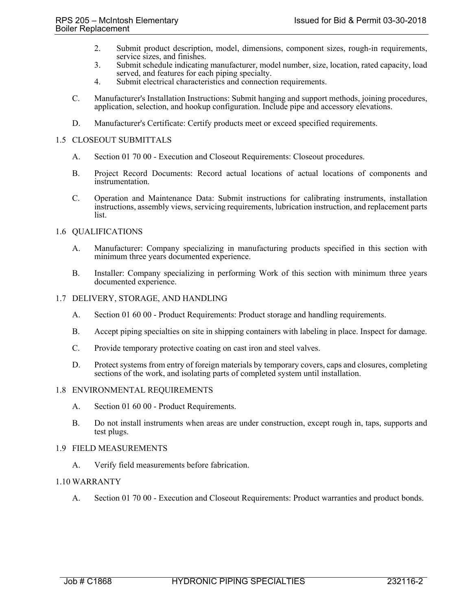- 2. Submit product description, model, dimensions, component sizes, rough-in requirements, service sizes, and finishes.
- 3. Submit schedule indicating manufacturer, model number, size, location, rated capacity, load served, and features for each piping specialty.
- 4. Submit electrical characteristics and connection requirements.
- C. Manufacturer's Installation Instructions: Submit hanging and support methods, joining procedures, application, selection, and hookup configuration. Include pipe and accessory elevations.
- D. Manufacturer's Certificate: Certify products meet or exceed specified requirements.

### 1.5 CLOSEOUT SUBMITTALS

- A. Section 01 70 00 Execution and Closeout Requirements: Closeout procedures.
- B. Project Record Documents: Record actual locations of actual locations of components and instrumentation.
- C. Operation and Maintenance Data: Submit instructions for calibrating instruments, installation instructions, assembly views, servicing requirements, lubrication instruction, and replacement parts list.

### 1.6 QUALIFICATIONS

- A. Manufacturer: Company specializing in manufacturing products specified in this section with minimum three years documented experience.
- B. Installer: Company specializing in performing Work of this section with minimum three years documented experience.

#### 1.7 DELIVERY, STORAGE, AND HANDLING

- A. Section 01 60 00 Product Requirements: Product storage and handling requirements.
- B. Accept piping specialties on site in shipping containers with labeling in place. Inspect for damage.
- C. Provide temporary protective coating on cast iron and steel valves.
- D. Protect systems from entry of foreign materials by temporary covers, caps and closures, completing sections of the work, and isolating parts of completed system until installation.

#### 1.8 ENVIRONMENTAL REQUIREMENTS

- A. Section 01 60 00 Product Requirements.
- B. Do not install instruments when areas are under construction, except rough in, taps, supports and test plugs.

#### 1.9 FIELD MEASUREMENTS

A. Verify field measurements before fabrication.

## 1.10 WARRANTY

A. Section 01 70 00 - Execution and Closeout Requirements: Product warranties and product bonds.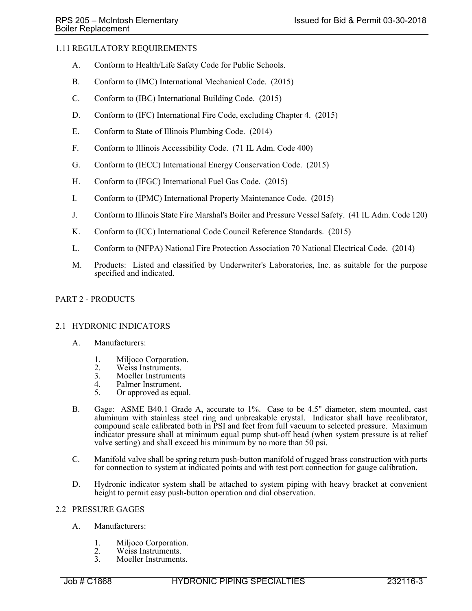## 1.11 REGULATORY REQUIREMENTS

- A. Conform to Health/Life Safety Code for Public Schools.
- B. Conform to (IMC) International Mechanical Code. (2015)
- C. Conform to (IBC) International Building Code. (2015)
- D. Conform to (IFC) International Fire Code, excluding Chapter 4. (2015)
- E. Conform to State of Illinois Plumbing Code. (2014)
- F. Conform to Illinois Accessibility Code. (71 IL Adm. Code 400)
- G. Conform to (IECC) International Energy Conservation Code. (2015)
- H. Conform to (IFGC) International Fuel Gas Code. (2015)
- I. Conform to (IPMC) International Property Maintenance Code. (2015)
- J. Conform to Illinois State Fire Marshal's Boiler and Pressure Vessel Safety. (41 IL Adm. Code 120)
- K. Conform to (ICC) International Code Council Reference Standards. (2015)
- L. Conform to (NFPA) National Fire Protection Association 70 National Electrical Code. (2014)
- M. Products: Listed and classified by Underwriter's Laboratories, Inc. as suitable for the purpose specified and indicated.

### PART 2 - PRODUCTS

#### 2.1 HYDRONIC INDICATORS

- A. Manufacturers:
	- 1. Miljoco Corporation.
	- 2. Weiss Instruments.
	- 3. Moeller Instruments<br>4. Palmer Instrument.
	- Palmer Instrument.
	- 5. Or approved as equal.
- B. Gage: ASME B40.1 Grade A, accurate to 1%. Case to be 4.5" diameter, stem mounted, cast aluminum with stainless steel ring and unbreakable crystal. Indicator shall have recalibrator, compound scale calibrated both in PSI and feet from full vacuum to selected pressure. Maximum indicator pressure shall at minimum equal pump shut-off head (when system pressure is at relief valve setting) and shall exceed his minimum by no more than  $50$  psi.
- C. Manifold valve shall be spring return push-button manifold of rugged brass construction with ports for connection to system at indicated points and with test port connection for gauge calibration.
- D. Hydronic indicator system shall be attached to system piping with heavy bracket at convenient height to permit easy push-button operation and dial observation.

## 2.2 PRESSURE GAGES

- A. Manufacturers:
	- 1. Miljoco Corporation.<br>2. Weiss Instruments.
	- Weiss Instruments.
	- 3. Moeller Instruments.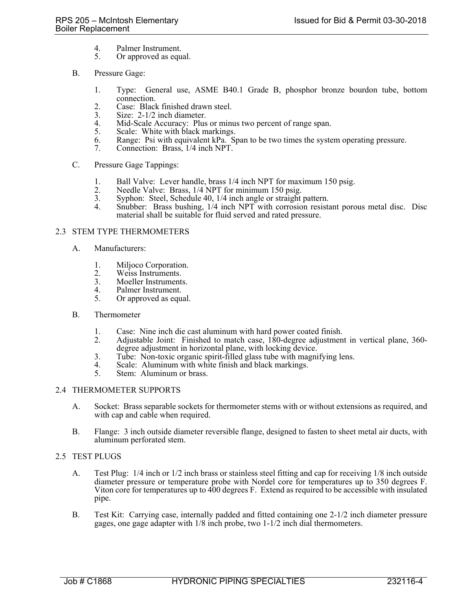- 4. Palmer Instrument.<br>5. Or approved as equ
- Or approved as equal.
- B. Pressure Gage:
	- 1. Type: General use, ASME B40.1 Grade B, phosphor bronze bourdon tube, bottom connection.
	- 2. Case: Black finished drawn steel.
	- 3. Size: 2-1/2 inch diameter.<br>4. Mid-Scale Accuracy: Plus
	- 4. Mid-Scale Accuracy: Plus or minus two percent of range span.<br>5. Scale: White with black markings.
	- Scale: White with black markings.
	- 6. Range: Psi with equivalent kPa. Span to be two times the system operating pressure.
	- 7. Connection: Brass, 1/4 inch NPT.
- C. Pressure Gage Tappings:
	- 1. Ball Valve: Lever handle, brass 1/4 inch NPT for maximum 150 psig.<br>2. Needle Valve: Brass, 1/4 NPT for minimum 150 psig.
	- Needle Valve: Brass, 1/4 NPT for minimum 150 psig.
	-
	- 3. Syphon: Steel, Schedule 40, 1/4 inch angle or straight pattern. 4. Snubber: Brass bushing, 1/4 inch NPT with corrosion resistant porous metal disc. Disc material shall be suitable for fluid served and rated pressure.

### 2.3 STEM TYPE THERMOMETERS

- A. Manufacturers:
	- 1. Miljoco Corporation.<br>2. Weiss Instruments.
	- Weiss Instruments.
	- 3. Moeller Instruments.<br>4. Palmer Instrument.
	- 4. Palmer Instrument.<br>5. Or approved as equal
	- Or approved as equal.
- B. Thermometer
	- 1. Case: Nine inch die cast aluminum with hard power coated finish.
	- 2. Adjustable Joint: Finished to match case, 180-degree adjustment in vertical plane, 360 degree adjustment in horizontal plane, with locking device.
	- 3. Tube: Non-toxic organic spirit-filled glass tube with magnifying lens.
	- 4. Scale: Aluminum with white finish and black markings.<br>5. Stem: Aluminum or brass.
	- Stem: Aluminum or brass.

## 2.4 THERMOMETER SUPPORTS

- A. Socket: Brass separable sockets for thermometer stems with or without extensions as required, and with cap and cable when required.
- B. Flange: 3 inch outside diameter reversible flange, designed to fasten to sheet metal air ducts, with aluminum perforated stem.

## 2.5 TEST PLUGS

- A. Test Plug: 1/4 inch or 1/2 inch brass or stainless steel fitting and cap for receiving 1/8 inch outside diameter pressure or temperature probe with Nordel core for temperatures up to 350 degrees F. Viton core for temperatures up to 400 degrees F. Extend as required to be accessible with insulated pipe.
- B. Test Kit: Carrying case, internally padded and fitted containing one 2-1/2 inch diameter pressure gages, one gage adapter with 1/8 inch probe, two 1-1/2 inch dial thermometers.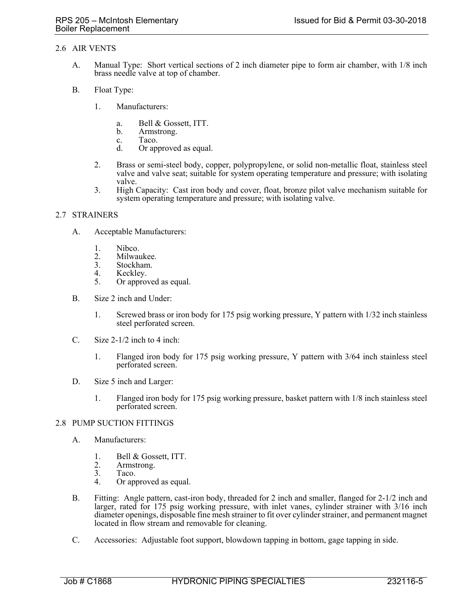## 2.6 AIR VENTS

- A. Manual Type: Short vertical sections of 2 inch diameter pipe to form air chamber, with 1/8 inch brass needle valve at top of chamber.
- B. Float Type:
	- 1. Manufacturers:
		- a. Bell & Gossett, ITT.<br>b. Armstrong.
		- Armstrong.
		- c. Taco.
		- d. Or approved as equal.
	- 2. Brass or semi-steel body, copper, polypropylene, or solid non-metallic float, stainless steel valve and valve seat; suitable for system operating temperature and pressure; with isolating valve.
	- 3. High Capacity: Cast iron body and cover, float, bronze pilot valve mechanism suitable for system operating temperature and pressure; with isolating valve.

## 2.7 STRAINERS

- A. Acceptable Manufacturers:
	- 1. Nibco.<br>2. Milway
	- 2. Milwaukee.<br>3. Stockham.
	- 3. Stockham.<br>4. Keckley.
	- Keckley.
	- 5. Or approved as equal.
- B. Size 2 inch and Under:
	- 1. Screwed brass or iron body for 175 psig working pressure, Y pattern with 1/32 inch stainless steel perforated screen.
- C. Size 2-1/2 inch to 4 inch:
	- 1. Flanged iron body for 175 psig working pressure, Y pattern with 3/64 inch stainless steel perforated screen.
- D. Size 5 inch and Larger:
	- 1. Flanged iron body for 175 psig working pressure, basket pattern with 1/8 inch stainless steel perforated screen.

#### 2.8 PUMP SUCTION FITTINGS

- A. Manufacturers:
	- 1. Bell & Gossett, ITT.
	- 2. Armstrong.<br>3. Taco.
	- 3. Taco.<br>4. Or am
	- Or approved as equal.
- B. Fitting: Angle pattern, cast-iron body, threaded for 2 inch and smaller, flanged for 2-1/2 inch and larger, rated for 175 psig working pressure, with inlet vanes, cylinder strainer with 3/16 inch diameter openings, disposable fine mesh strainer to fit over cylinder strainer, and permanent magnet located in flow stream and removable for cleaning.
- C. Accessories: Adjustable foot support, blowdown tapping in bottom, gage tapping in side.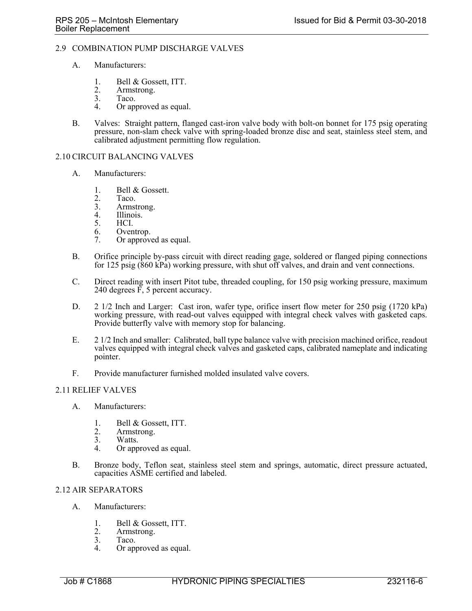### 2.9 COMBINATION PUMP DISCHARGE VALVES

- A. Manufacturers:
	- 1. Bell & Gossett, ITT.<br>2. Armstrong.
	- 2. Armstrong.<br>3. Taco.
	- 3. Taco.<br>4. Orani
	- Or approved as equal.
- B. Valves: Straight pattern, flanged cast-iron valve body with bolt-on bonnet for 175 psig operating pressure, non-slam check valve with spring-loaded bronze disc and seat, stainless steel stem, and calibrated adjustment permitting flow regulation.

#### 2.10 CIRCUIT BALANCING VALVES

- A. Manufacturers:
	- 1. Bell & Gossett.
	- 2. Taco.<br>3. Armst
	- 3. Armstrong.<br>4. Illinois.
	- 4. Illinois.<br>5. HCI.
	- 5. HCI.
	- 6. Oventrop.
	- 7. Or approved as equal.
- B. Orifice principle by-pass circuit with direct reading gage, soldered or flanged piping connections for 125 psig (860 kPa) working pressure, with shut off valves, and drain and vent connections.
- C. Direct reading with insert Pitot tube, threaded coupling, for 150 psig working pressure, maximum 240 degrees F, 5 percent accuracy.
- D. 2 1/2 Inch and Larger: Cast iron, wafer type, orifice insert flow meter for 250 psig (1720 kPa) working pressure, with read-out valves equipped with integral check valves with gasketed caps. Provide butterfly valve with memory stop for balancing.
- E. 2 1/2 Inch and smaller: Calibrated, ball type balance valve with precision machined orifice, readout valves equipped with integral check valves and gasketed caps, calibrated nameplate and indicating pointer.
- F. Provide manufacturer furnished molded insulated valve covers.

#### 2.11 RELIEF VALVES

- A. Manufacturers:
	- 1. Bell & Gossett, ITT.<br>2. Armstrong.
	- 2. Armstrong.<br>3. Watts.
	- Watts.
	- 4. Or approved as equal.
- B. Bronze body, Teflon seat, stainless steel stem and springs, automatic, direct pressure actuated, capacities ASME certified and labeled.

#### 2.12 AIR SEPARATORS

- A. Manufacturers:
	- 1. Bell & Gossett, ITT.
	- 2. Armstrong.<br>3. Taco.
	- 3. Taco.<br>4. Or apr
	- Or approved as equal.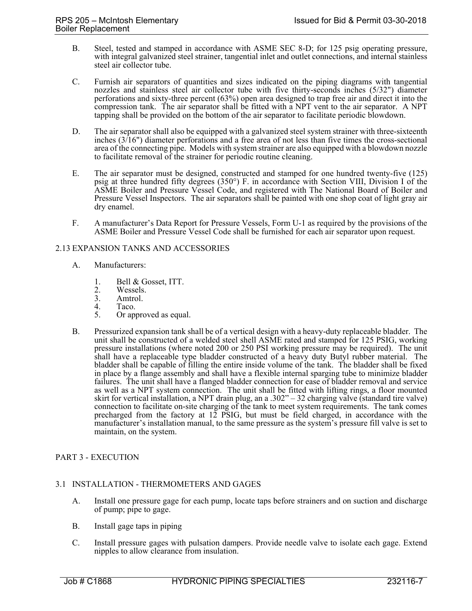- B. Steel, tested and stamped in accordance with ASME SEC 8-D; for 125 psig operating pressure, with integral galvanized steel strainer, tangential inlet and outlet connections, and internal stainless steel air collector tube.
- C. Furnish air separators of quantities and sizes indicated on the piping diagrams with tangential nozzles and stainless steel air collector tube with five thirty-seconds inches (5/32") diameter perforations and sixty-three percent (63%) open area designed to trap free air and direct it into the compression tank. The air separator shall be fitted with a NPT vent to the air separator. A NPT tapping shall be provided on the bottom of the air separator to facilitate periodic blowdown.
- D. The air separator shall also be equipped with a galvanized steel system strainer with three-sixteenth inches (3/16") diameter perforations and a free area of not less than five times the cross-sectional area of the connecting pipe. Models with system strainer are also equipped with a blowdown nozzle to facilitate removal of the strainer for periodic routine cleaning.
- E. The air separator must be designed, constructed and stamped for one hundred twenty-five (125) psig at three hundred fifty degrees (350°) F. in accordance with Section VIII, Division I of the ASME Boiler and Pressure Vessel Code, and registered with The National Board of Boiler and Pressure Vessel Inspectors. The air separators shall be painted with one shop coat of light gray air dry enamel.
- F. A manufacturer's Data Report for Pressure Vessels, Form U-1 as required by the provisions of the ASME Boiler and Pressure Vessel Code shall be furnished for each air separator upon request.

### 2.13 EXPANSION TANKS AND ACCESSORIES

- A. Manufacturers:
	- 1. Bell & Gosset, ITT.<br>2. Wessels.
	- 2. Wessels.<br>3. Amtrol.
	- 3. Amtrol.<br>4. Taco.
	- 4. Taco.<br>5. Or ap
	- Or approved as equal.
- B. Pressurized expansion tank shall be of a vertical design with a heavy-duty replaceable bladder. The unit shall be constructed of a welded steel shell ASME rated and stamped for 125 PSIG, working pressure installations (where noted 200 or 250 PSI working pressure may be required). The unit shall have a replaceable type bladder constructed of a heavy duty Butyl rubber material. The bladder shall be capable of filling the entire inside volume of the tank. The bladder shall be fixed in place by a flange assembly and shall have a flexible internal sparging tube to minimize bladder failures. The unit shall have a flanged bladder connection for ease of bladder removal and service as well as a NPT system connection. The unit shall be fitted with lifting rings, a floor mounted skirt for vertical installation, a NPT drain plug, an a .302" – 32 charging valve (standard tire valve) connection to facilitate on-site charging of the tank to meet system requirements. The tank comes precharged from the factory at  $12$  PSIG, but must be field charged, in accordance with the manufacturer's installation manual, to the same pressure as the system's pressure fill valve is set to maintain, on the system.

## PART 3 - EXECUTION

## 3.1 INSTALLATION - THERMOMETERS AND GAGES

- A. Install one pressure gage for each pump, locate taps before strainers and on suction and discharge of pump; pipe to gage.
- B. Install gage taps in piping
- C. Install pressure gages with pulsation dampers. Provide needle valve to isolate each gage. Extend nipples to allow clearance from insulation.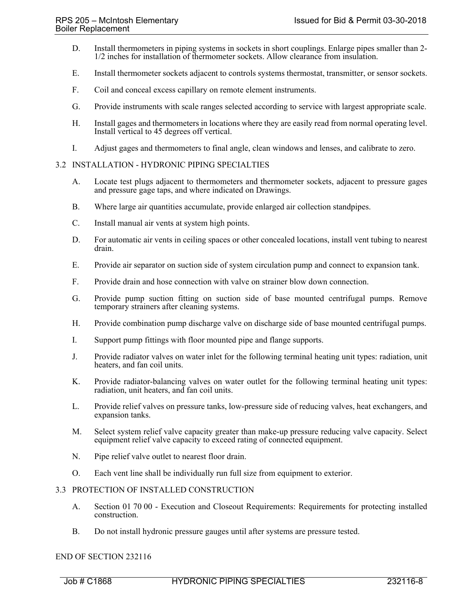- D. Install thermometers in piping systems in sockets in short couplings. Enlarge pipes smaller than 2- 1/2 inches for installation of thermometer sockets. Allow clearance from insulation.
- E. Install thermometer sockets adjacent to controls systems thermostat, transmitter, or sensor sockets.
- F. Coil and conceal excess capillary on remote element instruments.
- G. Provide instruments with scale ranges selected according to service with largest appropriate scale.
- H. Install gages and thermometers in locations where they are easily read from normal operating level. Install vertical to 45 degrees off vertical.
- I. Adjust gages and thermometers to final angle, clean windows and lenses, and calibrate to zero.

## 3.2 INSTALLATION - HYDRONIC PIPING SPECIALTIES

- A. Locate test plugs adjacent to thermometers and thermometer sockets, adjacent to pressure gages and pressure gage taps, and where indicated on Drawings.
- B. Where large air quantities accumulate, provide enlarged air collection standpipes.
- C. Install manual air vents at system high points.
- D. For automatic air vents in ceiling spaces or other concealed locations, install vent tubing to nearest drain.
- E. Provide air separator on suction side of system circulation pump and connect to expansion tank.
- F. Provide drain and hose connection with valve on strainer blow down connection.
- G. Provide pump suction fitting on suction side of base mounted centrifugal pumps. Remove temporary strainers after cleaning systems.
- H. Provide combination pump discharge valve on discharge side of base mounted centrifugal pumps.
- I. Support pump fittings with floor mounted pipe and flange supports.
- J. Provide radiator valves on water inlet for the following terminal heating unit types: radiation, unit heaters, and fan coil units.
- K. Provide radiator-balancing valves on water outlet for the following terminal heating unit types: radiation, unit heaters, and fan coil units.
- L. Provide relief valves on pressure tanks, low-pressure side of reducing valves, heat exchangers, and expansion tanks.
- M. Select system relief valve capacity greater than make-up pressure reducing valve capacity. Select equipment relief valve capacity to exceed rating of connected equipment.
- N. Pipe relief valve outlet to nearest floor drain.
- O. Each vent line shall be individually run full size from equipment to exterior.

## 3.3 PROTECTION OF INSTALLED CONSTRUCTION

- A. Section 01 70 00 Execution and Closeout Requirements: Requirements for protecting installed construction.
- B. Do not install hydronic pressure gauges until after systems are pressure tested.

### END OF SECTION 232116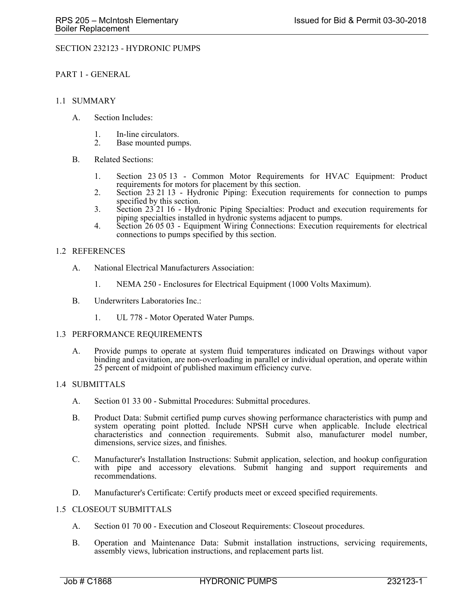## SECTION 232123 - HYDRONIC PUMPS

PART 1 - GENERAL

### 1.1 SUMMARY

- A. Section Includes:
	- 1. In-line circulators.
	- 2. Base mounted pumps.
- B. Related Sections:
	- 1. Section 23 05 13 Common Motor Requirements for HVAC Equipment: Product requirements for motors for placement by this section.
	- 2. Section 23 21 13 Hydronic Piping: Execution requirements for connection to pumps specified by this section.
	- 3. Section 23 21 16 Hydronic Piping Specialties: Product and execution requirements for piping specialties installed in hydronic systems adjacent to pumps.
	- 4. Section 26 05 03 Equipment Wiring Connections: Execution requirements for electrical connections to pumps specified by this section.

## 1.2 REFERENCES

- A. National Electrical Manufacturers Association:
	- 1. NEMA 250 Enclosures for Electrical Equipment (1000 Volts Maximum).
- B. Underwriters Laboratories Inc.:
	- 1. UL 778 Motor Operated Water Pumps.

#### 1.3 PERFORMANCE REQUIREMENTS

A. Provide pumps to operate at system fluid temperatures indicated on Drawings without vapor binding and cavitation, are non-overloading in parallel or individual operation, and operate within 25 percent of midpoint of published maximum efficiency curve.

#### 1.4 SUBMITTALS

- A. Section 01 33 00 Submittal Procedures: Submittal procedures.
- B. Product Data: Submit certified pump curves showing performance characteristics with pump and system operating point plotted. Include NPSH curve when applicable. Include electrical characteristics and connection requirements. Submit also, manufacturer model number, dimensions, service sizes, and finishes.
- C. Manufacturer's Installation Instructions: Submit application, selection, and hookup configuration with pipe and accessory elevations. Submit hanging and support requirements and recommendations.
- D. Manufacturer's Certificate: Certify products meet or exceed specified requirements.

#### 1.5 CLOSEOUT SUBMITTALS

- A. Section 01 70 00 Execution and Closeout Requirements: Closeout procedures.
- B. Operation and Maintenance Data: Submit installation instructions, servicing requirements, assembly views, lubrication instructions, and replacement parts list.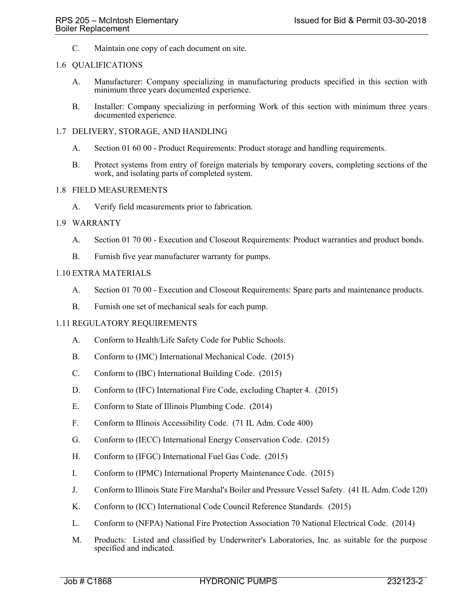C. Maintain one copy of each document on site.

### 1.6 QUALIFICATIONS

- A. Manufacturer: Company specializing in manufacturing products specified in this section with minimum three years documented experience.
- B. Installer: Company specializing in performing Work of this section with minimum three years documented experience.

### 1.7 DELIVERY, STORAGE, AND HANDLING

- A. Section 01 60 00 Product Requirements: Product storage and handling requirements.
- B. Protect systems from entry of foreign materials by temporary covers, completing sections of the work, and isolating parts of completed system.

#### 1.8 FIELD MEASUREMENTS

A. Verify field measurements prior to fabrication.

### 1.9 WARRANTY

- A. Section 01 70 00 Execution and Closeout Requirements: Product warranties and product bonds.
- B. Furnish five year manufacturer warranty for pumps.

### 1.10 EXTRA MATERIALS

- A. Section 01 70 00 Execution and Closeout Requirements: Spare parts and maintenance products.
- B. Furnish one set of mechanical seals for each pump.

## 1.11 REGULATORY REQUIREMENTS

- A. Conform to Health/Life Safety Code for Public Schools.
- B. Conform to (IMC) International Mechanical Code. (2015)
- C. Conform to (IBC) International Building Code. (2015)
- D. Conform to (IFC) International Fire Code, excluding Chapter 4. (2015)
- E. Conform to State of Illinois Plumbing Code. (2014)
- F. Conform to Illinois Accessibility Code. (71 IL Adm. Code 400)
- G. Conform to (IECC) International Energy Conservation Code. (2015)
- H. Conform to (IFGC) International Fuel Gas Code. (2015)
- I. Conform to (IPMC) International Property Maintenance Code. (2015)
- J. Conform to Illinois State Fire Marshal's Boiler and Pressure Vessel Safety. (41 IL Adm. Code 120)
- K. Conform to (ICC) International Code Council Reference Standards. (2015)
- L. Conform to (NFPA) National Fire Protection Association 70 National Electrical Code. (2014)
- M. Products: Listed and classified by Underwriter's Laboratories, Inc. as suitable for the purpose specified and indicated.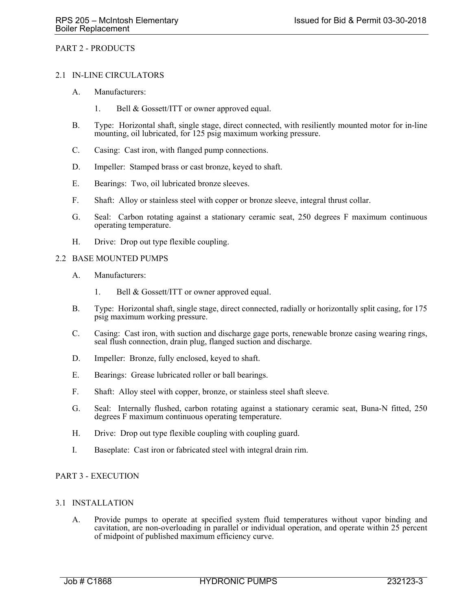#### PART 2 - PRODUCTS

#### 2.1 IN-LINE CIRCULATORS

- A. Manufacturers:
	- 1. Bell & Gossett/ITT or owner approved equal.
- B. Type: Horizontal shaft, single stage, direct connected, with resiliently mounted motor for in-line mounting, oil lubricated, for 125 psig maximum working pressure.
- C. Casing: Cast iron, with flanged pump connections.
- D. Impeller: Stamped brass or cast bronze, keyed to shaft.
- E. Bearings: Two, oil lubricated bronze sleeves.
- F. Shaft: Alloy or stainless steel with copper or bronze sleeve, integral thrust collar.
- G. Seal: Carbon rotating against a stationary ceramic seat, 250 degrees F maximum continuous operating temperature.
- H. Drive: Drop out type flexible coupling.

#### 2.2 BASE MOUNTED PUMPS

- A. Manufacturers:
	- 1. Bell & Gossett/ITT or owner approved equal.
- B. Type: Horizontal shaft, single stage, direct connected, radially or horizontally split casing, for 175 psig maximum working pressure.
- C. Casing: Cast iron, with suction and discharge gage ports, renewable bronze casing wearing rings, seal flush connection, drain plug, flanged suction and discharge.
- D. Impeller: Bronze, fully enclosed, keyed to shaft.
- E. Bearings: Grease lubricated roller or ball bearings.
- F. Shaft: Alloy steel with copper, bronze, or stainless steel shaft sleeve.
- G. Seal: Internally flushed, carbon rotating against a stationary ceramic seat, Buna-N fitted, 250 degrees F maximum continuous operating temperature.
- H. Drive: Drop out type flexible coupling with coupling guard.
- I. Baseplate: Cast iron or fabricated steel with integral drain rim.

#### PART 3 - EXECUTION

### 3.1 INSTALLATION

A. Provide pumps to operate at specified system fluid temperatures without vapor binding and cavitation, are non-overloading in parallel or individual operation, and operate within 25 percent of midpoint of published maximum efficiency curve.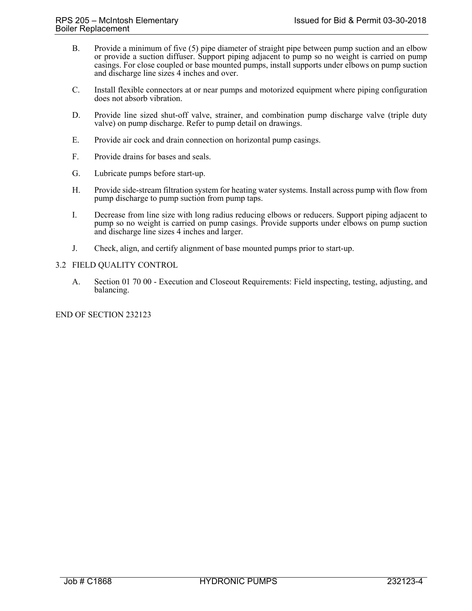- B. Provide a minimum of five (5) pipe diameter of straight pipe between pump suction and an elbow or provide a suction diffuser. Support piping adjacent to pump so no weight is carried on pump casings. For close coupled or base mounted pumps, install supports under elbows on pump suction and discharge line sizes 4 inches and over.
- C. Install flexible connectors at or near pumps and motorized equipment where piping configuration does not absorb vibration.
- D. Provide line sized shut-off valve, strainer, and combination pump discharge valve (triple duty valve) on pump discharge. Refer to pump detail on drawings.
- E. Provide air cock and drain connection on horizontal pump casings.
- F. Provide drains for bases and seals.
- G. Lubricate pumps before start-up.
- H. Provide side-stream filtration system for heating water systems. Install across pump with flow from pump discharge to pump suction from pump taps.
- I. Decrease from line size with long radius reducing elbows or reducers. Support piping adjacent to pump so no weight is carried on pump casings. Provide supports under elbows on pump suction and discharge line sizes 4 inches and larger.
- J. Check, align, and certify alignment of base mounted pumps prior to start-up.

### 3.2 FIELD QUALITY CONTROL

A. Section 01 70 00 - Execution and Closeout Requirements: Field inspecting, testing, adjusting, and balancing.

## END OF SECTION 232123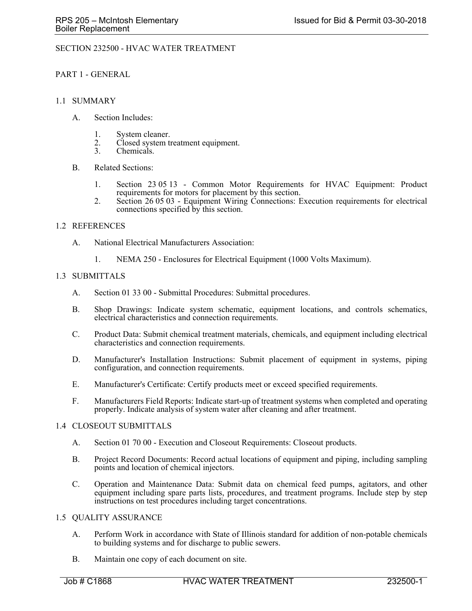## SECTION 232500 - HVAC WATER TREATMENT

### PART 1 - GENERAL

### 1.1 SUMMARY

- A. Section Includes:
	- 1. System cleaner.
	- 2. Closed system treatment equipment.<br>3. Chemicals.
	- Chemicals.
- B. Related Sections:
	- 1. Section 23 05 13 Common Motor Requirements for HVAC Equipment: Product requirements for motors for placement by this section.
	- 2. Section 26 05 03 Equipment Wiring Connections: Execution requirements for electrical connections specified by this section.

### 1.2 REFERENCES

- A. National Electrical Manufacturers Association:
	- 1. NEMA 250 Enclosures for Electrical Equipment (1000 Volts Maximum).

### 1.3 SUBMITTALS

- A. Section 01 33 00 Submittal Procedures: Submittal procedures.
- B. Shop Drawings: Indicate system schematic, equipment locations, and controls schematics, electrical characteristics and connection requirements.
- C. Product Data: Submit chemical treatment materials, chemicals, and equipment including electrical characteristics and connection requirements.
- D. Manufacturer's Installation Instructions: Submit placement of equipment in systems, piping configuration, and connection requirements.
- E. Manufacturer's Certificate: Certify products meet or exceed specified requirements.
- F. Manufacturers Field Reports: Indicate start-up of treatment systems when completed and operating properly. Indicate analysis of system water after cleaning and after treatment.

## 1.4 CLOSEOUT SUBMITTALS

- A. Section 01 70 00 Execution and Closeout Requirements: Closeout products.
- B. Project Record Documents: Record actual locations of equipment and piping, including sampling points and location of chemical injectors.
- C. Operation and Maintenance Data: Submit data on chemical feed pumps, agitators, and other equipment including spare parts lists, procedures, and treatment programs. Include step by step instructions on test procedures including target concentrations.

#### 1.5 QUALITY ASSURANCE

- A. Perform Work in accordance with State of Illinois standard for addition of non-potable chemicals to building systems and for discharge to public sewers.
- B. Maintain one copy of each document on site.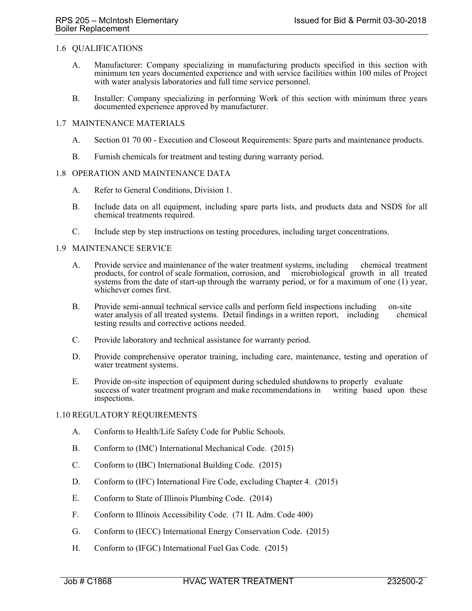## 1.6 QUALIFICATIONS

- A. Manufacturer: Company specializing in manufacturing products specified in this section with minimum ten years documented experience and with service facilities within 100 miles of Project with water analysis laboratories and full time service personnel.
- B. Installer: Company specializing in performing Work of this section with minimum three years documented experience approved by manufacturer.

### 1.7 MAINTENANCE MATERIALS

- A. Section 01 70 00 Execution and Closeout Requirements: Spare parts and maintenance products.
- B. Furnish chemicals for treatment and testing during warranty period.

#### 1.8 OPERATION AND MAINTENANCE DATA

- A. Refer to General Conditions, Division 1.
- B. Include data on all equipment, including spare parts lists, and products data and NSDS for all chemical treatments required.
- C. Include step by step instructions on testing procedures, including target concentrations.

### 1.9 MAINTENANCE SERVICE

- A. Provide service and maintenance of the water treatment systems, including chemical treatment products, for control of scale formation, corrosion, and microbiological growth in all treated systems from the date of start-up through the warranty period, or for a maximum of one (1) year, whichever comes first.
- B. Provide semi-annual technical service calls and perform field inspections including on-site water analysis of all treated systems. Detail findings in a written report, including chemical water analysis of all treated systems. Detail findings in a written report, including testing results and corrective actions needed.
- C. Provide laboratory and technical assistance for warranty period.
- D. Provide comprehensive operator training, including care, maintenance, testing and operation of water treatment systems.
- E. Provide on-site inspection of equipment during scheduled shutdowns to properly evaluate success of water treatment program and make recommendations in writing based upon these inspections.

#### 1.10 REGULATORY REQUIREMENTS

- A. Conform to Health/Life Safety Code for Public Schools.
- B. Conform to (IMC) International Mechanical Code. (2015)
- C. Conform to (IBC) International Building Code. (2015)
- D. Conform to (IFC) International Fire Code, excluding Chapter 4. (2015)
- E. Conform to State of Illinois Plumbing Code. (2014)
- F. Conform to Illinois Accessibility Code. (71 IL Adm. Code 400)
- G. Conform to (IECC) International Energy Conservation Code. (2015)
- H. Conform to (IFGC) International Fuel Gas Code. (2015)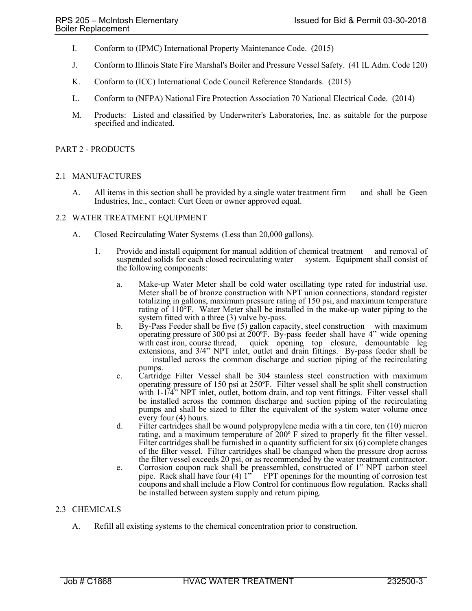- I. Conform to (IPMC) International Property Maintenance Code. (2015)
- J. Conform to Illinois State Fire Marshal's Boiler and Pressure Vessel Safety. (41 IL Adm. Code 120)
- K. Conform to (ICC) International Code Council Reference Standards. (2015)
- L. Conform to (NFPA) National Fire Protection Association 70 National Electrical Code. (2014)
- M. Products: Listed and classified by Underwriter's Laboratories, Inc. as suitable for the purpose specified and indicated.

### PART 2 - PRODUCTS

#### 2.1 MANUFACTURES

A. All items in this section shall be provided by a single water treatment firm and shall be Geen Industries, Inc., contact: Curt Geen or owner approved equal.

### 2.2 WATER TREATMENT EQUIPMENT

- A. Closed Recirculating Water Systems (Less than 20,000 gallons).
	- 1. Provide and install equipment for manual addition of chemical treatment and removal of suspended solids for each closed recirculating water system. Equipment shall consist of the following components:
		- a. Make-up Water Meter shall be cold water oscillating type rated for industrial use. Meter shall be of bronze construction with NPT union connections, standard register totalizing in gallons, maximum pressure rating of 150 psi, and maximum temperature rating of 110°F. Water Meter shall be installed in the make-up water piping to the system fitted with a three (3) valve by-pass.
		- b. By-Pass Feeder shall be five (5) gallon capacity, steel construction with maximum operating pressure of 300 psi at 200ºF. By-pass feeder shall have 4" wide opening with cast iron, course thread, quick opening top closure, demountable leg extensions, and 3/4" NPT inlet, outlet and drain fittings. By-pass feeder shall be installed across the common discharge and suction piping of the recirculating pumps.
		- c. Cartridge Filter Vessel shall be 304 stainless steel construction with maximum operating pressure of 150 psi at 250ºF. Filter vessel shall be split shell construction with 1-1/4" NPT inlet, outlet, bottom drain, and top vent fittings. Filter vessel shall be installed across the common discharge and suction piping of the recirculating pumps and shall be sized to filter the equivalent of the system water volume once every four (4) hours.
		- d. Filter cartridges shall be wound polypropylene media with a tin core, ten (10) micron rating, and a maximum temperature of 200º F sized to properly fit the filter vessel. Filter cartridges shall be furnished in a quantity sufficient for six (6) complete changes of the filter vessel. Filter cartridges shall be changed when the pressure drop across the filter vessel exceeds 20 psi, or as recommended by the water treatment contractor.
		- e. Corrosion coupon rack shall be preassembled, constructed of 1" NPT carbon steel pipe. Rack shall have four (4)  $1''$  FPT openings for the mounting of corrosion test coupons and shall include a Flow Control for continuous flow regulation. Racks shall be installed between system supply and return piping.

## 2.3 CHEMICALS

A. Refill all existing systems to the chemical concentration prior to construction.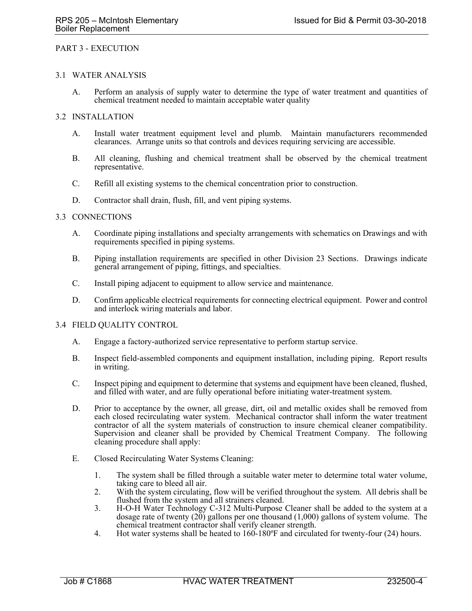### PART 3 - EXECUTION

### 3.1 WATER ANALYSIS

A. Perform an analysis of supply water to determine the type of water treatment and quantities of chemical treatment needed to maintain acceptable water quality

### 3.2 INSTALLATION

- A. Install water treatment equipment level and plumb. Maintain manufacturers recommended clearances. Arrange units so that controls and devices requiring servicing are accessible.
- B. All cleaning, flushing and chemical treatment shall be observed by the chemical treatment representative.
- C. Refill all existing systems to the chemical concentration prior to construction.
- D. Contractor shall drain, flush, fill, and vent piping systems.

## 3.3 CONNECTIONS

- A. Coordinate piping installations and specialty arrangements with schematics on Drawings and with requirements specified in piping systems.
- B. Piping installation requirements are specified in other Division 23 Sections. Drawings indicate general arrangement of piping, fittings, and specialties.
- C. Install piping adjacent to equipment to allow service and maintenance.
- D. Confirm applicable electrical requirements for connecting electrical equipment. Power and control and interlock wiring materials and labor.

#### 3.4 FIELD QUALITY CONTROL

- A. Engage a factory-authorized service representative to perform startup service.
- B. Inspect field-assembled components and equipment installation, including piping. Report results in writing.
- C. Inspect piping and equipment to determine that systems and equipment have been cleaned, flushed, and filled with water, and are fully operational before initiating water-treatment system.
- D. Prior to acceptance by the owner, all grease, dirt, oil and metallic oxides shall be removed from each closed recirculating water system. Mechanical contractor shall inform the water treatment contractor of all the system materials of construction to insure chemical cleaner compatibility. Supervision and cleaner shall be provided by Chemical Treatment Company. The following cleaning procedure shall apply:
- E. Closed Recirculating Water Systems Cleaning:
	- 1. The system shall be filled through a suitable water meter to determine total water volume, taking care to bleed all air.
	- 2. With the system circulating, flow will be verified throughout the system. All debris shall be flushed from the system and all strainers cleaned.
	- 3. H-O-H Water Technology C-312 Multi-Purpose Cleaner shall be added to the system at a dosage rate of twenty (20) gallons per one thousand (1,000) gallons of system volume. The chemical treatment contractor shall verify cleaner strength.
	- 4. Hot water systems shall be heated to 160-180ºF and circulated for twenty-four (24) hours.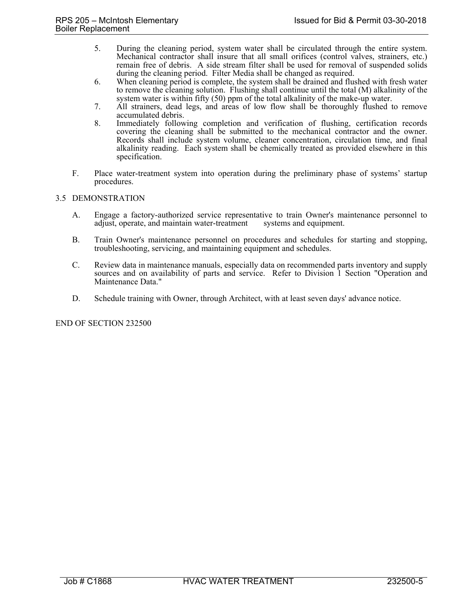- 5. During the cleaning period, system water shall be circulated through the entire system. Mechanical contractor shall insure that all small orifices (control valves, strainers, etc.) remain free of debris. A side stream filter shall be used for removal of suspended solids during the cleaning period. Filter Media shall be changed as required.
- 6. When cleaning period is complete, the system shall be drained and flushed with fresh water to remove the cleaning solution. Flushing shall continue until the total (M) alkalinity of the system water is within fifty (50) ppm of the total alkalinity of the make-up water.
- 7. All strainers, dead legs, and areas of low flow shall be thoroughly flushed to remove accumulated debris.
- 8. Immediately following completion and verification of flushing, certification records covering the cleaning shall be submitted to the mechanical contractor and the owner. Records shall include system volume, cleaner concentration, circulation time, and final alkalinity reading. Each system shall be chemically treated as provided elsewhere in this specification.
- F. Place water-treatment system into operation during the preliminary phase of systems' startup procedures.

#### 3.5 DEMONSTRATION

- A. Engage a factory-authorized service representative to train Owner's maintenance personnel to adjust, operate, and maintain water-treatment systems and equipment.
- B. Train Owner's maintenance personnel on procedures and schedules for starting and stopping, troubleshooting, servicing, and maintaining equipment and schedules.
- C. Review data in maintenance manuals, especially data on recommended parts inventory and supply sources and on availability of parts and service. Refer to Division 1 Section "Operation and Maintenance Data."
- D. Schedule training with Owner, through Architect, with at least seven days' advance notice.

END OF SECTION 232500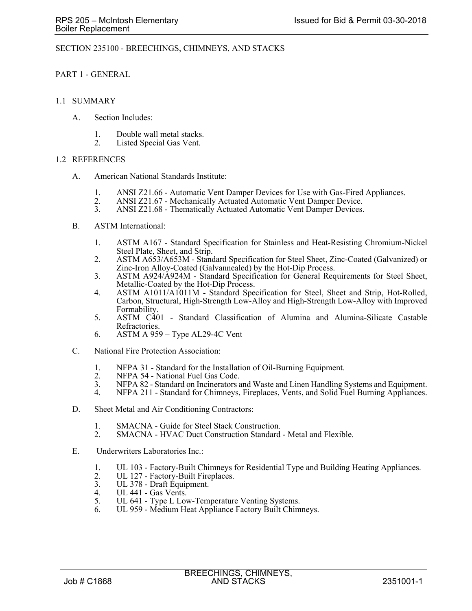## SECTION 235100 - BREECHINGS, CHIMNEYS, AND STACKS

### PART 1 - GENERAL

### 1.1 SUMMARY

- A. Section Includes:
	- 1. Double wall metal stacks.
	- 2. Listed Special Gas Vent.

### 1.2 REFERENCES

- A. American National Standards Institute:
	- 1. ANSI Z21.66 Automatic Vent Damper Devices for Use with Gas-Fired Appliances.<br>2. ANSI Z21.67 Mechanically Actuated Automatic Vent Damper Device.
	- 2. ANSI Z21.67 Mechanically Actuated Automatic Vent Damper Device.<br>3. ANSI Z21.68 Thematically Actuated Automatic Vent Damper Devices.
	- ANSI Z21.68 Thematically Actuated Automatic Vent Damper Devices.

#### B. ASTM International:

- 1. ASTM A167 Standard Specification for Stainless and Heat-Resisting Chromium-Nickel Steel Plate, Sheet, and Strip.
- 2. ASTM A653/A653M Standard Specification for Steel Sheet, Zinc-Coated (Galvanized) or Zinc-Iron Alloy-Coated (Galvannealed) by the Hot-Dip Process.
- 3. ASTM A924/A924M Standard Specification for General Requirements for Steel Sheet, Metallic-Coated by the Hot-Dip Process.
- 4. ASTM A1011/A1011M Standard Specification for Steel, Sheet and Strip, Hot-Rolled, Carbon, Structural, High-Strength Low-Alloy and High-Strength Low-Alloy with Improved Formability.
- 5. ASTM C401 Standard Classification of Alumina and Alumina-Silicate Castable Refractories.
- 6. ASTM A 959 Type AL29-4C Vent
- C. National Fire Protection Association:
	- 1. NFPA 31 Standard for the Installation of Oil-Burning Equipment.
	- 2. NFPA 54 National Fuel Gas Code.<br>3. NFPA 82 Standard on Incinerators a
	- 3. NFPA 82 Standard on Incinerators and Waste and Linen Handling Systems and Equipment.
	- 4. NFPA 211 Standard for Chimneys, Fireplaces, Vents, and Solid Fuel Burning Appliances.
- D. Sheet Metal and Air Conditioning Contractors:
	- 1. SMACNA Guide for Steel Stack Construction.
	- 2. SMACNA HVAC Duct Construction Standard Metal and Flexible.
- E. Underwriters Laboratories Inc.:
	- 1. UL 103 Factory-Built Chimneys for Residential Type and Building Heating Appliances.
	- 2. UL 127 Factory-Built Fireplaces.<br>3. UL 378 Draft Equipment.
	- 3. UL 378 Draft Equipment.<br>4. UL 441 Gas Vents.
	- 4. UL 441 Gas Vents.<br>5. UL 641 Type L Lov
	- UL 641 Type L Low-Temperature Venting Systems.
	- 6. UL 959 Medium Heat Appliance Factory Built Chimneys.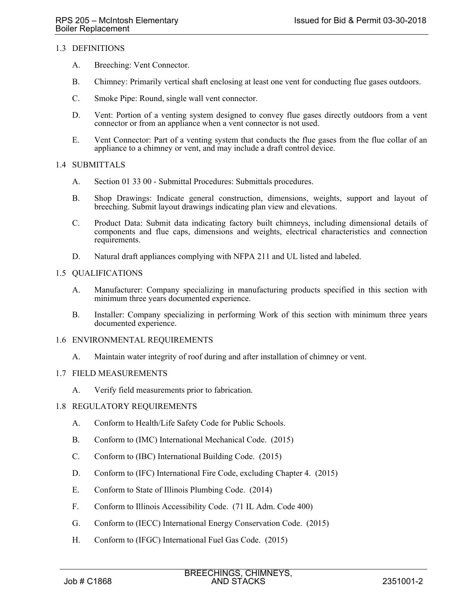## 1.3 DEFINITIONS

- A. Breeching: Vent Connector.
- B. Chimney: Primarily vertical shaft enclosing at least one vent for conducting flue gases outdoors.
- C. Smoke Pipe: Round, single wall vent connector.
- D. Vent: Portion of a venting system designed to convey flue gases directly outdoors from a vent connector or from an appliance when a vent connector is not used.
- E. Vent Connector: Part of a venting system that conducts the flue gases from the flue collar of an appliance to a chimney or vent, and may include a draft control device.

### 1.4 SUBMITTALS

- A. Section 01 33 00 Submittal Procedures: Submittals procedures.
- B. Shop Drawings: Indicate general construction, dimensions, weights, support and layout of breeching. Submit layout drawings indicating plan view and elevations.
- C. Product Data: Submit data indicating factory built chimneys, including dimensional details of components and flue caps, dimensions and weights, electrical characteristics and connection requirements.
- D. Natural draft appliances complying with NFPA 211 and UL listed and labeled.

### 1.5 QUALIFICATIONS

- A. Manufacturer: Company specializing in manufacturing products specified in this section with minimum three years documented experience.
- B. Installer: Company specializing in performing Work of this section with minimum three years documented experience.
- 1.6 ENVIRONMENTAL REQUIREMENTS
	- A. Maintain water integrity of roof during and after installation of chimney or vent.

#### 1.7 FIELD MEASUREMENTS

A. Verify field measurements prior to fabrication.

#### 1.8 REGULATORY REQUIREMENTS

- A. Conform to Health/Life Safety Code for Public Schools.
- B. Conform to (IMC) International Mechanical Code. (2015)
- C. Conform to (IBC) International Building Code. (2015)
- D. Conform to (IFC) International Fire Code, excluding Chapter 4. (2015)
- E. Conform to State of Illinois Plumbing Code. (2014)
- F. Conform to Illinois Accessibility Code. (71 IL Adm. Code 400)
- G. Conform to (IECC) International Energy Conservation Code. (2015)
- H. Conform to (IFGC) International Fuel Gas Code. (2015)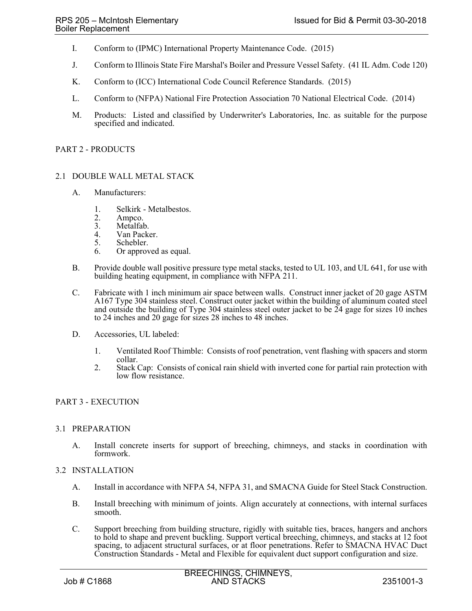- I. Conform to (IPMC) International Property Maintenance Code. (2015)
- J. Conform to Illinois State Fire Marshal's Boiler and Pressure Vessel Safety. (41 IL Adm. Code 120)
- K. Conform to (ICC) International Code Council Reference Standards. (2015)
- L. Conform to (NFPA) National Fire Protection Association 70 National Electrical Code. (2014)
- M. Products: Listed and classified by Underwriter's Laboratories, Inc. as suitable for the purpose specified and indicated.

PART 2 - PRODUCTS

- 2.1 DOUBLE WALL METAL STACK
	- A. Manufacturers:
		- 1. Selkirk Metalbestos.
		- 2. Ampco.
		- 3. Metalfab.<br>4. Van Packe
		- 4. Van Packer.<br>5. Schebler.
		- Schebler.
		- 6. Or approved as equal.
	- B. Provide double wall positive pressure type metal stacks, tested to UL 103, and UL 641, for use with building heating equipment, in compliance with NFPA 211.
	- C. Fabricate with 1 inch minimum air space between walls. Construct inner jacket of 20 gage ASTM A167 Type 304 stainless steel. Construct outer jacket within the building of aluminum coated steel and outside the building of Type 304 stainless steel outer jacket to be 24 gage for sizes 10 inches to 24 inches and 20 gage for sizes 28 inches to 48 inches.
	- D. Accessories, UL labeled:
		- 1. Ventilated Roof Thimble: Consists of roof penetration, vent flashing with spacers and storm collar.
		- 2. Stack Cap: Consists of conical rain shield with inverted cone for partial rain protection with low flow resistance.

## PART 3 - EXECUTION

#### 3.1 PREPARATION

A. Install concrete inserts for support of breeching, chimneys, and stacks in coordination with formwork.

#### 3.2 INSTALLATION

- A. Install in accordance with NFPA 54, NFPA 31, and SMACNA Guide for Steel Stack Construction.
- B. Install breeching with minimum of joints. Align accurately at connections, with internal surfaces smooth.
- C. Support breeching from building structure, rigidly with suitable ties, braces, hangers and anchors to hold to shape and prevent buckling. Support vertical breeching, chimneys, and stacks at 12 foot spacing, to adjacent structural surfaces, or at floor penetrations. Refer to SMACNA HVAC Duct Construction Standards - Metal and Flexible for equivalent duct support configuration and size.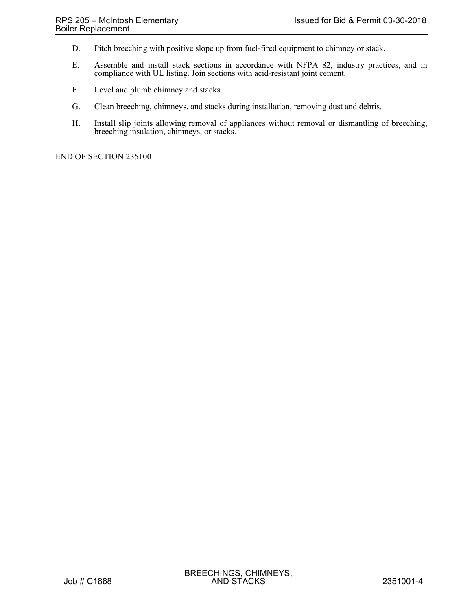- D. Pitch breeching with positive slope up from fuel-fired equipment to chimney or stack.
- E. Assemble and install stack sections in accordance with NFPA 82, industry practices, and in compliance with UL listing. Join sections with acid-resistant joint cement.
- F. Level and plumb chimney and stacks.
- G. Clean breeching, chimneys, and stacks during installation, removing dust and debris.
- H. Install slip joints allowing removal of appliances without removal or dismantling of breeching, breeching insulation, chimneys, or stacks.

END OF SECTION 235100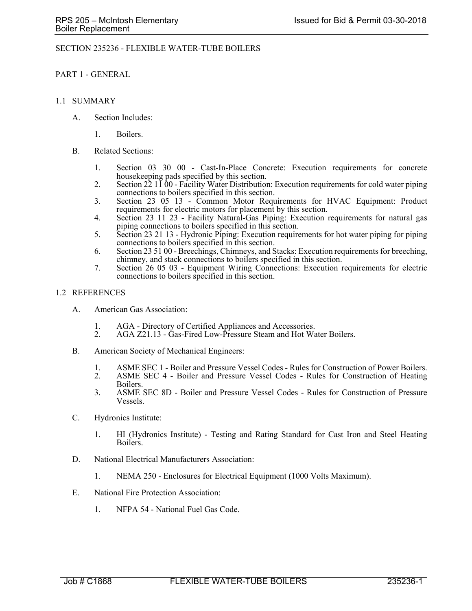## SECTION 235236 - FLEXIBLE WATER-TUBE BOILERS

### PART 1 - GENERAL

### 1.1 SUMMARY

- A. Section Includes:
	- 1. Boilers.
- B. Related Sections:
	- 1. Section 03 30 00 Cast-In-Place Concrete: Execution requirements for concrete housekeeping pads specified by this section.
	- 2. Section  $22\ 11\ 00$  Facility Water Distribution: Execution requirements for cold water piping connections to boilers specified in this section.
	- 3. Section 23 05 13 Common Motor Requirements for HVAC Equipment: Product requirements for electric motors for placement by this section.
	- 4. Section 23 11 23 Facility Natural-Gas Piping: Execution requirements for natural gas piping connections to boilers specified in this section.
	- 5. Section 23 21 13 Hydronic Piping: Execution requirements for hot water piping for piping connections to boilers specified in this section.
	- 6. Section 23 51 00 Breechings, Chimneys, and Stacks: Execution requirements for breeching, chimney, and stack connections to boilers specified in this section.
	- 7. Section 26 05 03 Equipment Wiring Connections: Execution requirements for electric connections to boilers specified in this section.

### 1.2 REFERENCES

- A. American Gas Association:
	- 1. AGA Directory of Certified Appliances and Accessories.<br>2. AGA Z21.13 Gas-Fired Low-Pressure Steam and Hot Wa
	- 2. AGA Z21.13 Gas-Fired Low-Pressure Steam and Hot Water Boilers.
- B. American Society of Mechanical Engineers:
	- 1. ASME SEC 1 Boiler and Pressure Vessel Codes Rules for Construction of Power Boilers.
	- 2. ASME SEC 4 Boiler and Pressure Vessel Codes Rules for Construction of Heating Boilers.
	- 3. ASME SEC 8D Boiler and Pressure Vessel Codes Rules for Construction of Pressure Vessels.
- C. Hydronics Institute:
	- 1. HI (Hydronics Institute) Testing and Rating Standard for Cast Iron and Steel Heating Boilers.
- D. National Electrical Manufacturers Association:
	- 1. NEMA 250 Enclosures for Electrical Equipment (1000 Volts Maximum).
- E. National Fire Protection Association:
	- 1. NFPA 54 National Fuel Gas Code.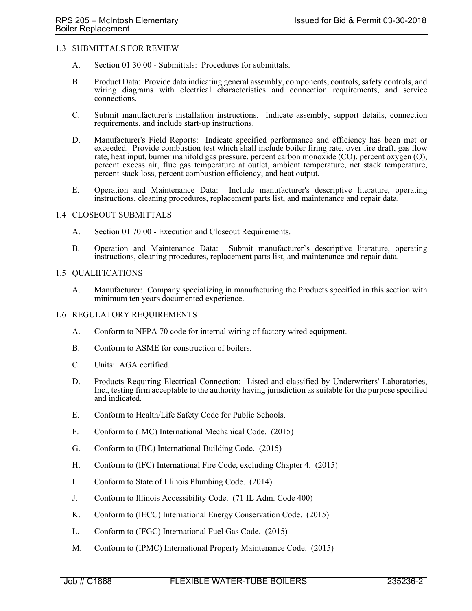### 1.3 SUBMITTALS FOR REVIEW

- A. Section 01 30 00 Submittals: Procedures for submittals.
- B. Product Data: Provide data indicating general assembly, components, controls, safety controls, and wiring diagrams with electrical characteristics and connection requirements, and service connections.
- C. Submit manufacturer's installation instructions. Indicate assembly, support details, connection requirements, and include start-up instructions.
- D. Manufacturer's Field Reports: Indicate specified performance and efficiency has been met or exceeded. Provide combustion test which shall include boiler firing rate, over fire draft, gas flow rate, heat input, burner manifold gas pressure, percent carbon monoxide (CO), percent oxygen (O), percent excess air, flue gas temperature at outlet, ambient temperature, net stack temperature, percent stack loss, percent combustion efficiency, and heat output.
- E. Operation and Maintenance Data: Include manufacturer's descriptive literature, operating instructions, cleaning procedures, replacement parts list, and maintenance and repair data.

#### 1.4 CLOSEOUT SUBMITTALS

- A. Section 01 70 00 Execution and Closeout Requirements.
- B. Operation and Maintenance Data: Submit manufacturer's descriptive literature, operating instructions, cleaning procedures, replacement parts list, and maintenance and repair data.

#### 1.5 QUALIFICATIONS

A. Manufacturer: Company specializing in manufacturing the Products specified in this section with minimum ten years documented experience.

#### 1.6 REGULATORY REQUIREMENTS

- A. Conform to NFPA 70 code for internal wiring of factory wired equipment.
- B. Conform to ASME for construction of boilers.
- C. Units: AGA certified.
- D. Products Requiring Electrical Connection: Listed and classified by Underwriters' Laboratories, Inc., testing firm acceptable to the authority having jurisdiction as suitable for the purpose specified and indicated.
- E. Conform to Health/Life Safety Code for Public Schools.
- F. Conform to (IMC) International Mechanical Code. (2015)
- G. Conform to (IBC) International Building Code. (2015)
- H. Conform to (IFC) International Fire Code, excluding Chapter 4. (2015)
- I. Conform to State of Illinois Plumbing Code. (2014)
- J. Conform to Illinois Accessibility Code. (71 IL Adm. Code 400)
- K. Conform to (IECC) International Energy Conservation Code. (2015)
- L. Conform to (IFGC) International Fuel Gas Code. (2015)
- M. Conform to (IPMC) International Property Maintenance Code. (2015)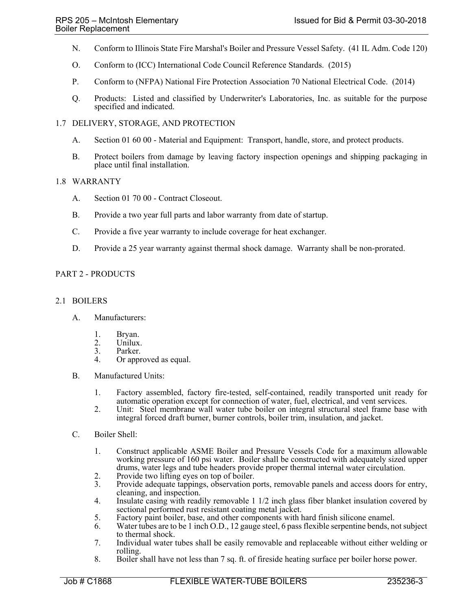- N. Conform to Illinois State Fire Marshal's Boiler and Pressure Vessel Safety. (41 IL Adm. Code 120)
- O. Conform to (ICC) International Code Council Reference Standards. (2015)
- P. Conform to (NFPA) National Fire Protection Association 70 National Electrical Code. (2014)
- Q. Products: Listed and classified by Underwriter's Laboratories, Inc. as suitable for the purpose specified and indicated.

## 1.7 DELIVERY, STORAGE, AND PROTECTION

- A. Section 01 60 00 Material and Equipment: Transport, handle, store, and protect products.
- B. Protect boilers from damage by leaving factory inspection openings and shipping packaging in place until final installation.

### 1.8 WARRANTY

- A. Section 01 70 00 Contract Closeout.
- B. Provide a two year full parts and labor warranty from date of startup.
- C. Provide a five year warranty to include coverage for heat exchanger.
- D. Provide a 25 year warranty against thermal shock damage. Warranty shall be non-prorated.

## PART 2 - PRODUCTS

### 2.1 BOILERS

- A. Manufacturers:
	- 1. Bryan.<br>2. Unilux
	- Unilux.
	- 3. Parker.<br>4. Or appr
	- Or approved as equal.
- B. Manufactured Units:
	- 1. Factory assembled, factory fire-tested, self-contained, readily transported unit ready for automatic operation except for connection of water, fuel, electrical, and vent services.
	- 2. Unit: Steel membrane wall water tube boiler on integral structural steel frame base with integral forced draft burner, burner controls, boiler trim, insulation, and jacket.
- C. Boiler Shell:
	- 1. Construct applicable ASME Boiler and Pressure Vessels Code for a maximum allowable working pressure of 160 psi water. Boiler shall be constructed with adequately sized upper drums, water legs and tube headers provide proper thermal internal water circulation.
	- 2. Provide two lifting eyes on top of boiler.<br>3. Provide adequate tappings, observation p
	- Provide adequate tappings, observation ports, removable panels and access doors for entry, cleaning, and inspection.
	- 4. Insulate casing with readily removable 1 1/2 inch glass fiber blanket insulation covered by sectional performed rust resistant coating metal jacket.
	- 5. Factory paint boiler, base, and other components with hard finish silicone enamel.<br>6. Water tubes are to be 1 inch O.D., 12 gauge steel, 6 pass flexible serpentine bends, no
	- Water tubes are to be 1 inch O.D., 12 gauge steel, 6 pass flexible serpentine bends, not subject to thermal shock.
	- 7. Individual water tubes shall be easily removable and replaceable without either welding or rolling.
	- 8. Boiler shall have not less than 7 sq. ft. of fireside heating surface per boiler horse power.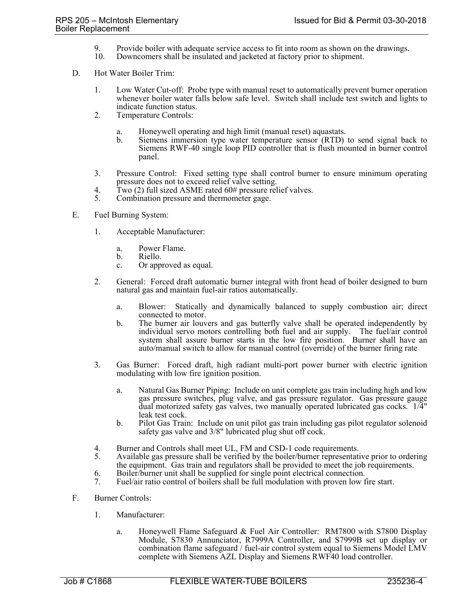- 9. Provide boiler with adequate service access to fit into room as shown on the drawings.<br>10. Downcomers shall be insulated and iacketed at factory prior to shipment.
- Downcomers shall be insulated and jacketed at factory prior to shipment.
- D. Hot Water Boiler Trim:
	- 1. Low Water Cut-off: Probe type with manual reset to automatically prevent burner operation whenever boiler water falls below safe level. Switch shall include test switch and lights to indicate function status.
	- 2. Temperature Controls:
		- a. Honeywell operating and high limit (manual reset) aquastats.
		- b. Siemens immersion type water temperature sensor (RTD) to send signal back to Siemens RWF-40 single loop PID controller that is flush mounted in burner control panel.
	- 3. Pressure Control: Fixed setting type shall control burner to ensure minimum operating pressure does not to exceed relief valve setting.
	- 4. Two (2) full sized ASME rated 60# pressure relief valves.
	- 5. Combination pressure and thermometer gage.
- E. Fuel Burning System:
	- 1. Acceptable Manufacturer:
		- a. Power Flame.
		- b. Riello.
		- c. Or approved as equal.
	- 2. General: Forced draft automatic burner integral with front head of boiler designed to burn natural gas and maintain fuel-air ratios automatically.
		- a. Blower: Statically and dynamically balanced to supply combustion air; direct connected to motor.
		- b. The burner air louvers and gas butterfly valve shall be operated independently by individual servo motors controlling both fuel and air supply. The fuel/air control system shall assure burner starts in the low fire position. Burner shall have an auto/manual switch to allow for manual control (override) of the burner firing rate
	- 3. Gas Burner: Forced draft, high radiant multi-port power burner with electric ignition modulating with low fire ignition position.
		- a. Natural Gas Burner Piping: Include on unit complete gas train including high and low gas pressure switches, plug valve, and gas pressure regulator. Gas pressure gauge dual motorized safety gas valves, two manually operated lubricated gas cocks. 1/4" leak test cock.
		- b. Pilot Gas Train: Include on unit pilot gas train including gas pilot regulator solenoid safety gas valve and 3/8" lubricated plug shut off cock.
	- 4. Burner and Controls shall meet UL, FM and CSD-1 code requirements.<br>5. Available gas pressure shall be verified by the boiler/burner representation-
	- 5. Available gas pressure shall be verified by the boiler/burner representative prior to ordering the equipment. Gas train and regulators shall be provided to meet the job requirements.
	- 6. Boiler/burner unit shall be supplied for single point electrical connection.
	- 7. Fuel/air ratio control of boilers shall be full modulation with proven low fire start.
- F. Burner Controls:
	- 1. Manufacturer:
		- a. Honeywell Flame Safeguard & Fuel Air Controller: RM7800 with S7800 Display Module, S7830 Annunciator, R7999A Controller, and S7999B set up display or combination flame safeguard / fuel-air control system equal to Siemens Model LMV complete with Siemens AZL Display and Siemens RWF40 load controller.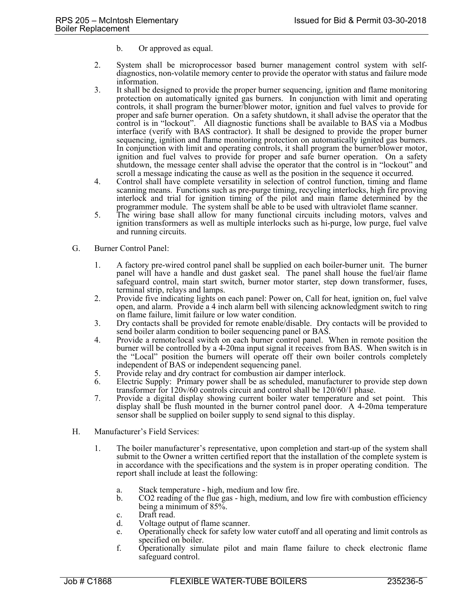- b. Or approved as equal.
- 2. System shall be microprocessor based burner management control system with selfdiagnostics, non-volatile memory center to provide the operator with status and failure mode information.
- 3. It shall be designed to provide the proper burner sequencing, ignition and flame monitoring protection on automatically ignited gas burners. In conjunction with limit and operating controls, it shall program the burner/blower motor, ignition and fuel valves to provide for proper and safe burner operation. On a safety shutdown, it shall advise the operator that the control is in "lockout". All diagnostic functions shall be available to BAS via a Modbus interface (verify with BAS contractor). It shall be designed to provide the proper burner sequencing, ignition and flame monitoring protection on automatically ignited gas burners. In conjunction with limit and operating controls, it shall program the burner/blower motor, ignition and fuel valves to provide for proper and safe burner operation. On a safety shutdown, the message center shall advise the operator that the control is in "lockout" and scroll a message indicating the cause as well as the position in the sequence it occurred.
- 4. Control shall have complete versatility in selection of control function, timing and flame scanning means. Functions such as pre-purge timing, recycling interlocks, high fire proving interlock and trial for ignition timing of the pilot and main flame determined by the programmer module. The system shall be able to be used with ultraviolet flame scanner.
- 5. The wiring base shall allow for many functional circuits including motors, valves and ignition transformers as well as multiple interlocks such as hi-purge, low purge, fuel valve and running circuits.
- G. Burner Control Panel:
	- 1. A factory pre-wired control panel shall be supplied on each boiler-burner unit. The burner panel will have a handle and dust gasket seal. The panel shall house the fuel/air flame safeguard control, main start switch, burner motor starter, step down transformer, fuses, terminal strip, relays and lamps.
	- 2. Provide five indicating lights on each panel: Power on, Call for heat, ignition on, fuel valve open, and alarm. Provide a 4 inch alarm bell with silencing acknowledgment switch to ring on flame failure, limit failure or low water condition.
	- 3. Dry contacts shall be provided for remote enable/disable. Dry contacts will be provided to send boiler alarm condition to boiler sequencing panel or BAS.
	- 4. Provide a remote/local switch on each burner control panel. When in remote position the burner will be controlled by a 4-20ma input signal it receives from BAS. When switch is in the "Local" position the burners will operate off their own boiler controls completely independent of BAS or independent sequencing panel.
	- 5. Provide relay and dry contract for combustion air damper interlock.<br>6. Electric Supply: Primary power shall be as scheduled, manufacture
	- Electric Supply: Primary power shall be as scheduled, manufacturer to provide step down transformer for 120v/60 controls circuit and control shall be 120/60/1 phase.
	- 7. Provide a digital display showing current boiler water temperature and set point. This display shall be flush mounted in the burner control panel door. A 4-20ma temperature sensor shall be supplied on boiler supply to send signal to this display.
- H. Manufacturer's Field Services:
	- 1. The boiler manufacturer's representative, upon completion and start-up of the system shall submit to the Owner a written certified report that the installation of the complete system is in accordance with the specifications and the system is in proper operating condition. The report shall include at least the following:
		- a. Stack temperature high, medium and low fire.
		- b. CO2 reading of the flue gas high, medium, and low fire with combustion efficiency being a minimum of 85%.
		- c. Draft read.
		- d. Voltage output of flame scanner.
		- e. Operationally check for safety low water cutoff and all operating and limit controls as specified on boiler.
		- f. Operationally simulate pilot and main flame failure to check electronic flame safeguard control.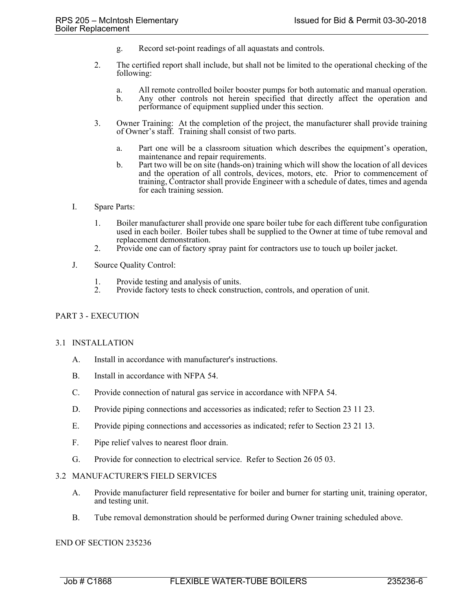- g. Record set-point readings of all aquastats and controls.
- 2. The certified report shall include, but shall not be limited to the operational checking of the following:
	- a. All remote controlled boiler booster pumps for both automatic and manual operation.
	- Any other controls not herein specified that directly affect the operation and performance of equipment supplied under this section.
- 3. Owner Training: At the completion of the project, the manufacturer shall provide training of Owner's staff. Training shall consist of two parts.
	- a. Part one will be a classroom situation which describes the equipment's operation, maintenance and repair requirements.
	- b. Part two will be on site (hands-on) training which will show the location of all devices and the operation of all controls, devices, motors, etc. Prior to commencement of training, Contractor shall provide Engineer with a schedule of dates, times and agenda for each training session.
- I. Spare Parts:
	- 1. Boiler manufacturer shall provide one spare boiler tube for each different tube configuration used in each boiler. Boiler tubes shall be supplied to the Owner at time of tube removal and replacement demonstration.
	- 2. Provide one can of factory spray paint for contractors use to touch up boiler jacket.
- J. Source Quality Control:
	- 1. Provide testing and analysis of units.<br>2. Provide factory tests to check constru
	- Provide factory tests to check construction, controls, and operation of unit.

## PART 3 - EXECUTION

#### 3.1 INSTALLATION

- A. Install in accordance with manufacturer's instructions.
- B. Install in accordance with NFPA 54.
- C. Provide connection of natural gas service in accordance with NFPA 54.
- D. Provide piping connections and accessories as indicated; refer to Section 23 11 23.
- E. Provide piping connections and accessories as indicated; refer to Section 23 21 13.
- F. Pipe relief valves to nearest floor drain.
- G. Provide for connection to electrical service. Refer to Section 26 05 03.

#### 3.2 MANUFACTURER'S FIELD SERVICES

- A. Provide manufacturer field representative for boiler and burner for starting unit, training operator, and testing unit.
- B. Tube removal demonstration should be performed during Owner training scheduled above.

### END OF SECTION 235236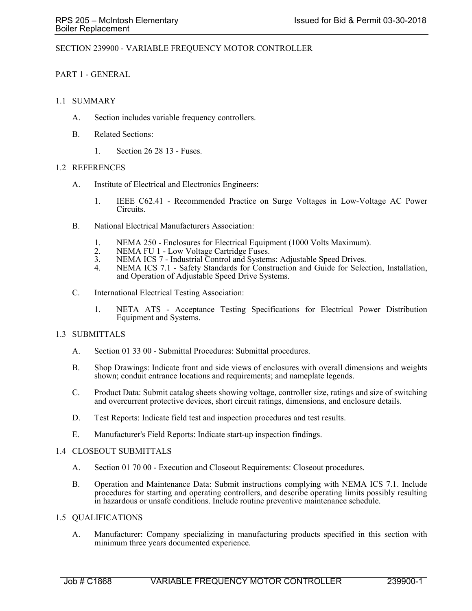# SECTION 239900 - VARIABLE FREQUENCY MOTOR CONTROLLER

## PART 1 - GENERAL

## 1.1 SUMMARY

- A. Section includes variable frequency controllers.
- B. Related Sections:
	- 1. Section 26 28 13 Fuses.

#### 1.2 REFERENCES

- A. Institute of Electrical and Electronics Engineers:
	- 1. IEEE C62.41 Recommended Practice on Surge Voltages in Low-Voltage AC Power Circuits.
- B. National Electrical Manufacturers Association:
	- 1. NEMA 250 Enclosures for Electrical Equipment (1000 Volts Maximum).<br>2. NEMA FU 1 Low Voltage Cartridge Fuses.
	- 2. NEMA FU 1 Low Voltage Cartridge Fuses.<br>3. NEMA ICS 7 Industrial Control and System
	- NEMA ICS 7 Industrial Control and Systems: Adjustable Speed Drives.
	- 4. NEMA ICS 7.1 Safety Standards for Construction and Guide for Selection, Installation, and Operation of Adjustable Speed Drive Systems.
- C. International Electrical Testing Association:
	- 1. NETA ATS Acceptance Testing Specifications for Electrical Power Distribution Equipment and Systems.

#### 1.3 SUBMITTALS

- A. Section 01 33 00 Submittal Procedures: Submittal procedures.
- B. Shop Drawings: Indicate front and side views of enclosures with overall dimensions and weights shown; conduit entrance locations and requirements; and nameplate legends.
- C. Product Data: Submit catalog sheets showing voltage, controller size, ratings and size of switching and overcurrent protective devices, short circuit ratings, dimensions, and enclosure details.
- D. Test Reports: Indicate field test and inspection procedures and test results.
- E. Manufacturer's Field Reports: Indicate start-up inspection findings.

#### 1.4 CLOSEOUT SUBMITTALS

- A. Section 01 70 00 Execution and Closeout Requirements: Closeout procedures.
- B. Operation and Maintenance Data: Submit instructions complying with NEMA ICS 7.1. Include procedures for starting and operating controllers, and describe operating limits possibly resulting in hazardous or unsafe conditions. Include routine preventive maintenance schedule.

#### 1.5 QUALIFICATIONS

A. Manufacturer: Company specializing in manufacturing products specified in this section with minimum three years documented experience.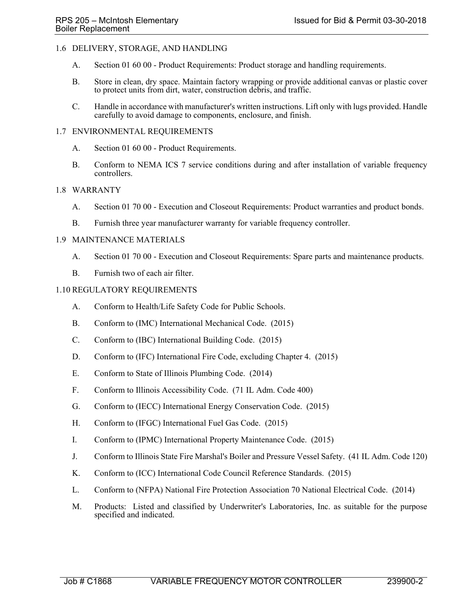# 1.6 DELIVERY, STORAGE, AND HANDLING

- A. Section 01 60 00 Product Requirements: Product storage and handling requirements.
- B. Store in clean, dry space. Maintain factory wrapping or provide additional canvas or plastic cover to protect units from dirt, water, construction debris, and traffic.
- C. Handle in accordance with manufacturer's written instructions. Lift only with lugs provided. Handle carefully to avoid damage to components, enclosure, and finish.

# 1.7 ENVIRONMENTAL REQUIREMENTS

- A. Section 01 60 00 Product Requirements.
- B. Conform to NEMA ICS 7 service conditions during and after installation of variable frequency controllers.

## 1.8 WARRANTY

- A. Section 01 70 00 Execution and Closeout Requirements: Product warranties and product bonds.
- B. Furnish three year manufacturer warranty for variable frequency controller.

## 1.9 MAINTENANCE MATERIALS

- A. Section 01 70 00 Execution and Closeout Requirements: Spare parts and maintenance products.
- B. Furnish two of each air filter.

## 1.10 REGULATORY REQUIREMENTS

- A. Conform to Health/Life Safety Code for Public Schools.
- B. Conform to (IMC) International Mechanical Code. (2015)
- C. Conform to (IBC) International Building Code. (2015)
- D. Conform to (IFC) International Fire Code, excluding Chapter 4. (2015)
- E. Conform to State of Illinois Plumbing Code. (2014)
- F. Conform to Illinois Accessibility Code. (71 IL Adm. Code 400)
- G. Conform to (IECC) International Energy Conservation Code. (2015)
- H. Conform to (IFGC) International Fuel Gas Code. (2015)
- I. Conform to (IPMC) International Property Maintenance Code. (2015)
- J. Conform to Illinois State Fire Marshal's Boiler and Pressure Vessel Safety. (41 IL Adm. Code 120)
- K. Conform to (ICC) International Code Council Reference Standards. (2015)
- L. Conform to (NFPA) National Fire Protection Association 70 National Electrical Code. (2014)
- M. Products: Listed and classified by Underwriter's Laboratories, Inc. as suitable for the purpose specified and indicated.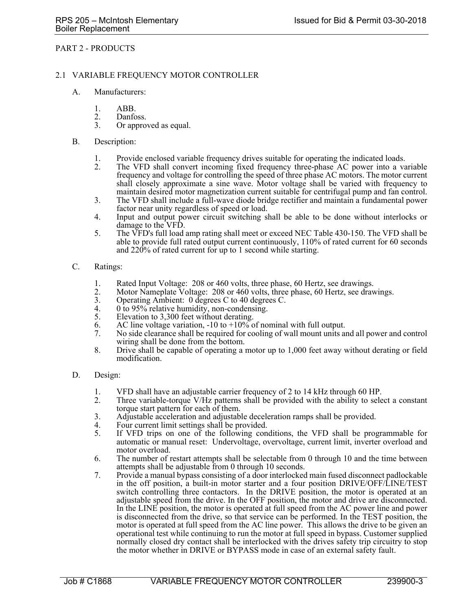#### 2.1 VARIABLE FREQUENCY MOTOR CONTROLLER

- A. Manufacturers:
	- 1. ABB.
	- 2. Danfoss.<br>3. Or appro
	- Or approved as equal.
- B. Description:
	- 1. Provide enclosed variable frequency drives suitable for operating the indicated loads.<br>2. The VFD shall convert incoming fixed frequency three-phase AC power into a va
	- The VFD shall convert incoming fixed frequency three-phase AC power into a variable frequency and voltage for controlling the speed of three phase AC motors. The motor current shall closely approximate a sine wave. Motor voltage shall be varied with frequency to maintain desired motor magnetization current suitable for centrifugal pump and fan control.
	- 3. The VFD shall include a full-wave diode bridge rectifier and maintain a fundamental power factor near unity regardless of speed or load.
	- 4. Input and output power circuit switching shall be able to be done without interlocks or damage to the VFD.
	- 5. The VFD's full load amp rating shall meet or exceed NEC Table 430-150. The VFD shall be able to provide full rated output current continuously, 110% of rated current for 60 seconds and 220% of rated current for up to 1 second while starting.

#### C. Ratings:

- 1. Rated Input Voltage: 208 or 460 volts, three phase, 60 Hertz, see drawings.<br>2. Motor Nameplate Voltage: 208 or 460 volts, three phase, 60 Hertz, see draw
- Motor Nameplate Voltage: 208 or 460 volts, three phase, 60 Hertz, see drawings.
- 3. Operating Ambient: 0 degrees C to 40 degrees C.<br>4. 0 to 95% relative humidity, non-condensing.
- 4.  $0$  to 95% relative humidity, non-condensing.<br>5. Elevation to 3.300 feet without derating.
- Elevation to 3,300 feet without derating.
- 6. AC line voltage variation,  $-10$  to  $+10\%$  of nominal with full output.
- 7. No side clearance shall be required for cooling of wall mount units and all power and control wiring shall be done from the bottom.
- 8. Drive shall be capable of operating a motor up to 1,000 feet away without derating or field modification.
- D. Design:
	- 1. VFD shall have an adjustable carrier frequency of 2 to 14 kHz through 60 HP.<br>2. Three variable-torque V/Hz patterns shall be provided with the ability to sele
	- Three variable-torque V/Hz patterns shall be provided with the ability to select a constant torque start pattern for each of them.
	- 3. Adjustable acceleration and adjustable deceleration ramps shall be provided.
	- 4. Four current limit settings shall be provided.<br>5. If VFD trips on one of the following con-
	- If VFD trips on one of the following conditions, the VFD shall be programmable for automatic or manual reset: Undervoltage, overvoltage, current limit, inverter overload and motor overload.
	- 6. The number of restart attempts shall be selectable from 0 through 10 and the time between attempts shall be adjustable from 0 through 10 seconds.
	- 7. Provide a manual bypass consisting of a door interlocked main fused disconnect padlockable in the off position, a built-in motor starter and a four position DRIVE/OFF/LINE/TEST switch controlling three contactors. In the DRIVE position, the motor is operated at an adjustable speed from the drive. In the OFF position, the motor and drive are disconnected. In the LINE position, the motor is operated at full speed from the AC power line and power is disconnected from the drive, so that service can be performed. In the TEST position, the motor is operated at full speed from the AC line power. This allows the drive to be given an operational test while continuing to run the motor at full speed in bypass. Customer supplied normally closed dry contact shall be interlocked with the drives safety trip circuitry to stop the motor whether in DRIVE or BYPASS mode in case of an external safety fault.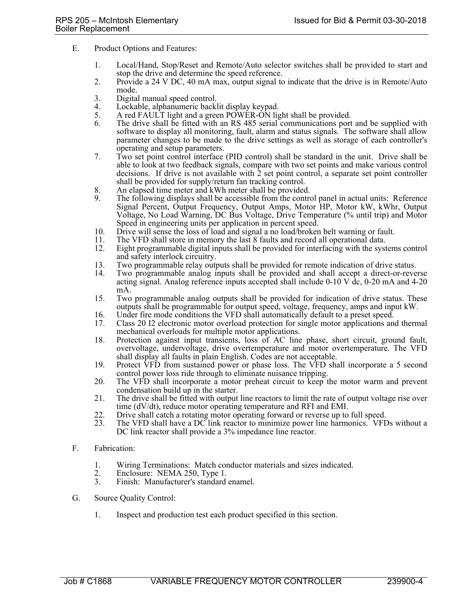- E. Product Options and Features:
	- 1. Local/Hand, Stop/Reset and Remote/Auto selector switches shall be provided to start and stop the drive and determine the speed reference.
	- 2. Provide a 24 V DC, 40 mA max, output signal to indicate that the drive is in Remote/Auto mode.
	- 3. Digital manual speed control.<br>4. Lockable, alphanumeric backl
	- Lockable, alphanumeric backlit display keypad.
	- 5. A red FAULT light and a green POWER-ON light shall be provided.
	- 6. The drive shall be fitted with an RS 485 serial communications port and be supplied with software to display all monitoring, fault, alarm and status signals. The software shall allow parameter changes to be made to the drive settings as well as storage of each controller's operating and setup parameters.
	- 7. Two set point control interface (PID control) shall be standard in the unit. Drive shall be able to look at two feedback signals, compare with two set points and make various control decisions. If drive is not available with  $\hat{2}$  set point control, a separate set point controller shall be provided for supply/return fan tracking control.
	- 8. An elapsed time meter and kWh meter shall be provided.
	- 9. The following displays shall be accessible from the control panel in actual units: Reference Signal Percent, Output Frequency, Output Amps, Motor HP, Motor kW, kWhr, Output Voltage, No Load Warning, DC Bus Voltage, Drive Temperature (% until trip) and Motor Speed in engineering units per application in percent speed.
	- 10. Drive will sense the loss of load and signal a no load/broken belt warning or fault.
	- 11. The VFD shall store in memory the last 8 faults and record all operational data.
	- 12. Eight programmable digital inputs shall be provided for interfacing with the systems control and safety interlock circuitry.
	- 13. Two programmable relay outputs shall be provided for remote indication of drive status.
	- Two programmable analog inputs shall be provided and shall accept a direct-or-reverse acting signal. Analog reference inputs accepted shall include 0-10 V dc, 0-20 mA and 4-20 mA.
	- 15. Two programmable analog outputs shall be provided for indication of drive status. These outputs shall be programmable for output speed, voltage, frequency, amps and input kW.
	- 16. Under fire mode conditions the VFD shall automatically default to a preset speed.
	- 17. Class 20 I2 electronic motor overload protection for single motor applications and thermal mechanical overloads for multiple motor applications.
	- 18. Protection against input transients, loss of AC line phase, short circuit, ground fault, overvoltage, undervoltage, drive overtemperature and motor overtemperature. The VFD shall display all faults in plain English. Codes are not acceptable.
	- 19. Protect VFD from sustained power or phase loss. The VFD shall incorporate a 5 second control power loss ride through to eliminate nuisance tripping.
	- 20. The VFD shall incorporate a motor preheat circuit to keep the motor warm and prevent condensation build up in the starter.
	- 21. The drive shall be fitted with output line reactors to limit the rate of output voltage rise over time (dV/dt), reduce motor operating temperature and RFI and EMI.
	- 22. Drive shall catch a rotating motor operating forward or reverse up to full speed.<br>23. The VFD shall have a DC link reactor to minimize power line harmonics. VFI
	- The VFD shall have a DC link reactor to minimize power line harmonics. VFDs without a DC link reactor shall provide a 3% impedance line reactor.
- F. Fabrication:
	- 1. Wiring Terminations: Match conductor materials and sizes indicated.
	- 2. Enclosure: NEMA 250, Type 1.<br>3. Finish: Manufacturer's standard
	- Finish: Manufacturer's standard enamel.
- G. Source Quality Control:
	- 1. Inspect and production test each product specified in this section.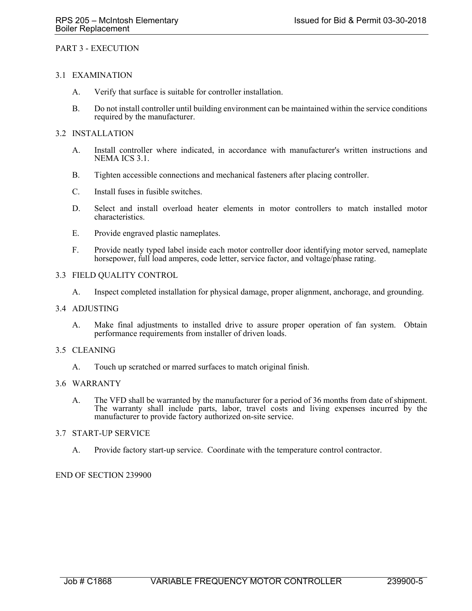# PART 3 - EXECUTION

# 3.1 EXAMINATION

- A. Verify that surface is suitable for controller installation.
- B. Do not install controller until building environment can be maintained within the service conditions required by the manufacturer.

# 3.2 INSTALLATION

- A. Install controller where indicated, in accordance with manufacturer's written instructions and NEMA ICS 3.1.
- B. Tighten accessible connections and mechanical fasteners after placing controller.
- C. Install fuses in fusible switches.
- D. Select and install overload heater elements in motor controllers to match installed motor characteristics.
- E. Provide engraved plastic nameplates.
- F. Provide neatly typed label inside each motor controller door identifying motor served, nameplate horsepower, full load amperes, code letter, service factor, and voltage/phase rating.

#### 3.3 FIELD QUALITY CONTROL

A. Inspect completed installation for physical damage, proper alignment, anchorage, and grounding.

#### 3.4 ADJUSTING

A. Make final adjustments to installed drive to assure proper operation of fan system. Obtain performance requirements from installer of driven loads.

#### 3.5 CLEANING

A. Touch up scratched or marred surfaces to match original finish.

#### 3.6 WARRANTY

A. The VFD shall be warranted by the manufacturer for a period of 36 months from date of shipment. The warranty shall include parts, labor, travel costs and living expenses incurred by the manufacturer to provide factory authorized on-site service.

#### 3.7 START-UP SERVICE

A. Provide factory start-up service. Coordinate with the temperature control contractor.

# END OF SECTION 239900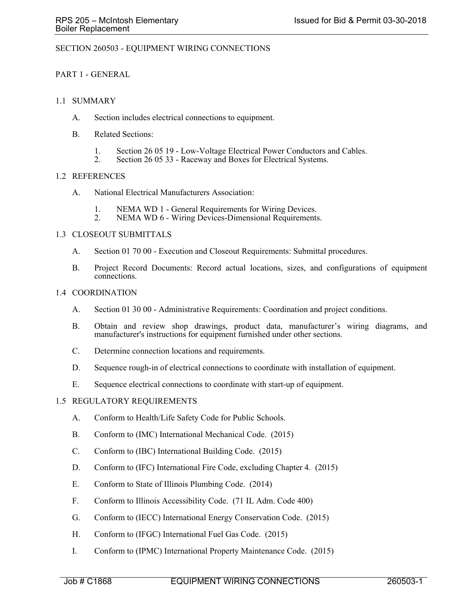# SECTION 260503 - EQUIPMENT WIRING CONNECTIONS

# PART 1 - GENERAL

## 1.1 SUMMARY

- A. Section includes electrical connections to equipment.
- B. Related Sections:
	- 1. Section 26 05 19 Low-Voltage Electrical Power Conductors and Cables.<br>2. Section 26 05 33 Raceway and Boxes for Electrical Systems
	- Section 26 05 33 Raceway and Boxes for Electrical Systems.

## 1.2 REFERENCES

- A. National Electrical Manufacturers Association:
	- 1. NEMA WD 1 General Requirements for Wiring Devices.
	- 2. NEMA WD 6 Wiring Devices-Dimensional Requirements.

## 1.3 CLOSEOUT SUBMITTALS

- A. Section 01 70 00 Execution and Closeout Requirements: Submittal procedures.
- B. Project Record Documents: Record actual locations, sizes, and configurations of equipment connections.

## 1.4 COORDINATION

- A. Section 01 30 00 Administrative Requirements: Coordination and project conditions.
- B. Obtain and review shop drawings, product data, manufacturer's wiring diagrams, and manufacturer's instructions for equipment furnished under other sections.
- C. Determine connection locations and requirements.
- D. Sequence rough-in of electrical connections to coordinate with installation of equipment.
- E. Sequence electrical connections to coordinate with start-up of equipment.

# 1.5 REGULATORY REQUIREMENTS

- A. Conform to Health/Life Safety Code for Public Schools.
- B. Conform to (IMC) International Mechanical Code. (2015)
- C. Conform to (IBC) International Building Code. (2015)
- D. Conform to (IFC) International Fire Code, excluding Chapter 4. (2015)
- E. Conform to State of Illinois Plumbing Code. (2014)
- F. Conform to Illinois Accessibility Code. (71 IL Adm. Code 400)
- G. Conform to (IECC) International Energy Conservation Code. (2015)
- H. Conform to (IFGC) International Fuel Gas Code. (2015)
- I. Conform to (IPMC) International Property Maintenance Code. (2015)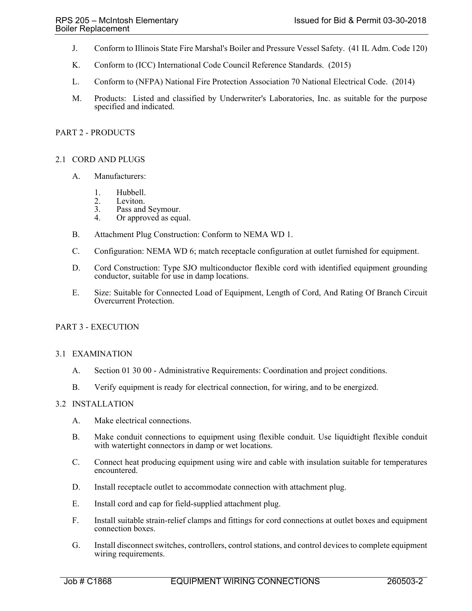- J. Conform to Illinois State Fire Marshal's Boiler and Pressure Vessel Safety. (41 IL Adm. Code 120)
- K. Conform to (ICC) International Code Council Reference Standards. (2015)
- L. Conform to (NFPA) National Fire Protection Association 70 National Electrical Code. (2014)
- M. Products: Listed and classified by Underwriter's Laboratories, Inc. as suitable for the purpose specified and indicated.

## 2.1 CORD AND PLUGS

- A. Manufacturers:
	- 1. Hubbell.<br>2. Leviton.
	- Leviton.
	- 3. Pass and Seymour.
	- 4. Or approved as equal.
- B. Attachment Plug Construction: Conform to NEMA WD 1.
- C. Configuration: NEMA WD 6; match receptacle configuration at outlet furnished for equipment.
- D. Cord Construction: Type SJO multiconductor flexible cord with identified equipment grounding conductor, suitable for use in damp locations.
- E. Size: Suitable for Connected Load of Equipment, Length of Cord, And Rating Of Branch Circuit Overcurrent Protection.

# PART 3 - EXECUTION

#### 3.1 EXAMINATION

- A. Section 01 30 00 Administrative Requirements: Coordination and project conditions.
- B. Verify equipment is ready for electrical connection, for wiring, and to be energized.

### 3.2 INSTALLATION

- A. Make electrical connections.
- B. Make conduit connections to equipment using flexible conduit. Use liquidtight flexible conduit with watertight connectors in damp or wet locations.
- C. Connect heat producing equipment using wire and cable with insulation suitable for temperatures encountered.
- D. Install receptacle outlet to accommodate connection with attachment plug.
- E. Install cord and cap for field-supplied attachment plug.
- F. Install suitable strain-relief clamps and fittings for cord connections at outlet boxes and equipment connection boxes.
- G. Install disconnect switches, controllers, control stations, and control devices to complete equipment wiring requirements.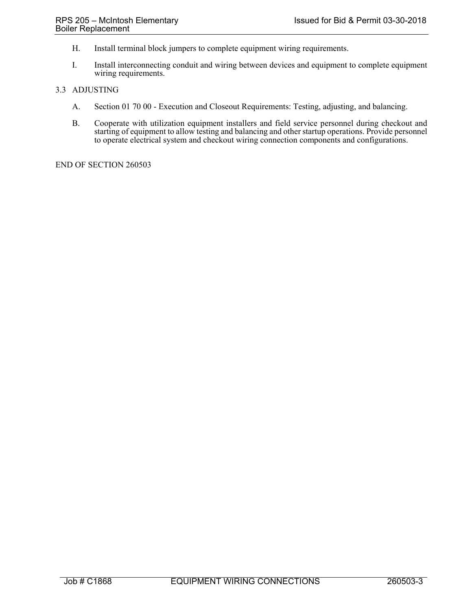- H. Install terminal block jumpers to complete equipment wiring requirements.
- I. Install interconnecting conduit and wiring between devices and equipment to complete equipment wiring requirements.

# 3.3 ADJUSTING

- A. Section 01 70 00 Execution and Closeout Requirements: Testing, adjusting, and balancing.
- B. Cooperate with utilization equipment installers and field service personnel during checkout and starting of equipment to allow testing and balancing and other startup operations. Provide personnel to operate electrical system and checkout wiring connection components and configurations.

END OF SECTION 260503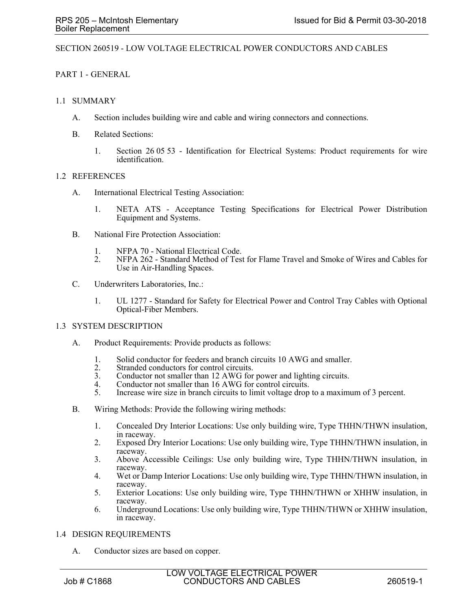# SECTION 260519 - LOW VOLTAGE ELECTRICAL POWER CONDUCTORS AND CABLES

# PART 1 - GENERAL

## 1.1 SUMMARY

- A. Section includes building wire and cable and wiring connectors and connections.
- B. Related Sections:
	- 1. Section 26 05 53 Identification for Electrical Systems: Product requirements for wire identification.

#### 1.2 REFERENCES

- A. International Electrical Testing Association:
	- 1. NETA ATS Acceptance Testing Specifications for Electrical Power Distribution Equipment and Systems.
- B. National Fire Protection Association:
	- 1. NFPA 70 National Electrical Code.
	- 2. NFPA 262 Standard Method of Test for Flame Travel and Smoke of Wires and Cables for Use in Air-Handling Spaces.
- C. Underwriters Laboratories, Inc.:
	- 1. UL 1277 Standard for Safety for Electrical Power and Control Tray Cables with Optional Optical-Fiber Members.

# 1.3 SYSTEM DESCRIPTION

- A. Product Requirements: Provide products as follows:
	- 1. Solid conductor for feeders and branch circuits 10 AWG and smaller.
	- 2. Stranded conductors for control circuits.
	- 3. Conductor not smaller than 12 AWG for power and lighting circuits.
	- 4. Conductor not smaller than 16 AWG for control circuits.
	- 5. Increase wire size in branch circuits to limit voltage drop to a maximum of 3 percent.
- B. Wiring Methods: Provide the following wiring methods:
	- 1. Concealed Dry Interior Locations: Use only building wire, Type THHN/THWN insulation, in raceway.
	- 2. Exposed Dry Interior Locations: Use only building wire, Type THHN/THWN insulation, in raceway.
	- 3. Above Accessible Ceilings: Use only building wire, Type THHN/THWN insulation, in raceway.
	- 4. Wet or Damp Interior Locations: Use only building wire, Type THHN/THWN insulation, in raceway.
	- 5. Exterior Locations: Use only building wire, Type THHN/THWN or XHHW insulation, in raceway.
	- 6. Underground Locations: Use only building wire, Type THHN/THWN or XHHW insulation, in raceway.

#### 1.4 DESIGN REQUIREMENTS

A. Conductor sizes are based on copper.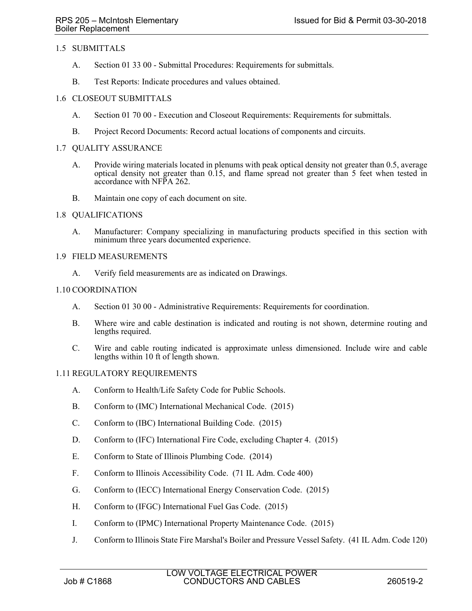# 1.5 SUBMITTALS

- A. Section 01 33 00 Submittal Procedures: Requirements for submittals.
- B. Test Reports: Indicate procedures and values obtained.

# 1.6 CLOSEOUT SUBMITTALS

- A. Section 01 70 00 Execution and Closeout Requirements: Requirements for submittals.
- B. Project Record Documents: Record actual locations of components and circuits.

## 1.7 QUALITY ASSURANCE

- A. Provide wiring materials located in plenums with peak optical density not greater than 0.5, average optical density not greater than 0.15, and flame spread not greater than 5 feet when tested in accordance with NFPA 262.
- B. Maintain one copy of each document on site.

## 1.8 QUALIFICATIONS

A. Manufacturer: Company specializing in manufacturing products specified in this section with minimum three years documented experience.

## 1.9 FIELD MEASUREMENTS

A. Verify field measurements are as indicated on Drawings.

## 1.10 COORDINATION

- A. Section 01 30 00 Administrative Requirements: Requirements for coordination.
- B. Where wire and cable destination is indicated and routing is not shown, determine routing and lengths required.
- C. Wire and cable routing indicated is approximate unless dimensioned. Include wire and cable lengths within 10 ft of length shown.

# 1.11 REGULATORY REQUIREMENTS

- A. Conform to Health/Life Safety Code for Public Schools.
- B. Conform to (IMC) International Mechanical Code. (2015)
- C. Conform to (IBC) International Building Code. (2015)
- D. Conform to (IFC) International Fire Code, excluding Chapter 4. (2015)
- E. Conform to State of Illinois Plumbing Code. (2014)
- F. Conform to Illinois Accessibility Code. (71 IL Adm. Code 400)
- G. Conform to (IECC) International Energy Conservation Code. (2015)
- H. Conform to (IFGC) International Fuel Gas Code. (2015)
- I. Conform to (IPMC) International Property Maintenance Code. (2015)
- J. Conform to Illinois State Fire Marshal's Boiler and Pressure Vessel Safety. (41 IL Adm. Code 120)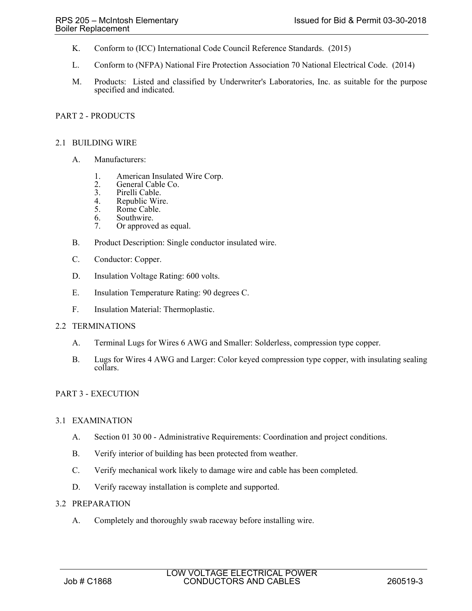- K. Conform to (ICC) International Code Council Reference Standards. (2015)
- L. Conform to (NFPA) National Fire Protection Association 70 National Electrical Code. (2014)
- M. Products: Listed and classified by Underwriter's Laboratories, Inc. as suitable for the purpose specified and indicated.

# 2.1 BUILDING WIRE

- A. Manufacturers:
	- 1. American Insulated Wire Corp.
	- 2. General Cable Co.<br>3. Pirelli Cable.
	- 3. Pirelli Cable.<br>4. Republic Wir
	- 4. Republic Wire.<br>5. Rome Cable.
	- Rome Cable.
	- 6. Southwire.
	- 7. Or approved as equal.
- B. Product Description: Single conductor insulated wire.
- C. Conductor: Copper.
- D. Insulation Voltage Rating: 600 volts.
- E. Insulation Temperature Rating: 90 degrees C.
- F. Insulation Material: Thermoplastic.

# 2.2 TERMINATIONS

- A. Terminal Lugs for Wires 6 AWG and Smaller: Solderless, compression type copper.
- B. Lugs for Wires 4 AWG and Larger: Color keyed compression type copper, with insulating sealing collars.

# PART 3 - EXECUTION

# 3.1 EXAMINATION

- A. Section 01 30 00 Administrative Requirements: Coordination and project conditions.
- B. Verify interior of building has been protected from weather.
- C. Verify mechanical work likely to damage wire and cable has been completed.
- D. Verify raceway installation is complete and supported.

# 3.2 PREPARATION

A. Completely and thoroughly swab raceway before installing wire.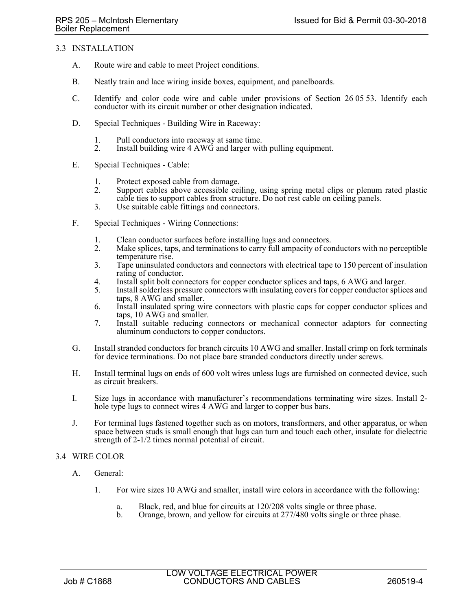# 3.3 INSTALLATION

- A. Route wire and cable to meet Project conditions.
- B. Neatly train and lace wiring inside boxes, equipment, and panelboards.
- C. Identify and color code wire and cable under provisions of Section 26 05 53. Identify each conductor with its circuit number or other designation indicated.
- D. Special Techniques Building Wire in Raceway:
	- 1. Pull conductors into raceway at same time.
	- 2. Install building wire 4 AWG and larger with pulling equipment.
- E. Special Techniques Cable:
	- 1. Protect exposed cable from damage.<br>2. Support cables above accessible cei
	- 2. Support cables above accessible ceiling, using spring metal clips or plenum rated plastic cable ties to support cables from structure. Do not rest cable on ceiling panels.
	- 3. Use suitable cable fittings and connectors.
- F. Special Techniques Wiring Connections:
	- 1. Clean conductor surfaces before installing lugs and connectors.
	- 2. Make splices, taps, and terminations to carry full ampacity of conductors with no perceptible temperature rise.
	- 3. Tape uninsulated conductors and connectors with electrical tape to 150 percent of insulation rating of conductor.
	- 4. Install split bolt connectors for copper conductor splices and taps, 6 AWG and larger.<br>5. Install solderless pressure connectors with insulating covers for copper conductor splice
	- Install solderless pressure connectors with insulating covers for copper conductor splices and taps, 8 AWG and smaller.
	- 6. Install insulated spring wire connectors with plastic caps for copper conductor splices and taps, 10 AWG and smaller.
	- 7. Install suitable reducing connectors or mechanical connector adaptors for connecting aluminum conductors to copper conductors.
- G. Install stranded conductors for branch circuits 10 AWG and smaller. Install crimp on fork terminals for device terminations. Do not place bare stranded conductors directly under screws.
- H. Install terminal lugs on ends of 600 volt wires unless lugs are furnished on connected device, such as circuit breakers.
- I. Size lugs in accordance with manufacturer's recommendations terminating wire sizes. Install 2 hole type lugs to connect wires 4 AWG and larger to copper bus bars.
- J. For terminal lugs fastened together such as on motors, transformers, and other apparatus, or when space between studs is small enough that lugs can turn and touch each other, insulate for dielectric strength of 2-1/2 times normal potential of circuit.

# 3.4 WIRE COLOR

- A. General:
	- 1. For wire sizes 10 AWG and smaller, install wire colors in accordance with the following:
		- a. Black, red, and blue for circuits at 120/208 volts single or three phase.
		- b. Orange, brown, and yellow for circuits at 277/480 volts single or three phase.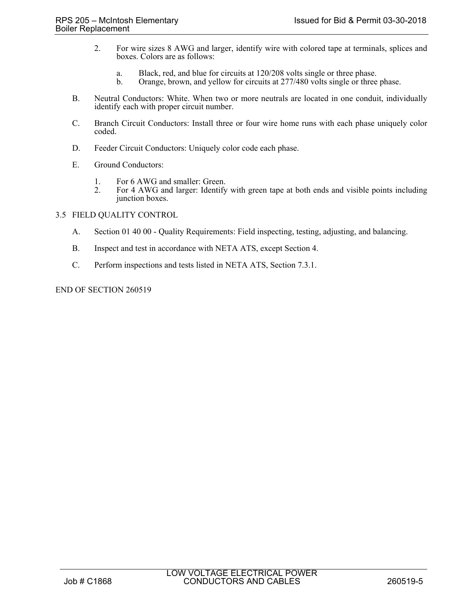- 2. For wire sizes 8 AWG and larger, identify wire with colored tape at terminals, splices and boxes. Colors are as follows:
	- a. Black, red, and blue for circuits at 120/208 volts single or three phase.
	- Orange, brown, and yellow for circuits at 277/480 volts single or three phase.
- B. Neutral Conductors: White. When two or more neutrals are located in one conduit, individually identify each with proper circuit number.
- C. Branch Circuit Conductors: Install three or four wire home runs with each phase uniquely color coded.
- D. Feeder Circuit Conductors: Uniquely color code each phase.
- E. Ground Conductors:
	- 1. For 6 AWG and smaller: Green.<br>2. For 4 AWG and larger: Identify
	- 2. For 4 AWG and larger: Identify with green tape at both ends and visible points including junction boxes.

## 3.5 FIELD QUALITY CONTROL

- A. Section 01 40 00 Quality Requirements: Field inspecting, testing, adjusting, and balancing.
- B. Inspect and test in accordance with NETA ATS, except Section 4.
- C. Perform inspections and tests listed in NETA ATS, Section 7.3.1.

#### END OF SECTION 260519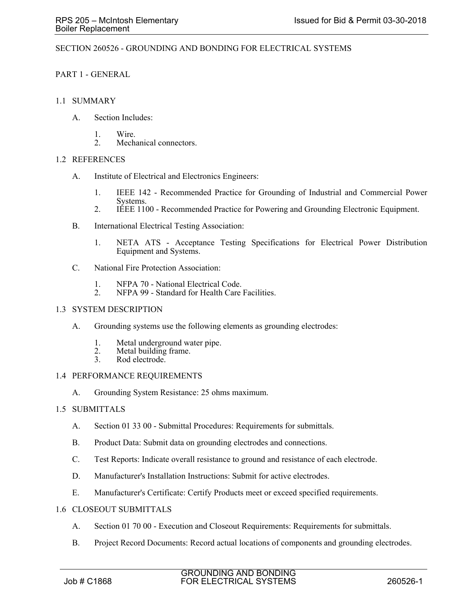# SECTION 260526 - GROUNDING AND BONDING FOR ELECTRICAL SYSTEMS

# PART 1 - GENERAL

#### 1.1 SUMMARY

- A. Section Includes:
	- 1. Wire.
	- 2. Mechanical connectors.

## 1.2 REFERENCES

- A. Institute of Electrical and Electronics Engineers:
	- 1. IEEE 142 Recommended Practice for Grounding of Industrial and Commercial Power Systems.
	- 2. IEEE 1100 Recommended Practice for Powering and Grounding Electronic Equipment.
- B. International Electrical Testing Association:
	- 1. NETA ATS Acceptance Testing Specifications for Electrical Power Distribution Equipment and Systems.
- C. National Fire Protection Association:
	- 1. NFPA 70 National Electrical Code.<br>2. NFPA 99 Standard for Health Care
	- NFPA 99 Standard for Health Care Facilities.

#### 1.3 SYSTEM DESCRIPTION

- A. Grounding systems use the following elements as grounding electrodes:
	- 1. Metal underground water pipe.
	- 2. Metal building frame.<br>3. Rod electrode.
	- Rod electrode.

# 1.4 PERFORMANCE REQUIREMENTS

A. Grounding System Resistance: 25 ohms maximum.

# 1.5 SUBMITTALS

- A. Section 01 33 00 Submittal Procedures: Requirements for submittals.
- B. Product Data: Submit data on grounding electrodes and connections.
- C. Test Reports: Indicate overall resistance to ground and resistance of each electrode.
- D. Manufacturer's Installation Instructions: Submit for active electrodes.
- E. Manufacturer's Certificate: Certify Products meet or exceed specified requirements.
- 1.6 CLOSEOUT SUBMITTALS
	- A. Section 01 70 00 Execution and Closeout Requirements: Requirements for submittals.
	- B. Project Record Documents: Record actual locations of components and grounding electrodes.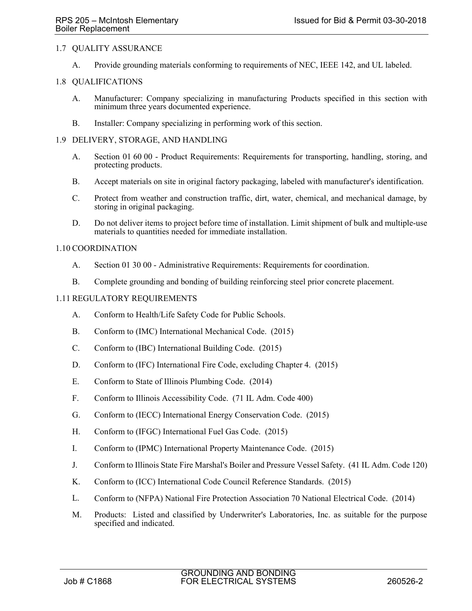# 1.7 QUALITY ASSURANCE

A. Provide grounding materials conforming to requirements of NEC, IEEE 142, and UL labeled.

# 1.8 QUALIFICATIONS

- A. Manufacturer: Company specializing in manufacturing Products specified in this section with minimum three years documented experience.
- B. Installer: Company specializing in performing work of this section.

#### 1.9 DELIVERY, STORAGE, AND HANDLING

- A. Section 01 60 00 Product Requirements: Requirements for transporting, handling, storing, and protecting products.
- B. Accept materials on site in original factory packaging, labeled with manufacturer's identification.
- C. Protect from weather and construction traffic, dirt, water, chemical, and mechanical damage, by storing in original packaging.
- D. Do not deliver items to project before time of installation. Limit shipment of bulk and multiple-use materials to quantities needed for immediate installation.

## 1.10 COORDINATION

- A. Section 01 30 00 Administrative Requirements: Requirements for coordination.
- B. Complete grounding and bonding of building reinforcing steel prior concrete placement.

## 1.11 REGULATORY REQUIREMENTS

- A. Conform to Health/Life Safety Code for Public Schools.
- B. Conform to (IMC) International Mechanical Code. (2015)
- C. Conform to (IBC) International Building Code. (2015)
- D. Conform to (IFC) International Fire Code, excluding Chapter 4. (2015)
- E. Conform to State of Illinois Plumbing Code. (2014)
- F. Conform to Illinois Accessibility Code. (71 IL Adm. Code 400)
- G. Conform to (IECC) International Energy Conservation Code. (2015)
- H. Conform to (IFGC) International Fuel Gas Code. (2015)
- I. Conform to (IPMC) International Property Maintenance Code. (2015)
- J. Conform to Illinois State Fire Marshal's Boiler and Pressure Vessel Safety. (41 IL Adm. Code 120)
- K. Conform to (ICC) International Code Council Reference Standards. (2015)
- L. Conform to (NFPA) National Fire Protection Association 70 National Electrical Code. (2014)
- M. Products: Listed and classified by Underwriter's Laboratories, Inc. as suitable for the purpose specified and indicated.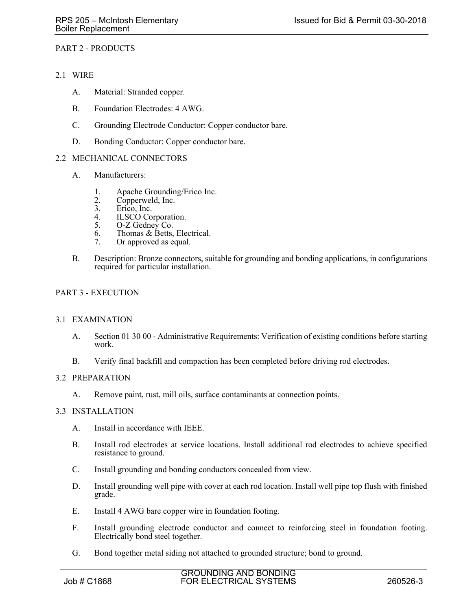# 2.1 WIRE

- A. Material: Stranded copper.
- B. Foundation Electrodes: 4 AWG.
- C. Grounding Electrode Conductor: Copper conductor bare.
- D. Bonding Conductor: Copper conductor bare.

#### 2.2 MECHANICAL CONNECTORS

- A. Manufacturers:
	- 1. Apache Grounding/Erico Inc.<br>2. Copperweld, Inc.
	- 2. Copperweld, Inc.<br>3. Erico, Inc.
	- Erico, Inc.
	- 4. ILSCO Corporation.<br>5. O-Z Gedney Co.
	- O-Z Gedney Co.
	- 6. Thomas & Betts, Electrical.
	- 7. Or approved as equal.
- B. Description: Bronze connectors, suitable for grounding and bonding applications, in configurations required for particular installation.

## PART 3 - EXECUTION

#### 3.1 EXAMINATION

- A. Section 01 30 00 Administrative Requirements: Verification of existing conditions before starting work.
- B. Verify final backfill and compaction has been completed before driving rod electrodes.

## 3.2 PREPARATION

A. Remove paint, rust, mill oils, surface contaminants at connection points.

#### 3.3 INSTALLATION

- A. Install in accordance with IEEE.
- B. Install rod electrodes at service locations. Install additional rod electrodes to achieve specified resistance to ground.
- C. Install grounding and bonding conductors concealed from view.
- D. Install grounding well pipe with cover at each rod location. Install well pipe top flush with finished grade.
- E. Install 4 AWG bare copper wire in foundation footing.
- F. Install grounding electrode conductor and connect to reinforcing steel in foundation footing. Electrically bond steel together.
- G. Bond together metal siding not attached to grounded structure; bond to ground.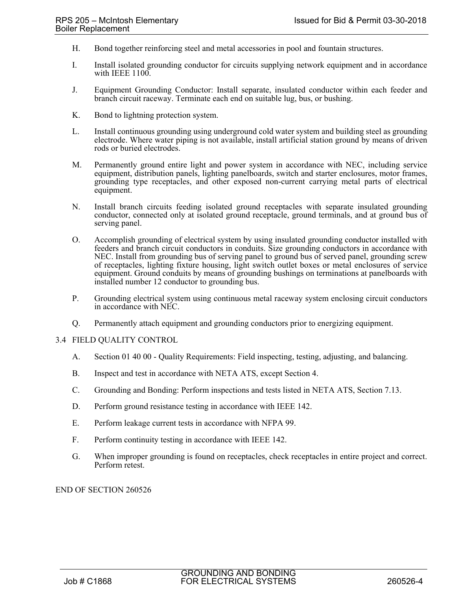- H. Bond together reinforcing steel and metal accessories in pool and fountain structures.
- I. Install isolated grounding conductor for circuits supplying network equipment and in accordance with IEEE 1100.
- J. Equipment Grounding Conductor: Install separate, insulated conductor within each feeder and branch circuit raceway. Terminate each end on suitable lug, bus, or bushing.
- K. Bond to lightning protection system.
- L. Install continuous grounding using underground cold water system and building steel as grounding electrode. Where water piping is not available, install artificial station ground by means of driven rods or buried electrodes.
- M. Permanently ground entire light and power system in accordance with NEC, including service equipment, distribution panels, lighting panelboards, switch and starter enclosures, motor frames, grounding type receptacles, and other exposed non-current carrying metal parts of electrical equipment.
- N. Install branch circuits feeding isolated ground receptacles with separate insulated grounding conductor, connected only at isolated ground receptacle, ground terminals, and at ground bus of serving panel.
- O. Accomplish grounding of electrical system by using insulated grounding conductor installed with feeders and branch circuit conductors in conduits. Size grounding conductors in accordance with NEC. Install from grounding bus of serving panel to ground bus of served panel, grounding screw of receptacles, lighting fixture housing, light switch outlet boxes or metal enclosures of service equipment. Ground conduits by means of grounding bushings on terminations at panelboards with installed number 12 conductor to grounding bus.
- P. Grounding electrical system using continuous metal raceway system enclosing circuit conductors in accordance with NEC.
- Q. Permanently attach equipment and grounding conductors prior to energizing equipment.

#### 3.4 FIELD QUALITY CONTROL

- A. Section 01 40 00 Quality Requirements: Field inspecting, testing, adjusting, and balancing.
- B. Inspect and test in accordance with NETA ATS, except Section 4.
- C. Grounding and Bonding: Perform inspections and tests listed in NETA ATS, Section 7.13.
- D. Perform ground resistance testing in accordance with IEEE 142.
- E. Perform leakage current tests in accordance with NFPA 99.
- F. Perform continuity testing in accordance with IEEE 142.
- G. When improper grounding is found on receptacles, check receptacles in entire project and correct. Perform retest.

END OF SECTION 260526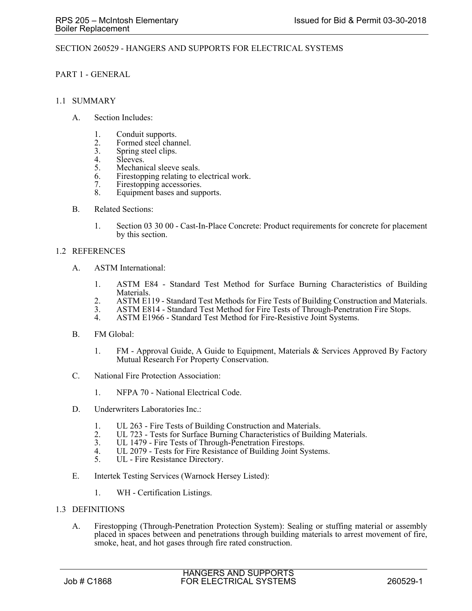## SECTION 260529 - HANGERS AND SUPPORTS FOR ELECTRICAL SYSTEMS

#### PART 1 - GENERAL

#### 1.1 SUMMARY

- A. Section Includes:
	- 1. Conduit supports.
	- 2. Formed steel channel.<br>3. Spring steel clips.
	- 3. Spring steel clips.<br>4. Sleeves.
	- 4. Sleeves.<br>5. Mechani
	- Mechanical sleeve seals.
	- 6. Firestopping relating to electrical work.
	- 7. Firestopping accessories.
	- 8. Equipment bases and supports.
- B. Related Sections:
	- 1. Section 03 30 00 Cast-In-Place Concrete: Product requirements for concrete for placement by this section.

#### 1.2 REFERENCES

- A. ASTM International:
	- 1. ASTM E84 Standard Test Method for Surface Burning Characteristics of Building Materials.
	- 2. ASTM E119 Standard Test Methods for Fire Tests of Building Construction and Materials.
	- 3. ASTM E814 Standard Test Method for Fire Tests of Through-Penetration Fire Stops.<br>4. ASTM E1966 Standard Test Method for Fire-Resistive Joint Systems.
	- ASTM E1966 Standard Test Method for Fire-Resistive Joint Systems.
- B. FM Global:
	- 1. FM Approval Guide, A Guide to Equipment, Materials & Services Approved By Factory Mutual Research For Property Conservation.
- C. National Fire Protection Association:
	- 1. NFPA 70 National Electrical Code.
- D. Underwriters Laboratories Inc.:
	- 1. UL 263 Fire Tests of Building Construction and Materials.
	- 2. UL 723 Tests for Surface Burning Characteristics of Building Materials.<br>3. UL 1479 Fire Tests of Through-Penetration Firestops.
	- 3. UL 1479 Fire Tests of Through-Penetration Firestops.<br>4 UL 2079 Tests for Fire Resistance of Building Joint Sy
	- 4. UL 2079 Tests for Fire Resistance of Building Joint Systems.<br>5. UL Fire Resistance Directory.
	- UL Fire Resistance Directory.
- E. Intertek Testing Services (Warnock Hersey Listed):
	- 1. WH Certification Listings.
- 1.3 DEFINITIONS
	- A. Firestopping (Through-Penetration Protection System): Sealing or stuffing material or assembly placed in spaces between and penetrations through building materials to arrest movement of fire, smoke, heat, and hot gases through fire rated construction.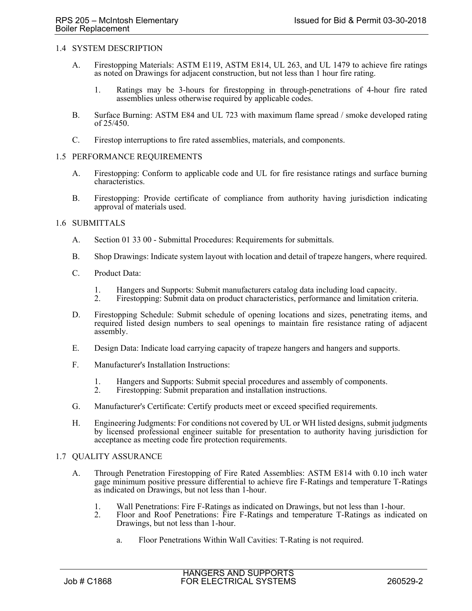#### 1.4 SYSTEM DESCRIPTION

- A. Firestopping Materials: ASTM E119, ASTM E814, UL 263, and UL 1479 to achieve fire ratings as noted on Drawings for adjacent construction, but not less than 1 hour fire rating.
	- 1. Ratings may be 3-hours for firestopping in through-penetrations of 4-hour fire rated assemblies unless otherwise required by applicable codes.
- B. Surface Burning: ASTM E84 and UL 723 with maximum flame spread / smoke developed rating of 25/450.
- C. Firestop interruptions to fire rated assemblies, materials, and components.

#### 1.5 PERFORMANCE REQUIREMENTS

- A. Firestopping: Conform to applicable code and UL for fire resistance ratings and surface burning characteristics.
- B. Firestopping: Provide certificate of compliance from authority having jurisdiction indicating approval of materials used.

#### 1.6 SUBMITTALS

- A. Section 01 33 00 Submittal Procedures: Requirements for submittals.
- B. Shop Drawings: Indicate system layout with location and detail of trapeze hangers, where required.
- C. Product Data:
	- 1. Hangers and Supports: Submit manufacturers catalog data including load capacity.
	- 2. Firestopping: Submit data on product characteristics, performance and limitation criteria.
- D. Firestopping Schedule: Submit schedule of opening locations and sizes, penetrating items, and required listed design numbers to seal openings to maintain fire resistance rating of adjacent assembly.
- E. Design Data: Indicate load carrying capacity of trapeze hangers and hangers and supports.
- F. Manufacturer's Installation Instructions:
	- 1. Hangers and Supports: Submit special procedures and assembly of components.<br>2. Firestopping: Submit preparation and installation instructions.
	- Firestopping: Submit preparation and installation instructions.
- G. Manufacturer's Certificate: Certify products meet or exceed specified requirements.
- H. Engineering Judgments: For conditions not covered by UL or WH listed designs, submit judgments by licensed professional engineer suitable for presentation to authority having jurisdiction for acceptance as meeting code fire protection requirements.

#### 1.7 QUALITY ASSURANCE

- A. Through Penetration Firestopping of Fire Rated Assemblies: ASTM E814 with 0.10 inch water gage minimum positive pressure differential to achieve fire F-Ratings and temperature T-Ratings as indicated on Drawings, but not less than 1-hour.
	- 1. Wall Penetrations: Fire F-Ratings as indicated on Drawings, but not less than 1-hour.
	- 2. Floor and Roof Penetrations: Fire F-Ratings and temperature T-Ratings as indicated on Drawings, but not less than 1-hour.
		- a. Floor Penetrations Within Wall Cavities: T-Rating is not required.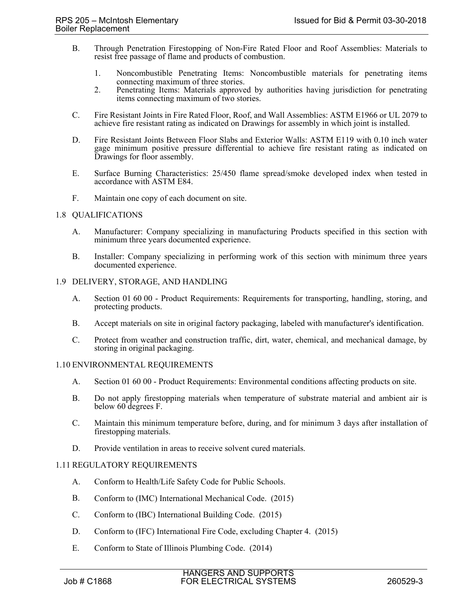- B. Through Penetration Firestopping of Non-Fire Rated Floor and Roof Assemblies: Materials to resist free passage of flame and products of combustion.
	- 1. Noncombustible Penetrating Items: Noncombustible materials for penetrating items connecting maximum of three stories.
	- 2. Penetrating Items: Materials approved by authorities having jurisdiction for penetrating items connecting maximum of two stories.
- C. Fire Resistant Joints in Fire Rated Floor, Roof, and Wall Assemblies: ASTM E1966 or UL 2079 to achieve fire resistant rating as indicated on Drawings for assembly in which joint is installed.
- D. Fire Resistant Joints Between Floor Slabs and Exterior Walls: ASTM E119 with 0.10 inch water gage minimum positive pressure differential to achieve fire resistant rating as indicated on Drawings for floor assembly.
- E. Surface Burning Characteristics: 25/450 flame spread/smoke developed index when tested in accordance with ASTM E84.
- F. Maintain one copy of each document on site.

## 1.8 QUALIFICATIONS

- A. Manufacturer: Company specializing in manufacturing Products specified in this section with minimum three years documented experience.
- B. Installer: Company specializing in performing work of this section with minimum three years documented experience.

## 1.9 DELIVERY, STORAGE, AND HANDLING

- A. Section 01 60 00 Product Requirements: Requirements for transporting, handling, storing, and protecting products.
- B. Accept materials on site in original factory packaging, labeled with manufacturer's identification.
- C. Protect from weather and construction traffic, dirt, water, chemical, and mechanical damage, by storing in original packaging.

# 1.10 ENVIRONMENTAL REQUIREMENTS

- A. Section 01 60 00 Product Requirements: Environmental conditions affecting products on site.
- B. Do not apply firestopping materials when temperature of substrate material and ambient air is below 60 degrees F.
- C. Maintain this minimum temperature before, during, and for minimum 3 days after installation of firestopping materials.
- D. Provide ventilation in areas to receive solvent cured materials.

# 1.11 REGULATORY REQUIREMENTS

- A. Conform to Health/Life Safety Code for Public Schools.
- B. Conform to (IMC) International Mechanical Code. (2015)
- C. Conform to (IBC) International Building Code. (2015)
- D. Conform to (IFC) International Fire Code, excluding Chapter 4. (2015)
- E. Conform to State of Illinois Plumbing Code. (2014)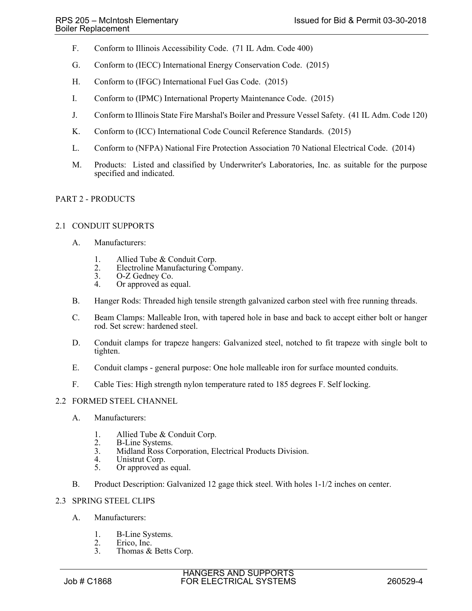- F. Conform to Illinois Accessibility Code. (71 IL Adm. Code 400)
- G. Conform to (IECC) International Energy Conservation Code. (2015)
- H. Conform to (IFGC) International Fuel Gas Code. (2015)
- I. Conform to (IPMC) International Property Maintenance Code. (2015)
- J. Conform to Illinois State Fire Marshal's Boiler and Pressure Vessel Safety. (41 IL Adm. Code 120)
- K. Conform to (ICC) International Code Council Reference Standards. (2015)
- L. Conform to (NFPA) National Fire Protection Association 70 National Electrical Code. (2014)
- M. Products: Listed and classified by Underwriter's Laboratories, Inc. as suitable for the purpose specified and indicated.

# 2.1 CONDUIT SUPPORTS

- A. Manufacturers:
	- 1. Allied Tube & Conduit Corp.
	- 2. Electroline Manufacturing Company.<br>3. O-Z Gedney Co.
	- 3. O-Z Gedney Co.<br>4. Or approved as equal to the control of the control of the control of the control of the control of the control of the control of the control of the control of the control of the control of the control
	- Or approved as equal.
- B. Hanger Rods: Threaded high tensile strength galvanized carbon steel with free running threads.
- C. Beam Clamps: Malleable Iron, with tapered hole in base and back to accept either bolt or hanger rod. Set screw: hardened steel.
- D. Conduit clamps for trapeze hangers: Galvanized steel, notched to fit trapeze with single bolt to tighten.
- E. Conduit clamps general purpose: One hole malleable iron for surface mounted conduits.
- F. Cable Ties: High strength nylon temperature rated to 185 degrees F. Self locking.

# 2.2 FORMED STEEL CHANNEL

- A. Manufacturers:
	- 1. Allied Tube & Conduit Corp.<br>2. B-Line Systems.
	- 2. B-Line Systems.<br>3. Midland Ross Co.
	- 3. Midland Ross Corporation, Electrical Products Division.
	- 4. Unistrut Corp.<br>5. Or approved as
	- Or approved as equal.
- B. Product Description: Galvanized 12 gage thick steel. With holes 1-1/2 inches on center.

# 2.3 SPRING STEEL CLIPS

- A. Manufacturers:
	- 1. B-Line Systems.<br>2. Erico, Inc.
	- 2. Erico, Inc.<br>3. Thomas &
	- Thomas & Betts Corp.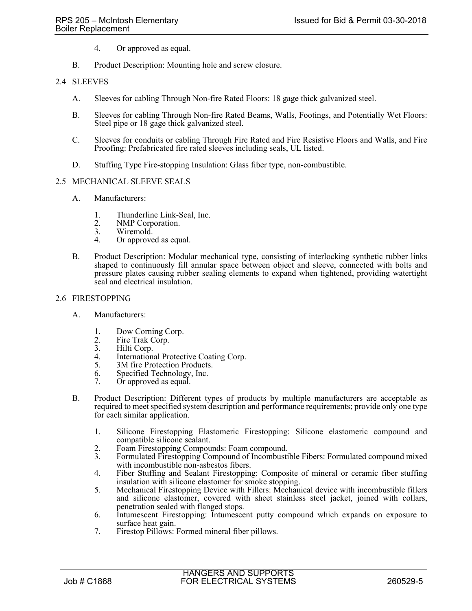- 4. Or approved as equal.
- B. Product Description: Mounting hole and screw closure.

## 2.4 SLEEVES

- A. Sleeves for cabling Through Non-fire Rated Floors: 18 gage thick galvanized steel.
- B. Sleeves for cabling Through Non-fire Rated Beams, Walls, Footings, and Potentially Wet Floors: Steel pipe or 18 gage thick galvanized steel.
- C. Sleeves for conduits or cabling Through Fire Rated and Fire Resistive Floors and Walls, and Fire Proofing: Prefabricated fire rated sleeves including seals, UL listed.
- D. Stuffing Type Fire-stopping Insulation: Glass fiber type, non-combustible.

#### 2.5 MECHANICAL SLEEVE SEALS

- A. Manufacturers:
	- 1. Thunderline Link-Seal, Inc.<br>2. NMP Corporation.
	- 2. NMP Corporation.<br>3. Wiremold.
	- Wiremold.
	- 4. Or approved as equal.
- B. Product Description: Modular mechanical type, consisting of interlocking synthetic rubber links shaped to continuously fill annular space between object and sleeve, connected with bolts and pressure plates causing rubber sealing elements to expand when tightened, providing watertight seal and electrical insulation.

# 2.6 FIRESTOPPING

- A. Manufacturers:
	- 1. Dow Corning Corp.
	- 2. Fire Trak Corp.<br>3. Hilti Corp.
	- 3. Hilti Corp.<br>4. Internation
	- International Protective Coating Corp.
	- 5. 3M fire Protection Products.
	- 6. Specified Technology, Inc.<br>7. Or approved as equal
	- Or approved as equal.
- B. Product Description: Different types of products by multiple manufacturers are acceptable as required to meet specified system description and performance requirements; provide only one type for each similar application.
	- 1. Silicone Firestopping Elastomeric Firestopping: Silicone elastomeric compound and compatible silicone sealant.
	- 2. Foam Firestopping Compounds: Foam compound.<br>3. Formulated Firestopping Compound of Incombusti
	- 3. Formulated Firestopping Compound of Incombustible Fibers: Formulated compound mixed with incombustible non-asbestos fibers.
	- 4. Fiber Stuffing and Sealant Firestopping: Composite of mineral or ceramic fiber stuffing insulation with silicone elastomer for smoke stopping.
	- 5. Mechanical Firestopping Device with Fillers: Mechanical device with incombustible fillers and silicone elastomer, covered with sheet stainless steel jacket, joined with collars, penetration sealed with flanged stops.
	- 6. Intumescent Firestopping: Intumescent putty compound which expands on exposure to surface heat gain.
	- 7. Firestop Pillows: Formed mineral fiber pillows.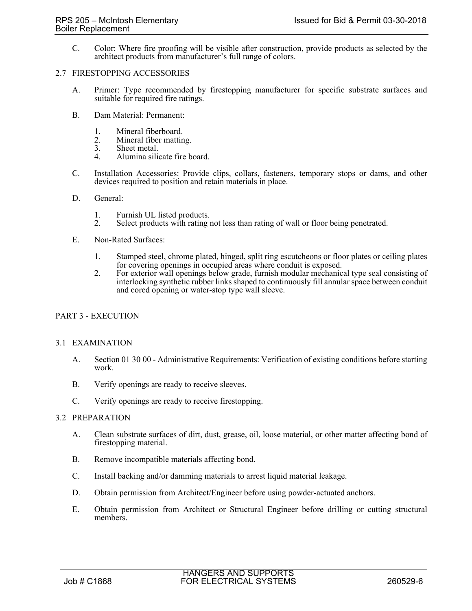C. Color: Where fire proofing will be visible after construction, provide products as selected by the architect products from manufacturer's full range of colors.

#### 2.7 FIRESTOPPING ACCESSORIES

- A. Primer: Type recommended by firestopping manufacturer for specific substrate surfaces and suitable for required fire ratings.
- B. Dam Material: Permanent:
	-
	- 1. Mineral fiberboard.<br>2. Mineral fiber mattin 2. Mineral fiber matting.<br>3. Sheet metal.
	- Sheet metal.
	- 4. Alumina silicate fire board.
- C. Installation Accessories: Provide clips, collars, fasteners, temporary stops or dams, and other devices required to position and retain materials in place.
- D. General:
	- 1. Furnish UL listed products.<br>2. Select products with rating 1
	- 2. Select products with rating not less than rating of wall or floor being penetrated.
- E. Non-Rated Surfaces:
	- 1. Stamped steel, chrome plated, hinged, split ring escutcheons or floor plates or ceiling plates for covering openings in occupied areas where conduit is exposed.
	- 2. For exterior wall openings below grade, furnish modular mechanical type seal consisting of interlocking synthetic rubber links shaped to continuously fill annular space between conduit and cored opening or water-stop type wall sleeve.

# PART 3 - EXECUTION

#### 3.1 EXAMINATION

- A. Section 01 30 00 Administrative Requirements: Verification of existing conditions before starting work.
- B. Verify openings are ready to receive sleeves.
- C. Verify openings are ready to receive firestopping.

#### 3.2 PREPARATION

- A. Clean substrate surfaces of dirt, dust, grease, oil, loose material, or other matter affecting bond of firestopping material.
- B. Remove incompatible materials affecting bond.
- C. Install backing and/or damming materials to arrest liquid material leakage.
- D. Obtain permission from Architect/Engineer before using powder-actuated anchors.
- E. Obtain permission from Architect or Structural Engineer before drilling or cutting structural members.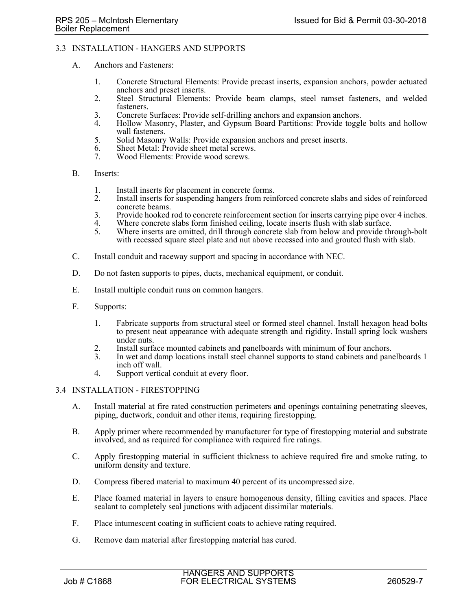## 3.3 INSTALLATION - HANGERS AND SUPPORTS

- A. Anchors and Fasteners:
	- 1. Concrete Structural Elements: Provide precast inserts, expansion anchors, powder actuated anchors and preset inserts.
	- 2. Steel Structural Elements: Provide beam clamps, steel ramset fasteners, and welded fasteners.
	- 3. Concrete Surfaces: Provide self-drilling anchors and expansion anchors.<br>4. Hollow Masonry, Plaster, and Gypsum Board Partitions: Provide toggl
	- Hollow Masonry, Plaster, and Gypsum Board Partitions: Provide toggle bolts and hollow wall fasteners.
	- 5. Solid Masonry Walls: Provide expansion anchors and preset inserts.
	- 6. Sheet Metal: Provide sheet metal screws.
	- 7. Wood Elements: Provide wood screws.
- B. Inserts:
	- 1. Install inserts for placement in concrete forms.
	- 2. Install inserts for suspending hangers from reinforced concrete slabs and sides of reinforced concrete beams.
	- 3. Provide hooked rod to concrete reinforcement section for inserts carrying pipe over 4 inches.
	- 4. Where concrete slabs form finished ceiling, locate inserts flush with slab surface.<br>5. Where inserts are omitted, drill through concrete slab from below and provide thr
	- 5. Where inserts are omitted, drill through concrete slab from below and provide through-bolt with recessed square steel plate and nut above recessed into and grouted flush with slab.
- C. Install conduit and raceway support and spacing in accordance with NEC.
- D. Do not fasten supports to pipes, ducts, mechanical equipment, or conduit.
- E. Install multiple conduit runs on common hangers.
- F. Supports:
	- 1. Fabricate supports from structural steel or formed steel channel. Install hexagon head bolts to present neat appearance with adequate strength and rigidity. Install spring lock washers under nuts.
	- 2. Install surface mounted cabinets and panelboards with minimum of four anchors.<br>3. In wet and damp locations install steel channel supports to stand cabinets and panel
	- In wet and damp locations install steel channel supports to stand cabinets and panelboards 1 inch off wall.
	- 4. Support vertical conduit at every floor.

# 3.4 INSTALLATION - FIRESTOPPING

- A. Install material at fire rated construction perimeters and openings containing penetrating sleeves, piping, ductwork, conduit and other items, requiring firestopping.
- B. Apply primer where recommended by manufacturer for type of firestopping material and substrate involved, and as required for compliance with required fire ratings.
- C. Apply firestopping material in sufficient thickness to achieve required fire and smoke rating, to uniform density and texture.
- D. Compress fibered material to maximum 40 percent of its uncompressed size.
- E. Place foamed material in layers to ensure homogenous density, filling cavities and spaces. Place sealant to completely seal junctions with adjacent dissimilar materials.
- F. Place intumescent coating in sufficient coats to achieve rating required.
- G. Remove dam material after firestopping material has cured.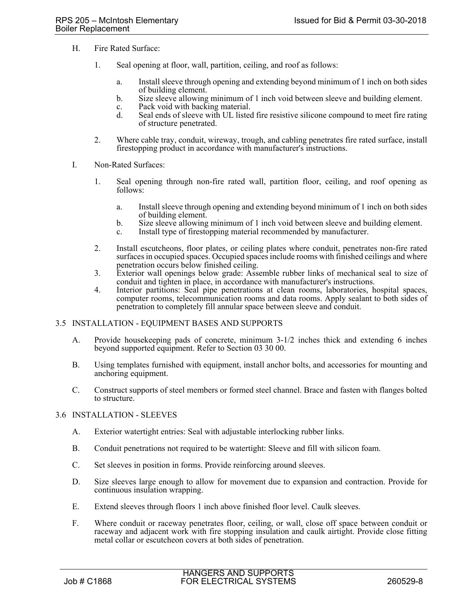- H. Fire Rated Surface:
	- 1. Seal opening at floor, wall, partition, ceiling, and roof as follows:
		- a. Install sleeve through opening and extending beyond minimum of 1 inch on both sides of building element.
		- b. Size sleeve allowing minimum of 1 inch void between sleeve and building element.
		- c. Pack void with backing material.
		- d. Seal ends of sleeve with UL listed fire resistive silicone compound to meet fire rating of structure penetrated.
	- 2. Where cable tray, conduit, wireway, trough, and cabling penetrates fire rated surface, install firestopping product in accordance with manufacturer's instructions.
- I. Non-Rated Surfaces:
	- 1. Seal opening through non-fire rated wall, partition floor, ceiling, and roof opening as follows:
		- a. Install sleeve through opening and extending beyond minimum of 1 inch on both sides of building element.
		- b. Size sleeve allowing minimum of 1 inch void between sleeve and building element.
		- c. Install type of firestopping material recommended by manufacturer.
	- 2. Install escutcheons, floor plates, or ceiling plates where conduit, penetrates non-fire rated surfaces in occupied spaces. Occupied spaces include rooms with finished ceilings and where penetration occurs below finished ceiling.
	- 3. Exterior wall openings below grade: Assemble rubber links of mechanical seal to size of conduit and tighten in place, in accordance with manufacturer's instructions.
	- 4. Interior partitions: Seal pipe penetrations at clean rooms, laboratories, hospital spaces, computer rooms, telecommunication rooms and data rooms. Apply sealant to both sides of penetration to completely fill annular space between sleeve and conduit.

#### 3.5 INSTALLATION - EQUIPMENT BASES AND SUPPORTS

- A. Provide housekeeping pads of concrete, minimum 3-1/2 inches thick and extending 6 inches beyond supported equipment. Refer to Section 03 30 00.
- B. Using templates furnished with equipment, install anchor bolts, and accessories for mounting and anchoring equipment.
- C. Construct supports of steel members or formed steel channel. Brace and fasten with flanges bolted to structure.

#### 3.6 INSTALLATION - SLEEVES

- A. Exterior watertight entries: Seal with adjustable interlocking rubber links.
- B. Conduit penetrations not required to be watertight: Sleeve and fill with silicon foam.
- C. Set sleeves in position in forms. Provide reinforcing around sleeves.
- D. Size sleeves large enough to allow for movement due to expansion and contraction. Provide for continuous insulation wrapping.
- E. Extend sleeves through floors 1 inch above finished floor level. Caulk sleeves.
- F. Where conduit or raceway penetrates floor, ceiling, or wall, close off space between conduit or raceway and adjacent work with fire stopping insulation and caulk airtight. Provide close fitting metal collar or escutcheon covers at both sides of penetration.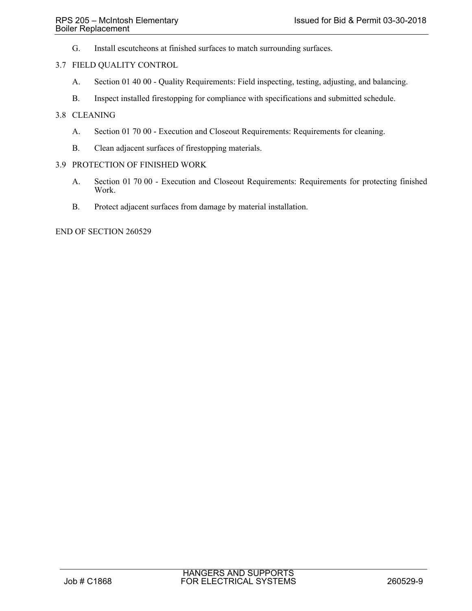G. Install escutcheons at finished surfaces to match surrounding surfaces.

# 3.7 FIELD QUALITY CONTROL

- A. Section 01 40 00 Quality Requirements: Field inspecting, testing, adjusting, and balancing.
- B. Inspect installed firestopping for compliance with specifications and submitted schedule.

# 3.8 CLEANING

- A. Section 01 70 00 Execution and Closeout Requirements: Requirements for cleaning.
- B. Clean adjacent surfaces of firestopping materials.

## 3.9 PROTECTION OF FINISHED WORK

- A. Section 01 70 00 Execution and Closeout Requirements: Requirements for protecting finished Work.
- B. Protect adjacent surfaces from damage by material installation.

END OF SECTION 260529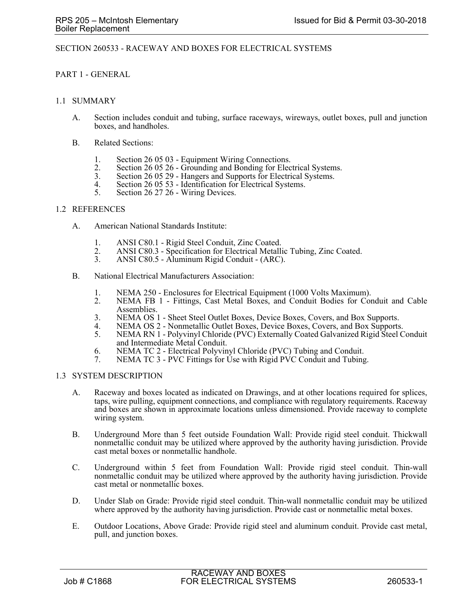#### SECTION 260533 - RACEWAY AND BOXES FOR ELECTRICAL SYSTEMS

### PART 1 - GENERAL

#### 1.1 SUMMARY

- A. Section includes conduit and tubing, surface raceways, wireways, outlet boxes, pull and junction boxes, and handholes.
- B. Related Sections:
	- 1. Section 26 05 03 Equipment Wiring Connections.<br>2. Section 26 05 26 Grounding and Bonding for Elec-
	- 2. Section 26 05 26 Grounding and Bonding for Electrical Systems. 3. Section 26 05 29 Hangers and Supports for Electrical Systems.
	-
	- 4. Section 26 05 53 Identification for Electrical Systems.<br>5. Section 26 27 26 Wiring Devices.
	- Section 26 27 26 Wiring Devices.

#### 1.2 REFERENCES

- A. American National Standards Institute:
	-
	- 1. ANSI C80.1 Rigid Steel Conduit, Zinc Coated.<br>2. ANSI C80.3 Specification for Electrical Metalli 2. ANSI C80.3 - Specification for Electrical Metallic Tubing, Zinc Coated.<br>3. ANSI C80.5 - Aluminum Rigid Conduit - (ARC).
	- 3. ANSI C80.5 Aluminum Rigid Conduit (ARC).
- B. National Electrical Manufacturers Association:
	- 1. NEMA 250 Enclosures for Electrical Equipment (1000 Volts Maximum).<br>2. NEMA FB 1 Fittings. Cast Metal Boxes. and Conduit Bodies for Cor
	- NEMA FB 1 Fittings, Cast Metal Boxes, and Conduit Bodies for Conduit and Cable Assemblies.
	- 3. NEMA OS 1 Sheet Steel Outlet Boxes, Device Boxes, Covers, and Box Supports.
	- 4. NEMA OS 2 Nonmetallic Outlet Boxes, Device Boxes, Covers, and Box Supports.<br>5. NEMA RN 1 Polyvinyl Chloride (PVC) Externally Coated Galvanized Rigid Steel C
	- 5. NEMA RN 1 Polyvinyl Chloride (PVC) Externally Coated Galvanized Rigid Steel Conduit and Intermediate Metal Conduit.
	- 6. NEMA TC 2 Electrical Polyvinyl Chloride (PVC) Tubing and Conduit.
	- 7. NEMA TC 3 PVC Fittings for Use with Rigid PVC Conduit and Tubing.

#### 1.3 SYSTEM DESCRIPTION

- A. Raceway and boxes located as indicated on Drawings, and at other locations required for splices, taps, wire pulling, equipment connections, and compliance with regulatory requirements. Raceway and boxes are shown in approximate locations unless dimensioned. Provide raceway to complete wiring system.
- B. Underground More than 5 feet outside Foundation Wall: Provide rigid steel conduit. Thickwall nonmetallic conduit may be utilized where approved by the authority having jurisdiction. Provide cast metal boxes or nonmetallic handhole.
- C. Underground within 5 feet from Foundation Wall: Provide rigid steel conduit. Thin-wall nonmetallic conduit may be utilized where approved by the authority having jurisdiction. Provide cast metal or nonmetallic boxes.
- D. Under Slab on Grade: Provide rigid steel conduit. Thin-wall nonmetallic conduit may be utilized where approved by the authority having jurisdiction. Provide cast or nonmetallic metal boxes.
- E. Outdoor Locations, Above Grade: Provide rigid steel and aluminum conduit. Provide cast metal, pull, and junction boxes.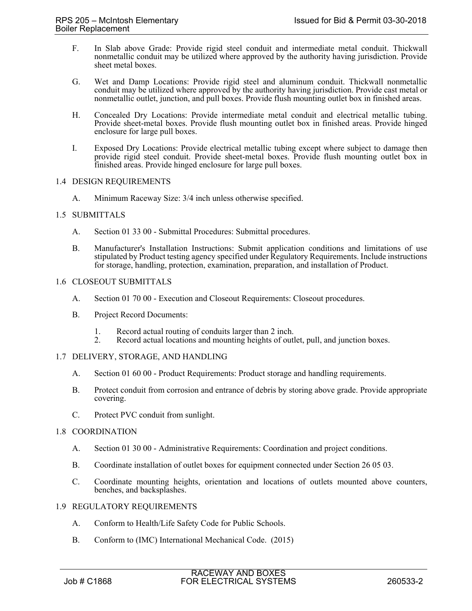- F. In Slab above Grade: Provide rigid steel conduit and intermediate metal conduit. Thickwall nonmetallic conduit may be utilized where approved by the authority having jurisdiction. Provide sheet metal boxes.
- G. Wet and Damp Locations: Provide rigid steel and aluminum conduit. Thickwall nonmetallic conduit may be utilized where approved by the authority having jurisdiction. Provide cast metal or nonmetallic outlet, junction, and pull boxes. Provide flush mounting outlet box in finished areas.
- H. Concealed Dry Locations: Provide intermediate metal conduit and electrical metallic tubing. Provide sheet-metal boxes. Provide flush mounting outlet box in finished areas. Provide hinged enclosure for large pull boxes.
- I. Exposed Dry Locations: Provide electrical metallic tubing except where subject to damage then provide rigid steel conduit. Provide sheet-metal boxes. Provide flush mounting outlet box in finished areas. Provide hinged enclosure for large pull boxes.

# 1.4 DESIGN REQUIREMENTS

A. Minimum Raceway Size: 3/4 inch unless otherwise specified.

# 1.5 SUBMITTALS

- A. Section 01 33 00 Submittal Procedures: Submittal procedures.
- B. Manufacturer's Installation Instructions: Submit application conditions and limitations of use stipulated by Product testing agency specified under Regulatory Requirements. Include instructions for storage, handling, protection, examination, preparation, and installation of Product.

# 1.6 CLOSEOUT SUBMITTALS

- A. Section 01 70 00 Execution and Closeout Requirements: Closeout procedures.
- B. Project Record Documents:
	- 1. Record actual routing of conduits larger than 2 inch.
	- 2. Record actual locations and mounting heights of outlet, pull, and junction boxes.

# 1.7 DELIVERY, STORAGE, AND HANDLING

- A. Section 01 60 00 Product Requirements: Product storage and handling requirements.
- B. Protect conduit from corrosion and entrance of debris by storing above grade. Provide appropriate covering.
- C. Protect PVC conduit from sunlight.

#### 1.8 COORDINATION

- A. Section 01 30 00 Administrative Requirements: Coordination and project conditions.
- B. Coordinate installation of outlet boxes for equipment connected under Section 26 05 03.
- C. Coordinate mounting heights, orientation and locations of outlets mounted above counters, benches, and backsplashes.

#### 1.9 REGULATORY REQUIREMENTS

- A. Conform to Health/Life Safety Code for Public Schools.
- B. Conform to (IMC) International Mechanical Code. (2015)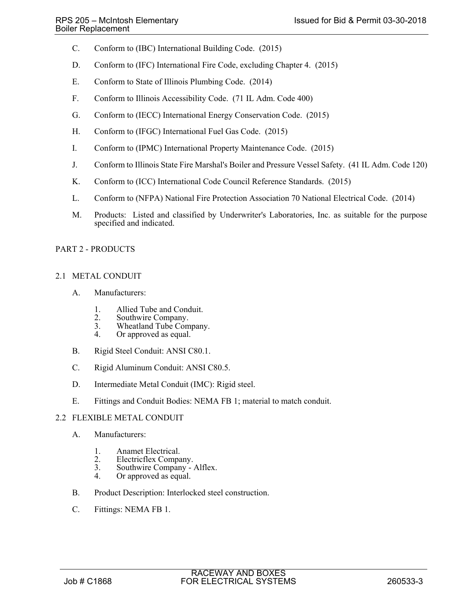- C. Conform to (IBC) International Building Code. (2015)
- D. Conform to (IFC) International Fire Code, excluding Chapter 4. (2015)
- E. Conform to State of Illinois Plumbing Code. (2014)
- F. Conform to Illinois Accessibility Code. (71 IL Adm. Code 400)
- G. Conform to (IECC) International Energy Conservation Code. (2015)
- H. Conform to (IFGC) International Fuel Gas Code. (2015)
- I. Conform to (IPMC) International Property Maintenance Code. (2015)
- J. Conform to Illinois State Fire Marshal's Boiler and Pressure Vessel Safety. (41 IL Adm. Code 120)
- K. Conform to (ICC) International Code Council Reference Standards. (2015)
- L. Conform to (NFPA) National Fire Protection Association 70 National Electrical Code. (2014)
- M. Products: Listed and classified by Underwriter's Laboratories, Inc. as suitable for the purpose specified and indicated.

# 2.1 METAL CONDUIT

- A. Manufacturers:
	- 1. Allied Tube and Conduit.<br>2. Southwire Company.
	- 2. Southwire Company.<br>3. Wheatland Tube Com
	- 3. Wheatland Tube Company.<br>4. Or approved as equal.
	- Or approved as equal.
- B. Rigid Steel Conduit: ANSI C80.1.
- C. Rigid Aluminum Conduit: ANSI C80.5.
- D. Intermediate Metal Conduit (IMC): Rigid steel.
- E. Fittings and Conduit Bodies: NEMA FB 1; material to match conduit.

#### 2.2 FLEXIBLE METAL CONDUIT

- A. Manufacturers:
	- 1. Anamet Electrical.<br>2. Electricflex Compa
	- 2. Electricflex Company.<br>3. Southwire Company -
	- Southwire Company Alflex.
	- 4. Or approved as equal.
- B. Product Description: Interlocked steel construction.
- C. Fittings: NEMA FB 1.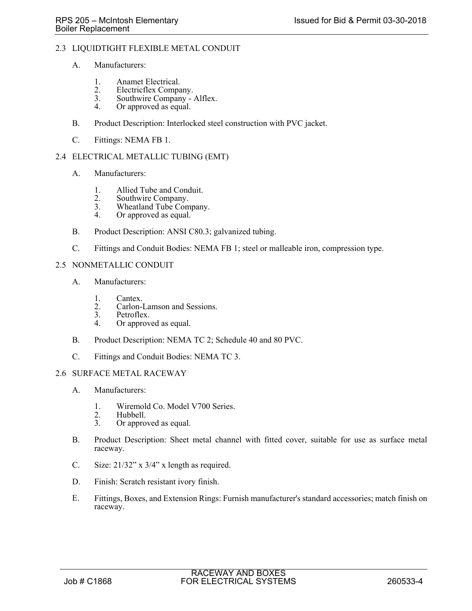## 2.3 LIQUIDTIGHT FLEXIBLE METAL CONDUIT

- A. Manufacturers:
	- 1. Anamet Electrical.<br>2. Electricflex Compa
	- 2. Electricflex Company.<br>3. Southwire Company -
	- 3. Southwire Company Alflex.<br>4. Or approved as equal.
	- Or approved as equal.
- B. Product Description: Interlocked steel construction with PVC jacket.
- C. Fittings: NEMA FB 1.

# 2.4 ELECTRICAL METALLIC TUBING (EMT)

- A. Manufacturers:
	- 1. Allied Tube and Conduit.
	- 2. Southwire Company.<br>3. Wheatland Tube Com
	- 3. Wheatland Tube Company.<br>4 Or approved as equal
	- Or approved as equal.
- B. Product Description: ANSI C80.3; galvanized tubing.
- C. Fittings and Conduit Bodies: NEMA FB 1; steel or malleable iron, compression type.
- 2.5 NONMETALLIC CONDUIT
	- A. Manufacturers:
		- 1. Cantex.<br>2. Carlon-
		- 2. Carlon-Lamson and Sessions.<br>3. Petroflex.
		- Petroflex.
		- 4. Or approved as equal.
	- B. Product Description: NEMA TC 2; Schedule 40 and 80 PVC.
	- C. Fittings and Conduit Bodies: NEMA TC 3.

# 2.6 SURFACE METAL RACEWAY

- A. Manufacturers:
	- 1. Wiremold Co. Model V700 Series.<br>2. Hubbell.
	- 2. Hubbell.<br>3. Or appro
	- Or approved as equal.
- B. Product Description: Sheet metal channel with fitted cover, suitable for use as surface metal raceway.
- C. Size:  $21/32$ " x  $3/4$ " x length as required.
- D. Finish: Scratch resistant ivory finish.
- E. Fittings, Boxes, and Extension Rings: Furnish manufacturer's standard accessories; match finish on raceway.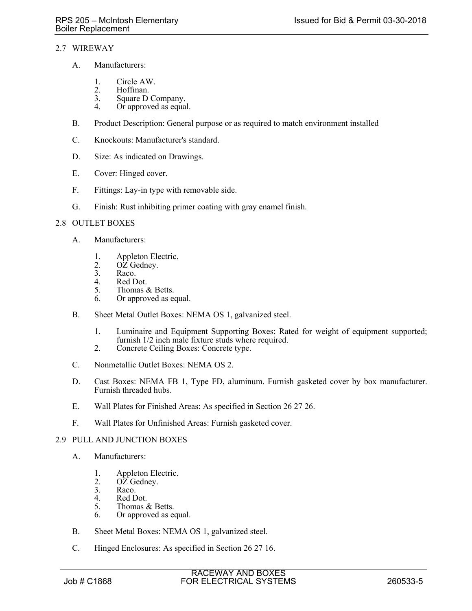# 2.7 WIREWAY

- A. Manufacturers:
	- 1. Circle AW.<br>2. Hoffman.
	- 2. Hoffman.<br>3. Square D
	- 3. Square D Company.<br>4. Or approved as equa
	- Or approved as equal.
- B. Product Description: General purpose or as required to match environment installed
- C. Knockouts: Manufacturer's standard.
- D. Size: As indicated on Drawings.
- E. Cover: Hinged cover.
- F. Fittings: Lay-in type with removable side.
- G. Finish: Rust inhibiting primer coating with gray enamel finish.

## 2.8 OUTLET BOXES

- A. Manufacturers:
	- 1. Appleton Electric.<br>2. OZ Gedney.
	- 2.  $O\overline{Z}$  Gedney.<br>3. Raco.
	- Raco.
	- 4. Red Dot.<br>5. Thomas  $\delta$
	- 5. Thomas & Betts.<br>6. Or approved as equal to the Section of the Section of the Section of the Section of the Section of the Section of the Section of the Section of the Section of the Section of the Section of the Section
	- Or approved as equal.
- B. Sheet Metal Outlet Boxes: NEMA OS 1, galvanized steel.
	- 1. Luminaire and Equipment Supporting Boxes: Rated for weight of equipment supported; furnish 1/2 inch male fixture studs where required.
	- 2. Concrete Ceiling Boxes: Concrete type.
- C. Nonmetallic Outlet Boxes: NEMA OS 2.
- D. Cast Boxes: NEMA FB 1, Type FD, aluminum. Furnish gasketed cover by box manufacturer. Furnish threaded hubs.
- E. Wall Plates for Finished Areas: As specified in Section 26 27 26.
- F. Wall Plates for Unfinished Areas: Furnish gasketed cover.

#### 2.9 PULL AND JUNCTION BOXES

- A. Manufacturers:
	- 1. Appleton Electric.<br>2. OZ Gednev.
	- $OZ$  Gedney.
	- 3. Raco.<br>4. Red D
	- 4. Red Dot.<br>5. Thomas  $\delta$
	- Thomas & Betts. 6. Or approved as equal.
- B. Sheet Metal Boxes: NEMA OS 1, galvanized steel.
- C. Hinged Enclosures: As specified in Section 26 27 16.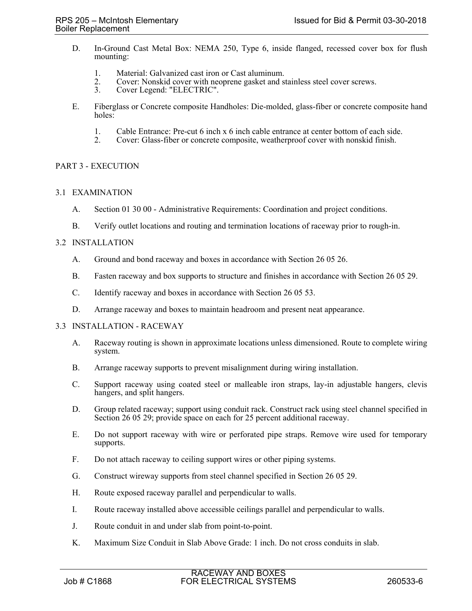- D. In-Ground Cast Metal Box: NEMA 250, Type 6, inside flanged, recessed cover box for flush mounting:
	- 1. Material: Galvanized cast iron or Cast aluminum.
	- 2. Cover: Nonskid cover with neoprene gasket and stainless steel cover screws.<br>3. Cover Legend: "ELECTRIC".
	- Cover Legend: "ELECTRIC".
- E. Fiberglass or Concrete composite Handholes: Die-molded, glass-fiber or concrete composite hand holes:
	- 1. Cable Entrance: Pre-cut 6 inch x 6 inch cable entrance at center bottom of each side.<br>2. Cover: Glass-fiber or concrete composite, weatherproof cover with nonskid finish.
	- 2. Cover: Glass-fiber or concrete composite, weatherproof cover with nonskid finish.

# PART 3 - EXECUTION

## 3.1 EXAMINATION

- A. Section 01 30 00 Administrative Requirements: Coordination and project conditions.
- B. Verify outlet locations and routing and termination locations of raceway prior to rough-in.

## 3.2 INSTALLATION

- A. Ground and bond raceway and boxes in accordance with Section 26 05 26.
- B. Fasten raceway and box supports to structure and finishes in accordance with Section 26 05 29.
- C. Identify raceway and boxes in accordance with Section 26 05 53.
- D. Arrange raceway and boxes to maintain headroom and present neat appearance.

#### 3.3 INSTALLATION - RACEWAY

- A. Raceway routing is shown in approximate locations unless dimensioned. Route to complete wiring system.
- B. Arrange raceway supports to prevent misalignment during wiring installation.
- C. Support raceway using coated steel or malleable iron straps, lay-in adjustable hangers, clevis hangers, and split hangers.
- D. Group related raceway; support using conduit rack. Construct rack using steel channel specified in Section 26 05 29; provide space on each for 25 percent additional raceway.
- E. Do not support raceway with wire or perforated pipe straps. Remove wire used for temporary supports.
- F. Do not attach raceway to ceiling support wires or other piping systems.
- G. Construct wireway supports from steel channel specified in Section 26 05 29.
- H. Route exposed raceway parallel and perpendicular to walls.
- I. Route raceway installed above accessible ceilings parallel and perpendicular to walls.
- J. Route conduit in and under slab from point-to-point.
- K. Maximum Size Conduit in Slab Above Grade: 1 inch. Do not cross conduits in slab.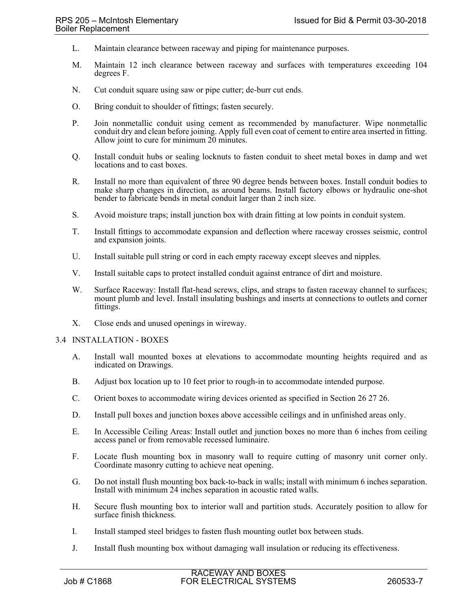- L. Maintain clearance between raceway and piping for maintenance purposes.
- M. Maintain 12 inch clearance between raceway and surfaces with temperatures exceeding 104 degrees F.
- N. Cut conduit square using saw or pipe cutter; de-burr cut ends.
- O. Bring conduit to shoulder of fittings; fasten securely.
- P. Join nonmetallic conduit using cement as recommended by manufacturer. Wipe nonmetallic conduit dry and clean before joining. Apply full even coat of cement to entire area inserted in fitting. Allow joint to cure for minimum 20 minutes.
- Q. Install conduit hubs or sealing locknuts to fasten conduit to sheet metal boxes in damp and wet locations and to cast boxes.
- R. Install no more than equivalent of three 90 degree bends between boxes. Install conduit bodies to make sharp changes in direction, as around beams. Install factory elbows or hydraulic one-shot bender to fabricate bends in metal conduit larger than 2 inch size.
- S. Avoid moisture traps; install junction box with drain fitting at low points in conduit system.
- T. Install fittings to accommodate expansion and deflection where raceway crosses seismic, control and expansion joints.
- U. Install suitable pull string or cord in each empty raceway except sleeves and nipples.
- V. Install suitable caps to protect installed conduit against entrance of dirt and moisture.
- W. Surface Raceway: Install flat-head screws, clips, and straps to fasten raceway channel to surfaces; mount plumb and level. Install insulating bushings and inserts at connections to outlets and corner fittings.
- X. Close ends and unused openings in wireway.

#### 3.4 INSTALLATION - BOXES

- A. Install wall mounted boxes at elevations to accommodate mounting heights required and as indicated on Drawings.
- B. Adjust box location up to 10 feet prior to rough-in to accommodate intended purpose.
- C. Orient boxes to accommodate wiring devices oriented as specified in Section 26 27 26.
- D. Install pull boxes and junction boxes above accessible ceilings and in unfinished areas only.
- E. In Accessible Ceiling Areas: Install outlet and junction boxes no more than 6 inches from ceiling access panel or from removable recessed luminaire.
- F. Locate flush mounting box in masonry wall to require cutting of masonry unit corner only. Coordinate masonry cutting to achieve neat opening.
- G. Do not install flush mounting box back-to-back in walls; install with minimum 6 inches separation. Install with minimum 24 inches separation in acoustic rated walls.
- H. Secure flush mounting box to interior wall and partition studs. Accurately position to allow for surface finish thickness.
- I. Install stamped steel bridges to fasten flush mounting outlet box between studs.
- J. Install flush mounting box without damaging wall insulation or reducing its effectiveness.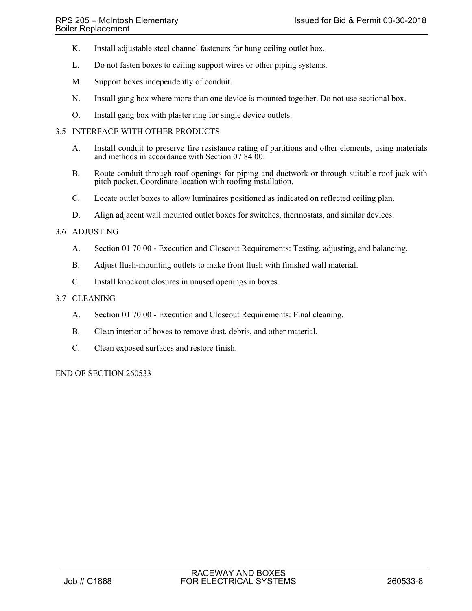- K. Install adjustable steel channel fasteners for hung ceiling outlet box.
- L. Do not fasten boxes to ceiling support wires or other piping systems.
- M. Support boxes independently of conduit.
- N. Install gang box where more than one device is mounted together. Do not use sectional box.
- O. Install gang box with plaster ring for single device outlets.

# 3.5 INTERFACE WITH OTHER PRODUCTS

- A. Install conduit to preserve fire resistance rating of partitions and other elements, using materials and methods in accordance with Section 07 84 00.
- B. Route conduit through roof openings for piping and ductwork or through suitable roof jack with pitch pocket. Coordinate location with roofing installation.
- C. Locate outlet boxes to allow luminaires positioned as indicated on reflected ceiling plan.
- D. Align adjacent wall mounted outlet boxes for switches, thermostats, and similar devices.

## 3.6 ADJUSTING

- A. Section 01 70 00 Execution and Closeout Requirements: Testing, adjusting, and balancing.
- B. Adjust flush-mounting outlets to make front flush with finished wall material.
- C. Install knockout closures in unused openings in boxes.

## 3.7 CLEANING

- A. Section 01 70 00 Execution and Closeout Requirements: Final cleaning.
- B. Clean interior of boxes to remove dust, debris, and other material.
- C. Clean exposed surfaces and restore finish.

END OF SECTION 260533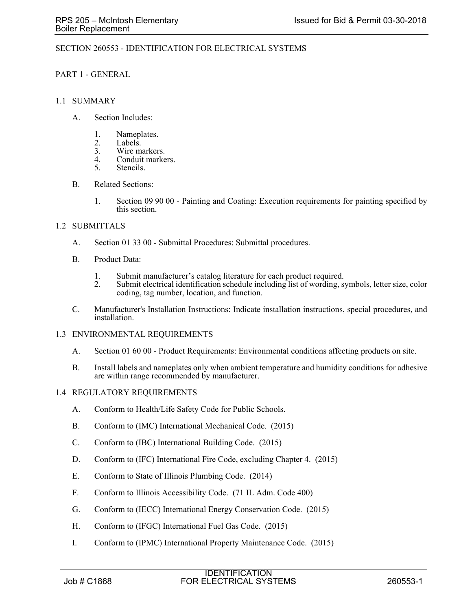### SECTION 260553 - IDENTIFICATION FOR ELECTRICAL SYSTEMS

## PART 1 - GENERAL

#### 1.1 SUMMARY

- A. Section Includes:
	- 1. Nameplates.
	- 2. Labels.<br>3. Wire ma
	- 3. Wire markers.<br>4. Conduit marke
	- 4. Conduit markers.<br>5. Stencils.
	- Stencils.
- B. Related Sections:
	- 1. Section 09 90 00 Painting and Coating: Execution requirements for painting specified by this section.

## 1.2 SUBMITTALS

- A. Section 01 33 00 Submittal Procedures: Submittal procedures.
- B. Product Data:
	- 1. Submit manufacturer's catalog literature for each product required.<br>2. Submit electrical identification schedule including list of wording. s
	- Submit electrical identification schedule including list of wording, symbols, letter size, color coding, tag number, location, and function.
- C. Manufacturer's Installation Instructions: Indicate installation instructions, special procedures, and installation.

#### 1.3 ENVIRONMENTAL REQUIREMENTS

- A. Section 01 60 00 Product Requirements: Environmental conditions affecting products on site.
- B. Install labels and nameplates only when ambient temperature and humidity conditions for adhesive are within range recommended by manufacturer.

#### 1.4 REGULATORY REQUIREMENTS

- A. Conform to Health/Life Safety Code for Public Schools.
- B. Conform to (IMC) International Mechanical Code. (2015)
- C. Conform to (IBC) International Building Code. (2015)
- D. Conform to (IFC) International Fire Code, excluding Chapter 4. (2015)
- E. Conform to State of Illinois Plumbing Code. (2014)
- F. Conform to Illinois Accessibility Code. (71 IL Adm. Code 400)
- G. Conform to (IECC) International Energy Conservation Code. (2015)
- H. Conform to (IFGC) International Fuel Gas Code. (2015)
- I. Conform to (IPMC) International Property Maintenance Code. (2015)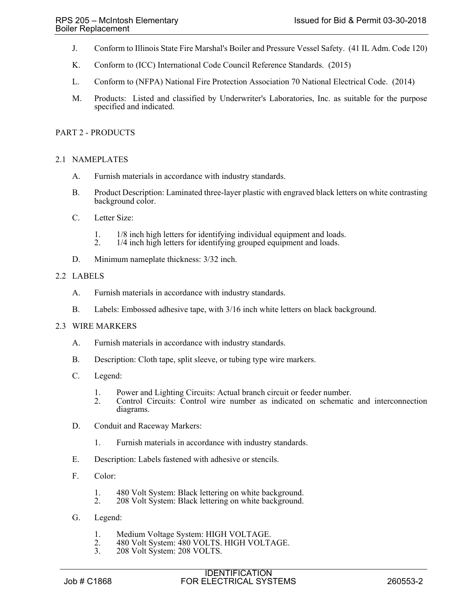- J. Conform to Illinois State Fire Marshal's Boiler and Pressure Vessel Safety. (41 IL Adm. Code 120)
- K. Conform to (ICC) International Code Council Reference Standards. (2015)
- L. Conform to (NFPA) National Fire Protection Association 70 National Electrical Code. (2014)
- M. Products: Listed and classified by Underwriter's Laboratories, Inc. as suitable for the purpose specified and indicated.

## 2.1 NAMEPLATES

- A. Furnish materials in accordance with industry standards.
- B. Product Description: Laminated three-layer plastic with engraved black letters on white contrasting background color.
- C. Letter Size:
	- 1. 1/8 inch high letters for identifying individual equipment and loads.
	- 2. 1/4 inch high letters for identifying grouped equipment and loads.
- D. Minimum nameplate thickness: 3/32 inch.

#### 2.2 LABELS

- A. Furnish materials in accordance with industry standards.
- B. Labels: Embossed adhesive tape, with 3/16 inch white letters on black background.

#### 2.3 WIRE MARKERS

- A. Furnish materials in accordance with industry standards.
- B. Description: Cloth tape, split sleeve, or tubing type wire markers.
- C. Legend:
	- 1. Power and Lighting Circuits: Actual branch circuit or feeder number.
	- 2. Control Circuits: Control wire number as indicated on schematic and interconnection diagrams.
- D. Conduit and Raceway Markers:
	- 1. Furnish materials in accordance with industry standards.
- E. Description: Labels fastened with adhesive or stencils.
- F. Color:
	- 1. 480 Volt System: Black lettering on white background.<br>2. 208 Volt System: Black lettering on white background.
	- 208 Volt System: Black lettering on white background.
- G. Legend:
	- 1. Medium Voltage System: HIGH VOLTAGE.<br>2. 480 Volt System: 480 VOLTS. HIGH VOLT.
	- 2. 480 Volt System: 480 VOLTS. HIGH VOLTAGE.<br>3. 208 Volt System: 208 VOLTS.
	- 208 Volt System: 208 VOLTS.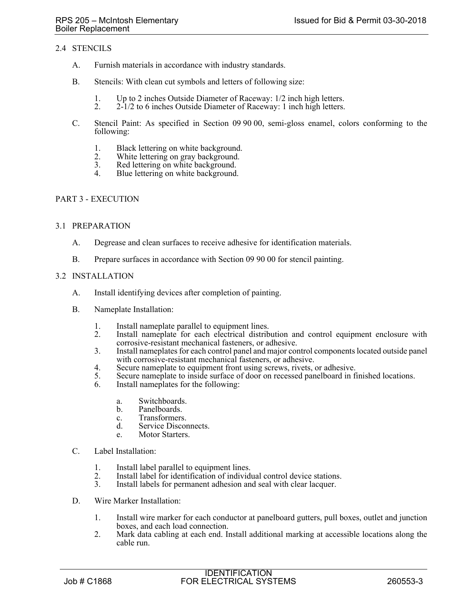# 2.4 STENCILS

- A. Furnish materials in accordance with industry standards.
- B. Stencils: With clean cut symbols and letters of following size:
	- 1. Up to 2 inches Outside Diameter of Raceway: 1/2 inch high letters.<br>2. 2-1/2 to 6 inches Outside Diameter of Raceway: 1 inch high letters.
	- 2. 2-1/2 to 6 inches Outside Diameter of Raceway: 1 inch high letters.
- C. Stencil Paint: As specified in Section 09 90 00, semi-gloss enamel, colors conforming to the following:
	- 1. Black lettering on white background.
	- 2. White lettering on gray background.<br>3. Red lettering on white background.
	- 3. Red lettering on white background.<br>4 Blue lettering on white background.
	- Blue lettering on white background.

# PART 3 - EXECUTION

## 3.1 PREPARATION

- A. Degrease and clean surfaces to receive adhesive for identification materials.
- B. Prepare surfaces in accordance with Section 09 90 00 for stencil painting.

## 3.2 INSTALLATION

- A. Install identifying devices after completion of painting.
- B. Nameplate Installation:
	- 1. Install nameplate parallel to equipment lines.<br>2. Install nameplate for each electrical distrib
	- Install nameplate for each electrical distribution and control equipment enclosure with corrosive-resistant mechanical fasteners, or adhesive.
	- 3. Install nameplates for each control panel and major control components located outside panel with corrosive-resistant mechanical fasteners, or adhesive.
	- 4. Secure nameplate to equipment front using screws, rivets, or adhesive.
	- 5. Secure nameplate to inside surface of door on recessed panelboard in finished locations.
	- 6. Install nameplates for the following:
		- a. Switchboards.
		- b. Panelboards.
		- c. Transformers.
		- d. Service Disconnects.
		- e. Motor Starters.
- C. Label Installation:
	- 1. Install label parallel to equipment lines.<br>2. Install label for identification of individ
	- 2. Install label for identification of individual control device stations.<br>3. Install labels for permanent adhesion and seal with clear lacquer.
	- Install labels for permanent adhesion and seal with clear lacquer.
- D. Wire Marker Installation:
	- 1. Install wire marker for each conductor at panelboard gutters, pull boxes, outlet and junction boxes, and each load connection.
	- 2. Mark data cabling at each end. Install additional marking at accessible locations along the cable run.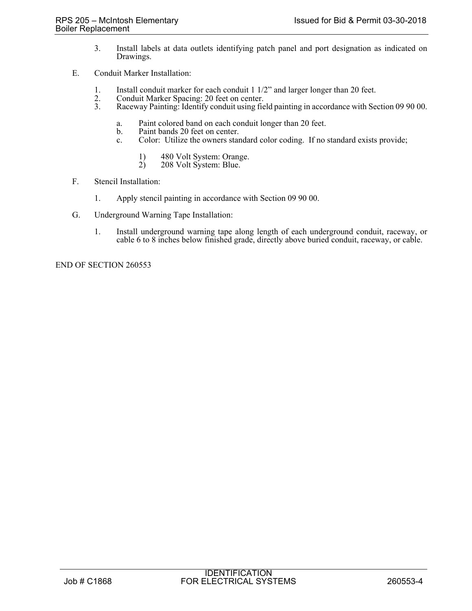- 3. Install labels at data outlets identifying patch panel and port designation as indicated on Drawings.
- E. Conduit Marker Installation:
	- 1. Install conduit marker for each conduit 1 1/2" and larger longer than 20 feet.<br>2. Conduit Marker Spacing: 20 feet on center.
	- 2. Conduit Marker Spacing: 20 feet on center.<br>3. Raceway Painting: Identify conduit using fie
	- 3. Raceway Painting: Identify conduit using field painting in accordance with Section 09 90 00.
		- a. Paint colored band on each conduit longer than 20 feet.
		- Paint bands 20 feet on center.
		- c. Color: Utilize the owners standard color coding. If no standard exists provide;
			- 1) 480 Volt System: Orange.<br>2) 208 Volt System: Blue.
			- 208 Volt System: Blue.
- F. Stencil Installation:
	- 1. Apply stencil painting in accordance with Section 09 90 00.
- G. Underground Warning Tape Installation:
	- 1. Install underground warning tape along length of each underground conduit, raceway, or cable 6 to 8 inches below finished grade, directly above buried conduit, raceway, or cable.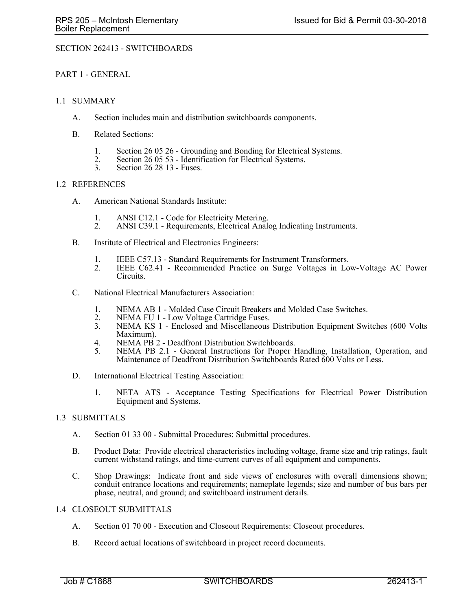## SECTION 262413 - SWITCHBOARDS

### PART 1 - GENERAL

## 1.1 SUMMARY

- A. Section includes main and distribution switchboards components.
- B. Related Sections:
	- 1. Section 26 05 26 Grounding and Bonding for Electrical Systems.<br>
	2. Section 26 05 53 Identification for Electrical Systems.<br>
	3. Section 26 28 13 Fuses.
	-
	- Section 26 28 13 Fuses.

## 1.2 REFERENCES

- A. American National Standards Institute:
	- 1. ANSI C12.1 Code for Electricity Metering.
	- 2. ANSI C39.1 Requirements, Electrical Analog Indicating Instruments.
- B. Institute of Electrical and Electronics Engineers:
	-
	- 1. IEEE C57.13 Standard Requirements for Instrument Transformers. 2. IEEE C62.41 Recommended Practice on Surge Voltages in Low-Voltage AC Power Circuits.
- C. National Electrical Manufacturers Association:
	- 1. NEMA AB 1 Molded Case Circuit Breakers and Molded Case Switches.<br>2. NEMA FU 1 Low Voltage Cartridge Fuses.
	- 2. NEMA FU 1 Low Voltage Cartridge Fuses.<br>3. NEMA KS 1 Enclosed and Miscellaneous
	- NEMA KS 1 Enclosed and Miscellaneous Distribution Equipment Switches (600 Volts Maximum).
	- 4. NEMA PB 2 Deadfront Distribution Switchboards.
	- 5. NEMA PB 2.1 General Instructions for Proper Handling, Installation, Operation, and Maintenance of Deadfront Distribution Switchboards Rated 600 Volts or Less.
- D. International Electrical Testing Association:
	- 1. NETA ATS Acceptance Testing Specifications for Electrical Power Distribution Equipment and Systems.

# 1.3 SUBMITTALS

- A. Section 01 33 00 Submittal Procedures: Submittal procedures.
- B. Product Data: Provide electrical characteristics including voltage, frame size and trip ratings, fault current withstand ratings, and time-current curves of all equipment and components.
- C. Shop Drawings: Indicate front and side views of enclosures with overall dimensions shown; conduit entrance locations and requirements; nameplate legends; size and number of bus bars per phase, neutral, and ground; and switchboard instrument details.

## 1.4 CLOSEOUT SUBMITTALS

- A. Section 01 70 00 Execution and Closeout Requirements: Closeout procedures.
- B. Record actual locations of switchboard in project record documents.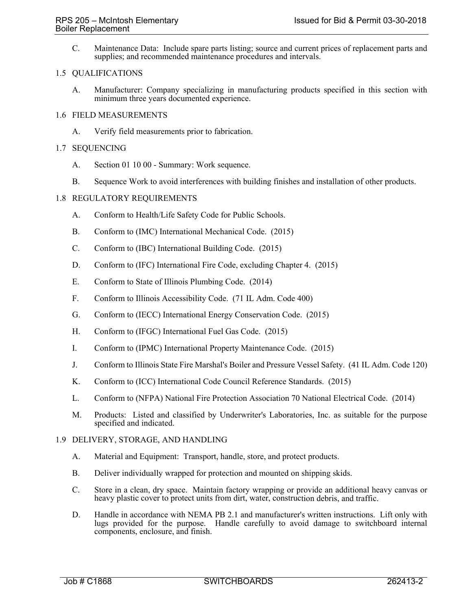C. Maintenance Data: Include spare parts listing; source and current prices of replacement parts and supplies; and recommended maintenance procedures and intervals.

#### 1.5 QUALIFICATIONS

A. Manufacturer: Company specializing in manufacturing products specified in this section with minimum three years documented experience.

## 1.6 FIELD MEASUREMENTS

A. Verify field measurements prior to fabrication.

## 1.7 SEQUENCING

- A. Section 01 10 00 Summary: Work sequence.
- B. Sequence Work to avoid interferences with building finishes and installation of other products.

## 1.8 REGULATORY REQUIREMENTS

- A. Conform to Health/Life Safety Code for Public Schools.
- B. Conform to (IMC) International Mechanical Code. (2015)
- C. Conform to (IBC) International Building Code. (2015)
- D. Conform to (IFC) International Fire Code, excluding Chapter 4. (2015)
- E. Conform to State of Illinois Plumbing Code. (2014)
- F. Conform to Illinois Accessibility Code. (71 IL Adm. Code 400)
- G. Conform to (IECC) International Energy Conservation Code. (2015)
- H. Conform to (IFGC) International Fuel Gas Code. (2015)
- I. Conform to (IPMC) International Property Maintenance Code. (2015)
- J. Conform to Illinois State Fire Marshal's Boiler and Pressure Vessel Safety. (41 IL Adm. Code 120)
- K. Conform to (ICC) International Code Council Reference Standards. (2015)
- L. Conform to (NFPA) National Fire Protection Association 70 National Electrical Code. (2014)
- M. Products: Listed and classified by Underwriter's Laboratories, Inc. as suitable for the purpose specified and indicated.

#### 1.9 DELIVERY, STORAGE, AND HANDLING

- A. Material and Equipment: Transport, handle, store, and protect products.
- B. Deliver individually wrapped for protection and mounted on shipping skids.
- C. Store in a clean, dry space. Maintain factory wrapping or provide an additional heavy canvas or heavy plastic cover to protect units from dirt, water, construction debris, and traffic.
- D. Handle in accordance with NEMA PB 2.1 and manufacturer's written instructions. Lift only with lugs provided for the purpose. Handle carefully to avoid damage to switchboard internal components, enclosure, and finish.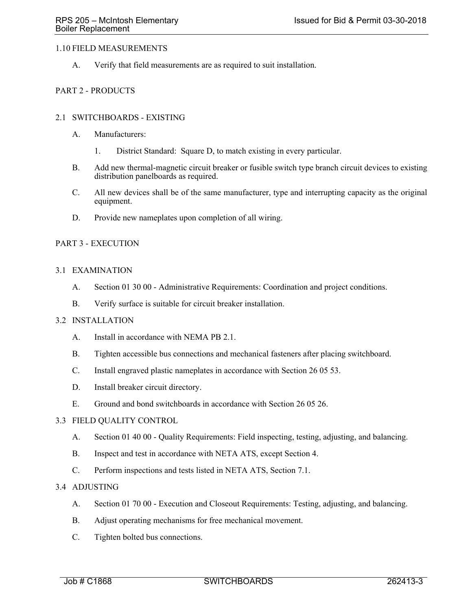## 1.10 FIELD MEASUREMENTS

A. Verify that field measurements are as required to suit installation.

# PART 2 - PRODUCTS

#### 2.1 SWITCHBOARDS - EXISTING

- A. Manufacturers:
	- 1. District Standard: Square D, to match existing in every particular.
- B. Add new thermal-magnetic circuit breaker or fusible switch type branch circuit devices to existing distribution panelboards as required.
- C. All new devices shall be of the same manufacturer, type and interrupting capacity as the original equipment.
- D. Provide new nameplates upon completion of all wiring.

# PART 3 - EXECUTION

## 3.1 EXAMINATION

- A. Section 01 30 00 Administrative Requirements: Coordination and project conditions.
- B. Verify surface is suitable for circuit breaker installation.

## 3.2 INSTALLATION

- A. Install in accordance with NEMA PB 2.1.
- B. Tighten accessible bus connections and mechanical fasteners after placing switchboard.
- C. Install engraved plastic nameplates in accordance with Section 26 05 53.
- D. Install breaker circuit directory.
- E. Ground and bond switchboards in accordance with Section 26 05 26.

#### 3.3 FIELD QUALITY CONTROL

- A. Section 01 40 00 Quality Requirements: Field inspecting, testing, adjusting, and balancing.
- B. Inspect and test in accordance with NETA ATS, except Section 4.
- C. Perform inspections and tests listed in NETA ATS, Section 7.1.

# 3.4 ADJUSTING

- A. Section 01 70 00 Execution and Closeout Requirements: Testing, adjusting, and balancing.
- B. Adjust operating mechanisms for free mechanical movement.
- C. Tighten bolted bus connections.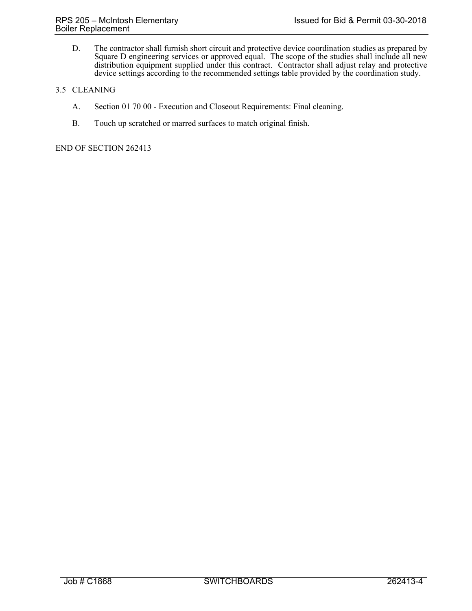D. The contractor shall furnish short circuit and protective device coordination studies as prepared by Square D engineering services or approved equal. The scope of the studies shall include all new distribution equipment supplied under this contract. Contractor shall adjust relay and protective device settings according to the recommended settings table provided by the coordination study.

# 3.5 CLEANING

- A. Section 01 70 00 Execution and Closeout Requirements: Final cleaning.
- B. Touch up scratched or marred surfaces to match original finish.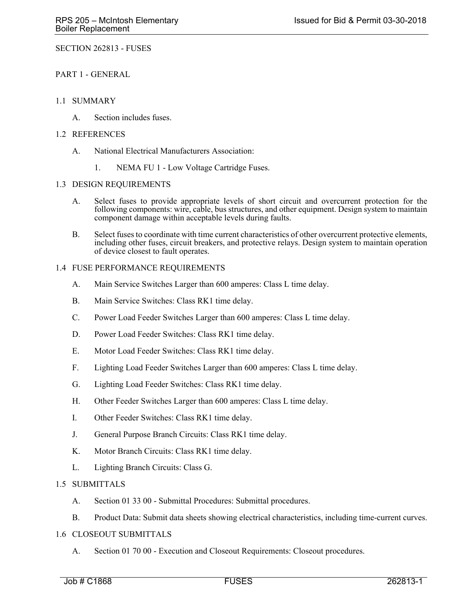SECTION 262813 - FUSES

PART 1 - GENERAL

## 1.1 SUMMARY

A. Section includes fuses.

## 1.2 REFERENCES

- A. National Electrical Manufacturers Association:
	- 1. NEMA FU 1 Low Voltage Cartridge Fuses.

## 1.3 DESIGN REQUIREMENTS

- A. Select fuses to provide appropriate levels of short circuit and overcurrent protection for the following components: wire, cable, bus structures, and other equipment. Design system to maintain component damage within acceptable levels during faults.
- B. Select fuses to coordinate with time current characteristics of other overcurrent protective elements, including other fuses, circuit breakers, and protective relays. Design system to maintain operation of device closest to fault operates.

## 1.4 FUSE PERFORMANCE REQUIREMENTS

- A. Main Service Switches Larger than 600 amperes: Class L time delay.
- B. Main Service Switches: Class RK1 time delay.
- C. Power Load Feeder Switches Larger than 600 amperes: Class L time delay.
- D. Power Load Feeder Switches: Class RK1 time delay.
- E. Motor Load Feeder Switches: Class RK1 time delay.
- F. Lighting Load Feeder Switches Larger than 600 amperes: Class L time delay.
- G. Lighting Load Feeder Switches: Class RK1 time delay.
- H. Other Feeder Switches Larger than 600 amperes: Class L time delay.
- I. Other Feeder Switches: Class RK1 time delay.
- J. General Purpose Branch Circuits: Class RK1 time delay.
- K. Motor Branch Circuits: Class RK1 time delay.
- L. Lighting Branch Circuits: Class G.

# 1.5 SUBMITTALS

- A. Section 01 33 00 Submittal Procedures: Submittal procedures.
- B. Product Data: Submit data sheets showing electrical characteristics, including time-current curves.

# 1.6 CLOSEOUT SUBMITTALS

A. Section 01 70 00 - Execution and Closeout Requirements: Closeout procedures.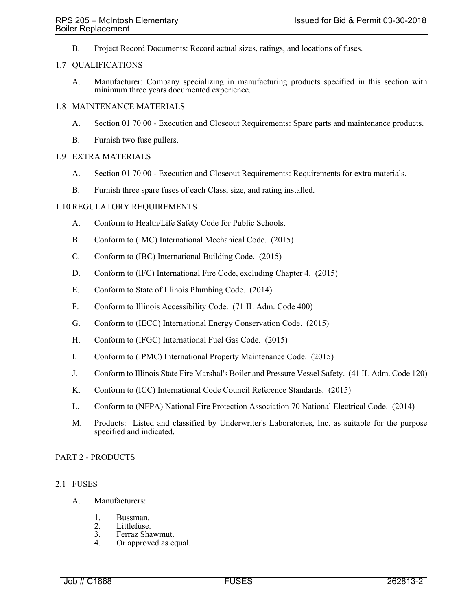B. Project Record Documents: Record actual sizes, ratings, and locations of fuses.

#### 1.7 QUALIFICATIONS

A. Manufacturer: Company specializing in manufacturing products specified in this section with minimum three years documented experience.

## 1.8 MAINTENANCE MATERIALS

- A. Section 01 70 00 Execution and Closeout Requirements: Spare parts and maintenance products.
- B. Furnish two fuse pullers.

# 1.9 EXTRA MATERIALS

- A. Section 01 70 00 Execution and Closeout Requirements: Requirements for extra materials.
- B. Furnish three spare fuses of each Class, size, and rating installed.

## 1.10 REGULATORY REQUIREMENTS

- A. Conform to Health/Life Safety Code for Public Schools.
- B. Conform to (IMC) International Mechanical Code. (2015)
- C. Conform to (IBC) International Building Code. (2015)
- D. Conform to (IFC) International Fire Code, excluding Chapter 4. (2015)
- E. Conform to State of Illinois Plumbing Code. (2014)
- F. Conform to Illinois Accessibility Code. (71 IL Adm. Code 400)
- G. Conform to (IECC) International Energy Conservation Code. (2015)
- H. Conform to (IFGC) International Fuel Gas Code. (2015)
- I. Conform to (IPMC) International Property Maintenance Code. (2015)
- J. Conform to Illinois State Fire Marshal's Boiler and Pressure Vessel Safety. (41 IL Adm. Code 120)
- K. Conform to (ICC) International Code Council Reference Standards. (2015)
- L. Conform to (NFPA) National Fire Protection Association 70 National Electrical Code. (2014)
- M. Products: Listed and classified by Underwriter's Laboratories, Inc. as suitable for the purpose specified and indicated.

# PART 2 - PRODUCTS

#### 2.1 FUSES

- A. Manufacturers:
	- 1. Bussman.<br>2. Littlefuse.
	- 2. Littlefuse.<br>3. Ferraz Sha
	- 3. Ferraz Shawmut.<br>4. Or approved as equal to the Section of the Section 1.
	- Or approved as equal.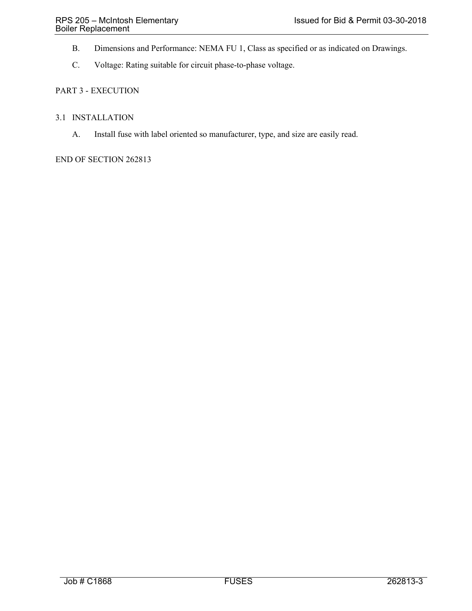- B. Dimensions and Performance: NEMA FU 1, Class as specified or as indicated on Drawings.
- C. Voltage: Rating suitable for circuit phase-to-phase voltage.

# PART 3 - EXECUTION

# 3.1 INSTALLATION

A. Install fuse with label oriented so manufacturer, type, and size are easily read.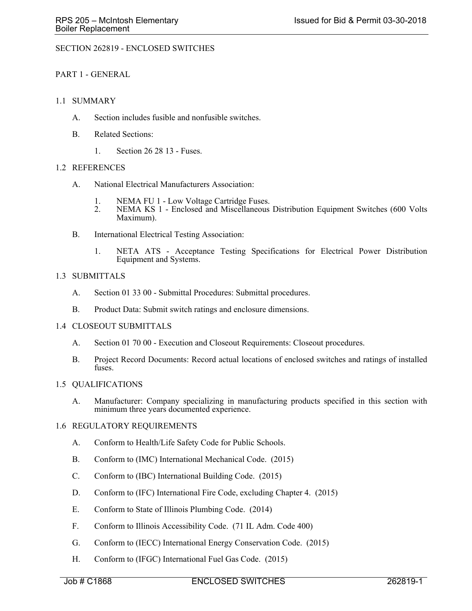# SECTION 262819 - ENCLOSED SWITCHES

## PART 1 - GENERAL

## 1.1 SUMMARY

- A. Section includes fusible and nonfusible switches.
- B. Related Sections:
	- 1. Section 26 28 13 Fuses.

## 1.2 REFERENCES

- A. National Electrical Manufacturers Association:
	- 1. NEMA FU 1 Low Voltage Cartridge Fuses.
	- 2. NEMA KS 1 Enclosed and Miscellaneous Distribution Equipment Switches (600 Volts Maximum).
- B. International Electrical Testing Association:
	- 1. NETA ATS Acceptance Testing Specifications for Electrical Power Distribution Equipment and Systems.

## 1.3 SUBMITTALS

- A. Section 01 33 00 Submittal Procedures: Submittal procedures.
- B. Product Data: Submit switch ratings and enclosure dimensions.

#### 1.4 CLOSEOUT SUBMITTALS

- A. Section 01 70 00 Execution and Closeout Requirements: Closeout procedures.
- B. Project Record Documents: Record actual locations of enclosed switches and ratings of installed fuses.

#### 1.5 QUALIFICATIONS

A. Manufacturer: Company specializing in manufacturing products specified in this section with minimum three years documented experience.

## 1.6 REGULATORY REQUIREMENTS

- A. Conform to Health/Life Safety Code for Public Schools.
- B. Conform to (IMC) International Mechanical Code. (2015)
- C. Conform to (IBC) International Building Code. (2015)
- D. Conform to (IFC) International Fire Code, excluding Chapter 4. (2015)
- E. Conform to State of Illinois Plumbing Code. (2014)
- F. Conform to Illinois Accessibility Code. (71 IL Adm. Code 400)
- G. Conform to (IECC) International Energy Conservation Code. (2015)
- H. Conform to (IFGC) International Fuel Gas Code. (2015)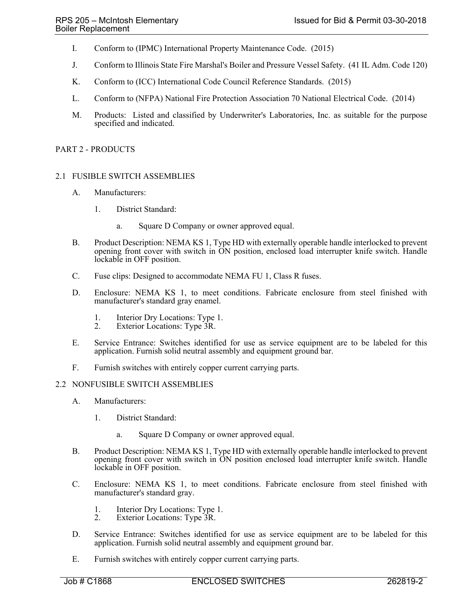- I. Conform to (IPMC) International Property Maintenance Code. (2015)
- J. Conform to Illinois State Fire Marshal's Boiler and Pressure Vessel Safety. (41 IL Adm. Code 120)
- K. Conform to (ICC) International Code Council Reference Standards. (2015)
- L. Conform to (NFPA) National Fire Protection Association 70 National Electrical Code. (2014)
- M. Products: Listed and classified by Underwriter's Laboratories, Inc. as suitable for the purpose specified and indicated.

#### PART 2 - PRODUCTS

# 2.1 FUSIBLE SWITCH ASSEMBLIES

- A. Manufacturers:
	- 1. District Standard:
		- a. Square D Company or owner approved equal.
- B. Product Description: NEMA KS 1, Type HD with externally operable handle interlocked to prevent opening front cover with switch in ON position, enclosed load interrupter knife switch. Handle lockable in OFF position.
- C. Fuse clips: Designed to accommodate NEMA FU 1, Class R fuses.
- D. Enclosure: NEMA KS 1, to meet conditions. Fabricate enclosure from steel finished with manufacturer's standard gray enamel.
	- 1. Interior Dry Locations: Type 1.<br>2. Exterior Locations: Type 3R.
	- Exterior Locations: Type 3R.
- E. Service Entrance: Switches identified for use as service equipment are to be labeled for this application. Furnish solid neutral assembly and equipment ground bar.
- F. Furnish switches with entirely copper current carrying parts.

#### 2.2 NONFUSIBLE SWITCH ASSEMBLIES

- A. Manufacturers:
	- 1. District Standard:
		- a. Square D Company or owner approved equal.
- B. Product Description: NEMA KS 1, Type HD with externally operable handle interlocked to prevent opening front cover with switch in ON position enclosed load interrupter knife switch. Handle lockable in OFF position.
- C. Enclosure: NEMA KS 1, to meet conditions. Fabricate enclosure from steel finished with manufacturer's standard gray.
	- 1. Interior Dry Locations: Type 1.
	- 2. Exterior Locations: Type 3R.
- D. Service Entrance: Switches identified for use as service equipment are to be labeled for this application. Furnish solid neutral assembly and equipment ground bar.
- E. Furnish switches with entirely copper current carrying parts.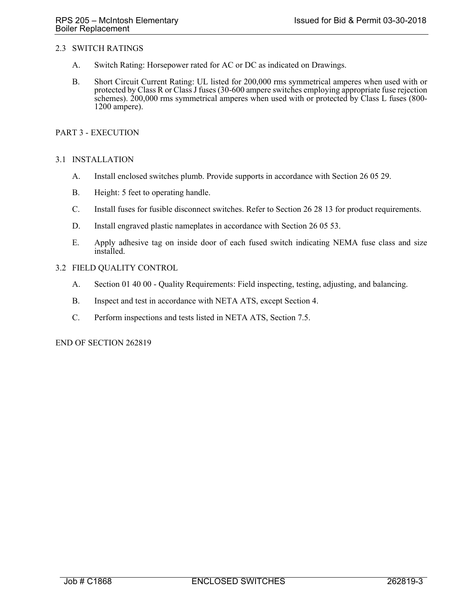# 2.3 SWITCH RATINGS

- A. Switch Rating: Horsepower rated for AC or DC as indicated on Drawings.
- B. Short Circuit Current Rating: UL listed for 200,000 rms symmetrical amperes when used with or protected by Class R or Class J fuses (30-600 ampere switches employing appropriate fuse rejection schemes). 200,000 rms symmetrical amperes when used with or protected by Class L fuses (800- 1200 ampere).

# PART 3 - EXECUTION

## 3.1 INSTALLATION

- A. Install enclosed switches plumb. Provide supports in accordance with Section 26 05 29.
- B. Height: 5 feet to operating handle.
- C. Install fuses for fusible disconnect switches. Refer to Section 26 28 13 for product requirements.
- D. Install engraved plastic nameplates in accordance with Section 26 05 53.
- E. Apply adhesive tag on inside door of each fused switch indicating NEMA fuse class and size installed.
- 3.2 FIELD QUALITY CONTROL
	- A. Section 01 40 00 Quality Requirements: Field inspecting, testing, adjusting, and balancing.
	- B. Inspect and test in accordance with NETA ATS, except Section 4.
	- C. Perform inspections and tests listed in NETA ATS, Section 7.5.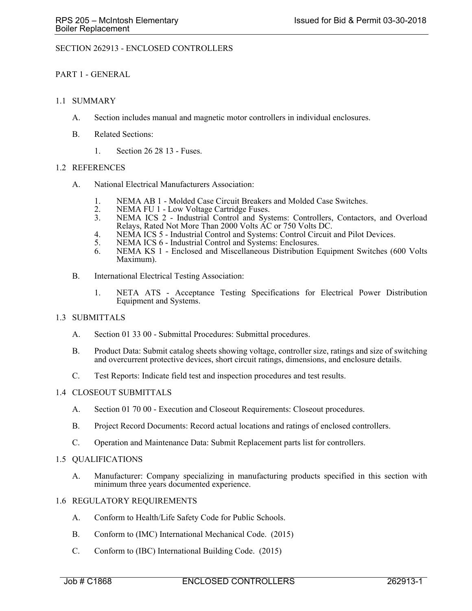## SECTION 262913 - ENCLOSED CONTROLLERS

## PART 1 - GENERAL

## 1.1 SUMMARY

- A. Section includes manual and magnetic motor controllers in individual enclosures.
- B. Related Sections:
	- 1. Section 26 28 13 Fuses.

## 1.2 REFERENCES

- A. National Electrical Manufacturers Association:
	- 1. NEMA AB 1 Molded Case Circuit Breakers and Molded Case Switches.
	- 2. NEMA FU 1 Low Voltage Cartridge Fuses.<br>3. NEMA ICS 2 Industrial Control and Svs
	- NEMA ICS 2 Industrial Control and Systems: Controllers, Contactors, and Overload Relays, Rated Not More Than 2000 Volts AC or 750 Volts DC.
	- 4. NEMA ICS 5 Industrial Control and Systems: Control Circuit and Pilot Devices.
	- 5. NEMA ICS 6 Industrial Control and Systems: Enclosures.
	- 6. NEMA KS 1 Enclosed and Miscellaneous Distribution Equipment Switches (600 Volts Maximum).
- B. International Electrical Testing Association:
	- 1. NETA ATS Acceptance Testing Specifications for Electrical Power Distribution Equipment and Systems.

# 1.3 SUBMITTALS

- A. Section 01 33 00 Submittal Procedures: Submittal procedures.
- B. Product Data: Submit catalog sheets showing voltage, controller size, ratings and size of switching and overcurrent protective devices, short circuit ratings, dimensions, and enclosure details.
- C. Test Reports: Indicate field test and inspection procedures and test results.

# 1.4 CLOSEOUT SUBMITTALS

- A. Section 01 70 00 Execution and Closeout Requirements: Closeout procedures.
- B. Project Record Documents: Record actual locations and ratings of enclosed controllers.
- C. Operation and Maintenance Data: Submit Replacement parts list for controllers.

#### 1.5 QUALIFICATIONS

A. Manufacturer: Company specializing in manufacturing products specified in this section with minimum three years documented experience.

#### 1.6 REGULATORY REQUIREMENTS

- A. Conform to Health/Life Safety Code for Public Schools.
- B. Conform to (IMC) International Mechanical Code. (2015)
- C. Conform to (IBC) International Building Code. (2015)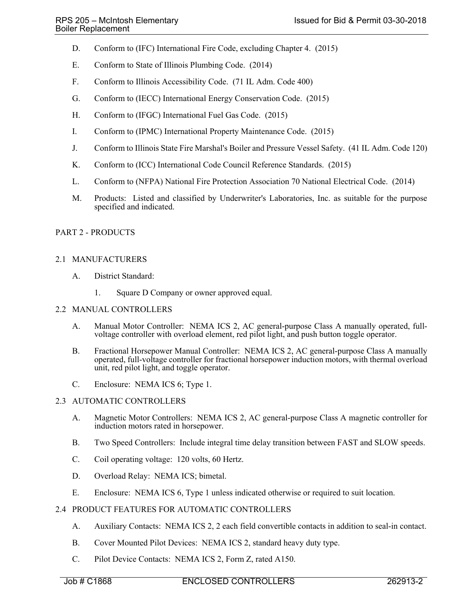- D. Conform to (IFC) International Fire Code, excluding Chapter 4. (2015)
- E. Conform to State of Illinois Plumbing Code. (2014)
- F. Conform to Illinois Accessibility Code. (71 IL Adm. Code 400)
- G. Conform to (IECC) International Energy Conservation Code. (2015)
- H. Conform to (IFGC) International Fuel Gas Code. (2015)
- I. Conform to (IPMC) International Property Maintenance Code. (2015)
- J. Conform to Illinois State Fire Marshal's Boiler and Pressure Vessel Safety. (41 IL Adm. Code 120)
- K. Conform to (ICC) International Code Council Reference Standards. (2015)
- L. Conform to (NFPA) National Fire Protection Association 70 National Electrical Code. (2014)
- M. Products: Listed and classified by Underwriter's Laboratories, Inc. as suitable for the purpose specified and indicated.

## PART 2 - PRODUCTS

## 2.1 MANUFACTURERS

- A. District Standard:
	- 1. Square D Company or owner approved equal.

## 2.2 MANUAL CONTROLLERS

- A. Manual Motor Controller: NEMA ICS 2, AC general-purpose Class A manually operated, fullvoltage controller with overload element, red pilot light, and push button toggle operator.
- B. Fractional Horsepower Manual Controller: NEMA ICS 2, AC general-purpose Class A manually operated, full-voltage controller for fractional horsepower induction motors, with thermal overload unit, red pilot light, and toggle operator.
- C. Enclosure: NEMA ICS 6; Type 1.

# 2.3 AUTOMATIC CONTROLLERS

- A. Magnetic Motor Controllers: NEMA ICS 2, AC general-purpose Class A magnetic controller for induction motors rated in horsepower.
- B. Two Speed Controllers: Include integral time delay transition between FAST and SLOW speeds.
- C. Coil operating voltage: 120 volts, 60 Hertz.
- D. Overload Relay: NEMA ICS; bimetal.
- E. Enclosure: NEMA ICS 6, Type 1 unless indicated otherwise or required to suit location.

# 2.4 PRODUCT FEATURES FOR AUTOMATIC CONTROLLERS

- A. Auxiliary Contacts: NEMA ICS 2, 2 each field convertible contacts in addition to seal-in contact.
- B. Cover Mounted Pilot Devices: NEMA ICS 2, standard heavy duty type.
- C. Pilot Device Contacts: NEMA ICS 2, Form Z, rated A150.